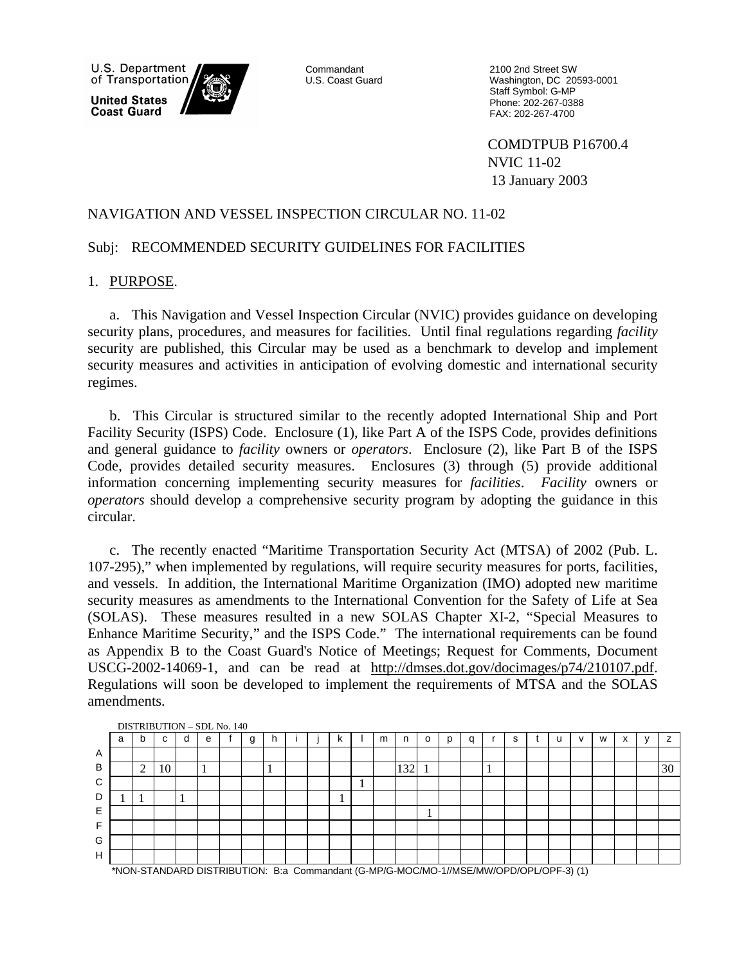

Commandant U.S. Coast Guard 2100 2nd Street SW Washington, DC 20593-0001 Staff Symbol: G-MP Phone: 202-267-0388 FAX: 202-267-4700

COMDTPUB P16700.4 NVIC 11-02 13 January 2003

#### NAVIGATION AND VESSEL INSPECTION CIRCULAR NO. 11-02

#### Subj: RECOMMENDED SECURITY GUIDELINES FOR FACILITIES

#### 1. PURPOSE.

a. This Navigation and Vessel Inspection Circular (NVIC) provides guidance on developing security plans, procedures, and measures for facilities. Until final regulations regarding *facility* security are published, this Circular may be used as a benchmark to develop and implement security measures and activities in anticipation of evolving domestic and international security regimes.

b. This Circular is structured similar to the recently adopted International Ship and Port Facility Security (ISPS) Code. Enclosure (1), like Part A of the ISPS Code, provides definitions and general guidance to *facility* owners or *operators*. Enclosure (2), like Part B of the ISPS Code, provides detailed security measures. Enclosures (3) through (5) provide additional information concerning implementing security measures for *facilities*. *Facility* owners or *operators* should develop a comprehensive security program by adopting the guidance in this circular.

c. The recently enacted "Maritime Transportation Security Act (MTSA) of 2002 (Pub. L. 107-295)," when implemented by regulations, will require security measures for ports, facilities, and vessels. In addition, the International Maritime Organization (IMO) adopted new maritime security measures as amendments to the International Convention for the Safety of Life at Sea (SOLAS). These measures resulted in a new SOLAS Chapter XI-2, "Special Measures to Enhance Maritime Security," and the ISPS Code." The international requirements can be found as Appendix B to the Coast Guard's Notice of Meetings; Request for Comments, Document USCG-2002-14069-1, and can be read at http://dmses.dot.gov/docimages/p74/210107.pdf. Regulations will soon be developed to implement the requirements of MTSA and the SOLAS amendments.

| a | b             | C  | d | e            | g | h                                 |  | N |    | m | n   | $\Omega$ | D | $\Omega$ | $\overline{\phantom{0}}$<br>╮ |  | $\mathbf{v}$ | W | $\ddot{\phantom{1}}$<br>́ | $\overline{ }$ |
|---|---------------|----|---|--------------|---|-----------------------------------|--|---|----|---|-----|----------|---|----------|-------------------------------|--|--------------|---|---------------------------|----------------|
|   |               |    |   |              |   |                                   |  |   |    |   |     |          |   |          |                               |  |              |   |                           |                |
|   | $\Omega$<br>∠ | 10 |   | $\mathbf{I}$ |   | $\mathbf{I}$                      |  |   |    |   | 132 |          |   |          |                               |  |              |   |                           | 30             |
|   |               |    |   |              |   |                                   |  |   | J. |   |     |          |   |          |                               |  |              |   |                           |                |
|   |               |    |   |              |   |                                   |  |   |    |   |     |          |   |          |                               |  |              |   |                           |                |
|   |               |    |   |              |   |                                   |  |   |    |   |     |          |   |          |                               |  |              |   |                           |                |
|   |               |    |   |              |   |                                   |  |   |    |   |     |          |   |          |                               |  |              |   |                           |                |
|   |               |    |   |              |   |                                   |  |   |    |   |     |          |   |          |                               |  |              |   |                           |                |
|   |               |    |   |              |   |                                   |  |   |    |   |     |          |   |          |                               |  |              |   |                           |                |
|   |               |    |   |              |   | <b>DISTRIBUTION - SDL No. 140</b> |  |   |    |   |     |          |   |          |                               |  |              |   |                           |                |

\*NON-STANDARD DISTRIBUTION: B:a Commandant (G-MP/G-MOC/MO-1//MSE/MW/OPD/OPL/OPF-3) (1)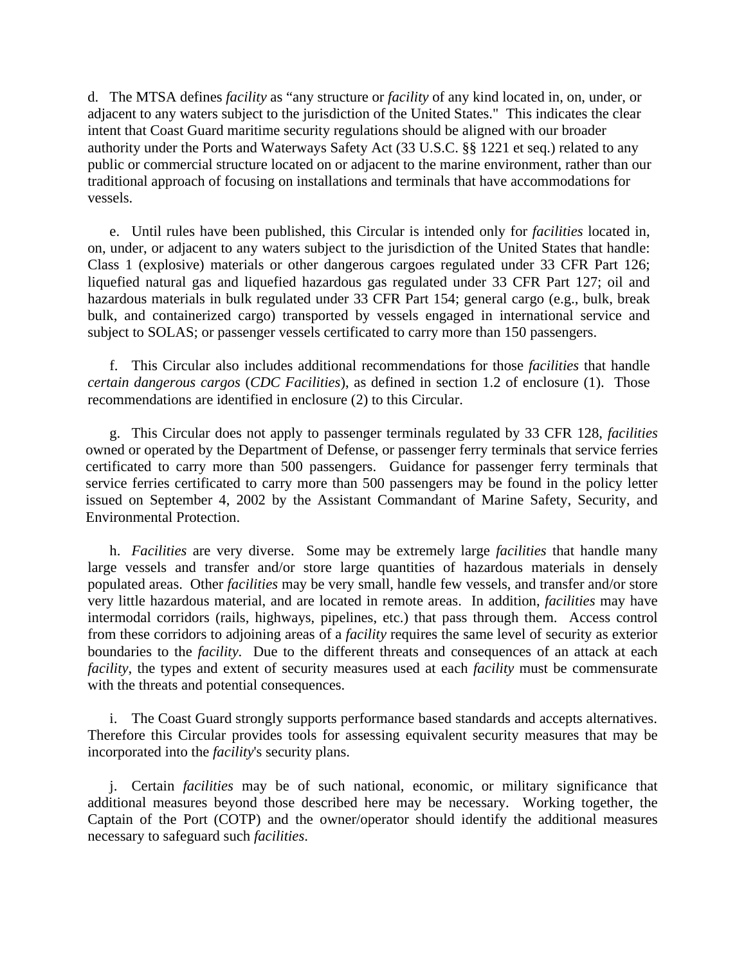d. The MTSA defines *facility* as "any structure or *facility* of any kind located in, on, under, or adjacent to any waters subject to the jurisdiction of the United States." This indicates the clear intent that Coast Guard maritime security regulations should be aligned with our broader authority under the Ports and Waterways Safety Act (33 U.S.C. §§ 1221 et seq.) related to any public or commercial structure located on or adjacent to the marine environment, rather than our traditional approach of focusing on installations and terminals that have accommodations for vessels.

e. Until rules have been published, this Circular is intended only for *facilities* located in, on, under, or adjacent to any waters subject to the jurisdiction of the United States that handle: Class 1 (explosive) materials or other dangerous cargoes regulated under 33 CFR Part 126; liquefied natural gas and liquefied hazardous gas regulated under 33 CFR Part 127; oil and hazardous materials in bulk regulated under 33 CFR Part 154; general cargo (e.g., bulk, break bulk, and containerized cargo) transported by vessels engaged in international service and subject to SOLAS; or passenger vessels certificated to carry more than 150 passengers.

f. This Circular also includes additional recommendations for those *facilities* that handle *certain dangerous cargos* (*CDC Facilities*), as defined in section 1.2 of enclosure (1). Those recommendations are identified in enclosure (2) to this Circular.

g. This Circular does not apply to passenger terminals regulated by 33 CFR 128, *facilities* owned or operated by the Department of Defense, or passenger ferry terminals that service ferries certificated to carry more than 500 passengers. Guidance for passenger ferry terminals that service ferries certificated to carry more than 500 passengers may be found in the policy letter issued on September 4, 2002 by the Assistant Commandant of Marine Safety, Security, and Environmental Protection.

h. *Facilities* are very diverse. Some may be extremely large *facilities* that handle many large vessels and transfer and/or store large quantities of hazardous materials in densely populated areas. Other *facilities* may be very small, handle few vessels, and transfer and/or store very little hazardous material, and are located in remote areas. In addition, *facilities* may have intermodal corridors (rails, highways, pipelines, etc.) that pass through them. Access control from these corridors to adjoining areas of a *facility* requires the same level of security as exterior boundaries to the *facility*. Due to the different threats and consequences of an attack at each *facility*, the types and extent of security measures used at each *facility* must be commensurate with the threats and potential consequences.

i. The Coast Guard strongly supports performance based standards and accepts alternatives. Therefore this Circular provides tools for assessing equivalent security measures that may be incorporated into the *facility*'s security plans.

j. Certain *facilities* may be of such national, economic, or military significance that additional measures beyond those described here may be necessary. Working together, the Captain of the Port (COTP) and the owner/operator should identify the additional measures necessary to safeguard such *facilities*.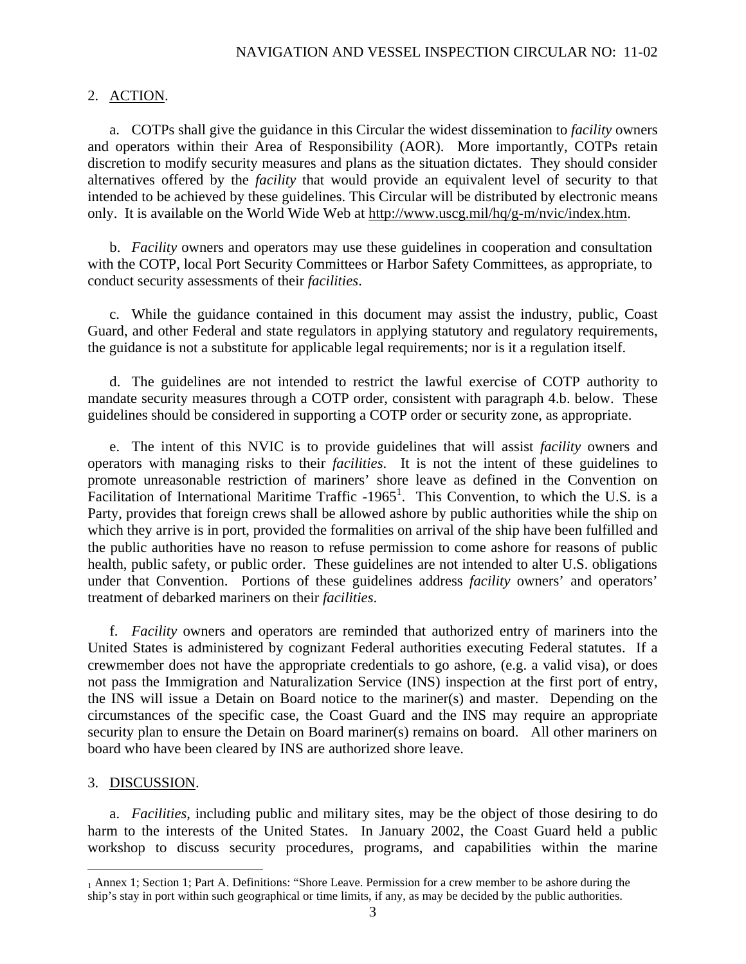## 2. ACTION.

a. COTPs shall give the guidance in this Circular the widest dissemination to *facility* owners and operators within their Area of Responsibility (AOR). More importantly, COTPs retain discretion to modify security measures and plans as the situation dictates. They should consider alternatives offered by the *facility* that would provide an equivalent level of security to that intended to be achieved by these guidelines. This Circular will be distributed by electronic means only. It is available on the World Wide Web at http://www.uscg.mil/hq/g-m/nvic/index.htm.

b. *Facility* owners and operators may use these guidelines in cooperation and consultation with the COTP, local Port Security Committees or Harbor Safety Committees, as appropriate, to conduct security assessments of their *facilities*.

c. While the guidance contained in this document may assist the industry, public, Coast Guard, and other Federal and state regulators in applying statutory and regulatory requirements, the guidance is not a substitute for applicable legal requirements; nor is it a regulation itself.

d. The guidelines are not intended to restrict the lawful exercise of COTP authority to mandate security measures through a COTP order, consistent with paragraph 4.b. below. These guidelines should be considered in supporting a COTP order or security zone, as appropriate.

e. The intent of this NVIC is to provide guidelines that will assist *facility* owners and operators with managing risks to their *facilities*. It is not the intent of these guidelines to promote unreasonable restriction of mariners' shore leave as defined in the Convention on Facilitation of International Maritime Traffic -1965<sup>1</sup>. This Convention, to which the U.S. is a Party, provides that foreign crews shall be allowed ashore by public authorities while the ship on which they arrive is in port, provided the formalities on arrival of the ship have been fulfilled and the public authorities have no reason to refuse permission to come ashore for reasons of public health, public safety, or public order. These guidelines are not intended to alter U.S. obligations under that Convention. Portions of these guidelines address *facility* owners' and operators' treatment of debarked mariners on their *facilities*.

f. *Facility* owners and operators are reminded that authorized entry of mariners into the United States is administered by cognizant Federal authorities executing Federal statutes. If a crewmember does not have the appropriate credentials to go ashore, (e.g. a valid visa), or does not pass the Immigration and Naturalization Service (INS) inspection at the first port of entry, the INS will issue a Detain on Board notice to the mariner(s) and master. Depending on the circumstances of the specific case, the Coast Guard and the INS may require an appropriate security plan to ensure the Detain on Board mariner(s) remains on board. All other mariners on board who have been cleared by INS are authorized shore leave.

## 3. DISCUSSION.

 $\overline{a}$ 

a. *Facilities*, including public and military sites, may be the object of those desiring to do harm to the interests of the United States. In January 2002, the Coast Guard held a public workshop to discuss security procedures, programs, and capabilities within the marine

<sup>1</sup> Annex 1; Section 1; Part A. Definitions: "Shore Leave. Permission for a crew member to be ashore during the ship's stay in port within such geographical or time limits, if any, as may be decided by the public authorities.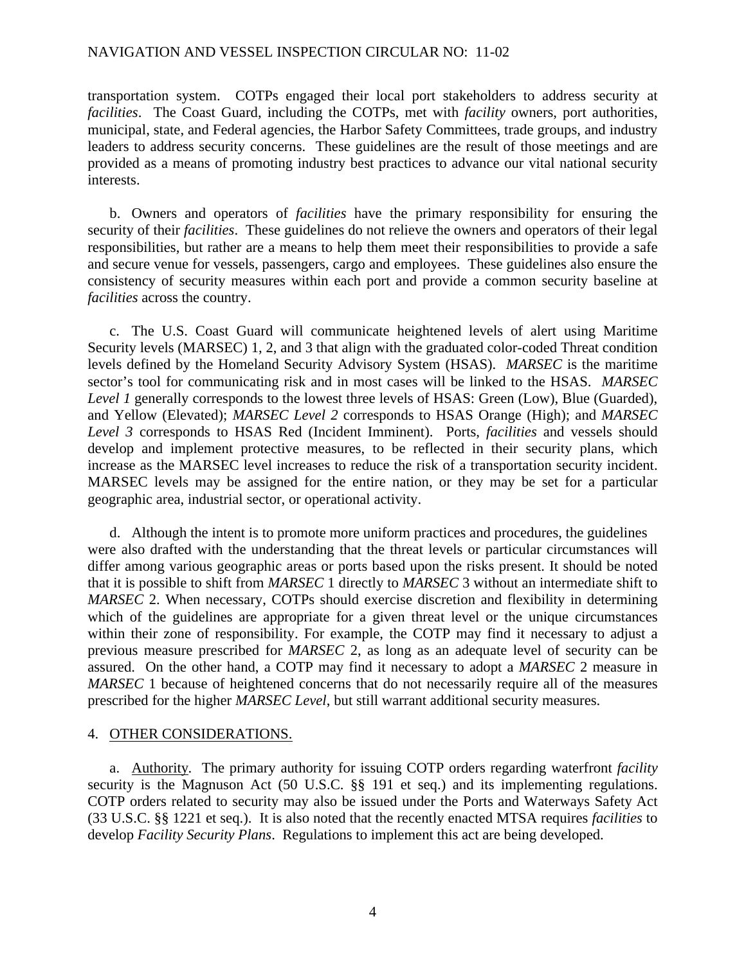#### NAVIGATION AND VESSEL INSPECTION CIRCULAR NO: 11-02

transportation system. COTPs engaged their local port stakeholders to address security at *facilities*. The Coast Guard, including the COTPs, met with *facility* owners, port authorities, municipal, state, and Federal agencies, the Harbor Safety Committees, trade groups, and industry leaders to address security concerns. These guidelines are the result of those meetings and are provided as a means of promoting industry best practices to advance our vital national security interests.

b. Owners and operators of *facilities* have the primary responsibility for ensuring the security of their *facilities*. These guidelines do not relieve the owners and operators of their legal responsibilities, but rather are a means to help them meet their responsibilities to provide a safe and secure venue for vessels, passengers, cargo and employees. These guidelines also ensure the consistency of security measures within each port and provide a common security baseline at *facilities* across the country.

c. The U.S. Coast Guard will communicate heightened levels of alert using Maritime Security levels (MARSEC) 1, 2, and 3 that align with the graduated color-coded Threat condition levels defined by the Homeland Security Advisory System (HSAS). *MARSEC* is the maritime sector's tool for communicating risk and in most cases will be linked to the HSAS. *MARSEC Level 1* generally corresponds to the lowest three levels of HSAS: Green (Low), Blue (Guarded), and Yellow (Elevated); *MARSEC Level 2* corresponds to HSAS Orange (High); and *MARSEC Level 3* corresponds to HSAS Red (Incident Imminent). Ports, *facilities* and vessels should develop and implement protective measures, to be reflected in their security plans, which increase as the MARSEC level increases to reduce the risk of a transportation security incident. MARSEC levels may be assigned for the entire nation, or they may be set for a particular geographic area, industrial sector, or operational activity.

d. Although the intent is to promote more uniform practices and procedures, the guidelines were also drafted with the understanding that the threat levels or particular circumstances will differ among various geographic areas or ports based upon the risks present. It should be noted that it is possible to shift from *MARSEC* 1 directly to *MARSEC* 3 without an intermediate shift to *MARSEC* 2. When necessary, COTPs should exercise discretion and flexibility in determining which of the guidelines are appropriate for a given threat level or the unique circumstances within their zone of responsibility. For example, the COTP may find it necessary to adjust a previous measure prescribed for *MARSEC* 2, as long as an adequate level of security can be assured. On the other hand, a COTP may find it necessary to adopt a *MARSEC* 2 measure in *MARSEC* 1 because of heightened concerns that do not necessarily require all of the measures prescribed for the higher *MARSEC Level*, but still warrant additional security measures.

#### 4. OTHER CONSIDERATIONS.

a. Authority. The primary authority for issuing COTP orders regarding waterfront *facility* security is the Magnuson Act (50 U.S.C. §§ 191 et seq.) and its implementing regulations. COTP orders related to security may also be issued under the Ports and Waterways Safety Act (33 U.S.C. §§ 1221 et seq.). It is also noted that the recently enacted MTSA requires *facilities* to develop *Facility Security Plans*. Regulations to implement this act are being developed.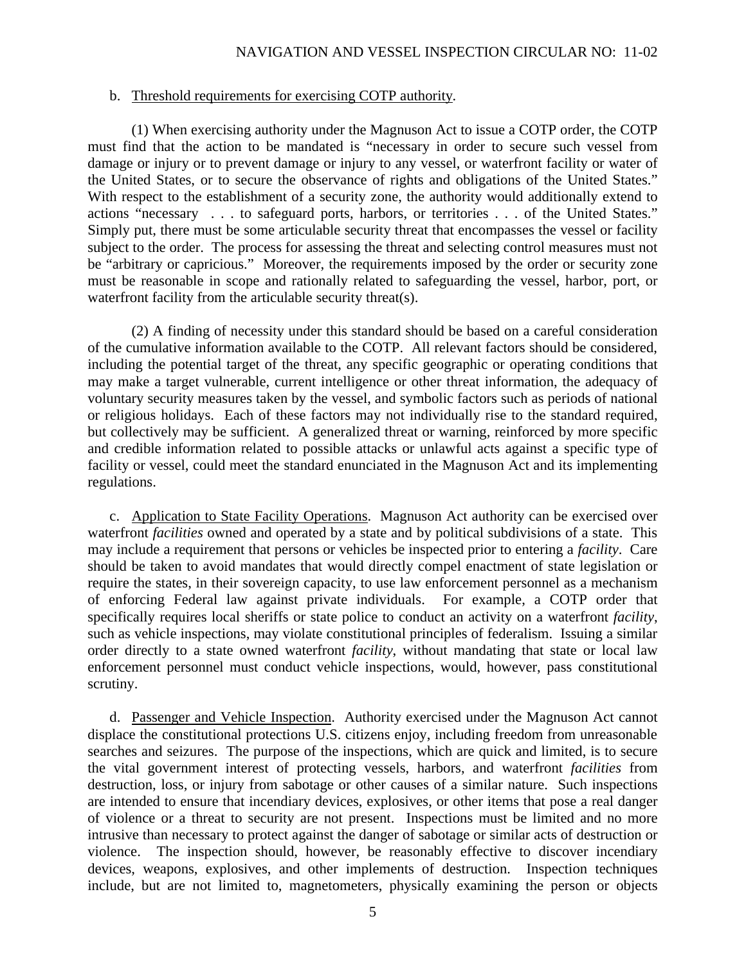#### b. Threshold requirements for exercising COTP authority.

(1) When exercising authority under the Magnuson Act to issue a COTP order, the COTP must find that the action to be mandated is "necessary in order to secure such vessel from damage or injury or to prevent damage or injury to any vessel, or waterfront facility or water of the United States, or to secure the observance of rights and obligations of the United States." With respect to the establishment of a security zone, the authority would additionally extend to actions "necessary . . . to safeguard ports, harbors, or territories . . . of the United States." Simply put, there must be some articulable security threat that encompasses the vessel or facility subject to the order. The process for assessing the threat and selecting control measures must not be "arbitrary or capricious." Moreover, the requirements imposed by the order or security zone must be reasonable in scope and rationally related to safeguarding the vessel, harbor, port, or waterfront facility from the articulable security threat(s).

(2) A finding of necessity under this standard should be based on a careful consideration of the cumulative information available to the COTP. All relevant factors should be considered, including the potential target of the threat, any specific geographic or operating conditions that may make a target vulnerable, current intelligence or other threat information, the adequacy of voluntary security measures taken by the vessel, and symbolic factors such as periods of national or religious holidays. Each of these factors may not individually rise to the standard required, but collectively may be sufficient. A generalized threat or warning, reinforced by more specific and credible information related to possible attacks or unlawful acts against a specific type of facility or vessel, could meet the standard enunciated in the Magnuson Act and its implementing regulations.

c. Application to State Facility Operations. Magnuson Act authority can be exercised over waterfront *facilities* owned and operated by a state and by political subdivisions of a state. This may include a requirement that persons or vehicles be inspected prior to entering a *facility*. Care should be taken to avoid mandates that would directly compel enactment of state legislation or require the states, in their sovereign capacity, to use law enforcement personnel as a mechanism of enforcing Federal law against private individuals. For example, a COTP order that specifically requires local sheriffs or state police to conduct an activity on a waterfront *facility*, such as vehicle inspections, may violate constitutional principles of federalism. Issuing a similar order directly to a state owned waterfront *facility*, without mandating that state or local law enforcement personnel must conduct vehicle inspections, would, however, pass constitutional scrutiny.

d. Passenger and Vehicle Inspection. Authority exercised under the Magnuson Act cannot displace the constitutional protections U.S. citizens enjoy, including freedom from unreasonable searches and seizures. The purpose of the inspections, which are quick and limited, is to secure the vital government interest of protecting vessels, harbors, and waterfront *facilities* from destruction, loss, or injury from sabotage or other causes of a similar nature. Such inspections are intended to ensure that incendiary devices, explosives, or other items that pose a real danger of violence or a threat to security are not present. Inspections must be limited and no more intrusive than necessary to protect against the danger of sabotage or similar acts of destruction or violence. The inspection should, however, be reasonably effective to discover incendiary devices, weapons, explosives, and other implements of destruction. Inspection techniques include, but are not limited to, magnetometers, physically examining the person or objects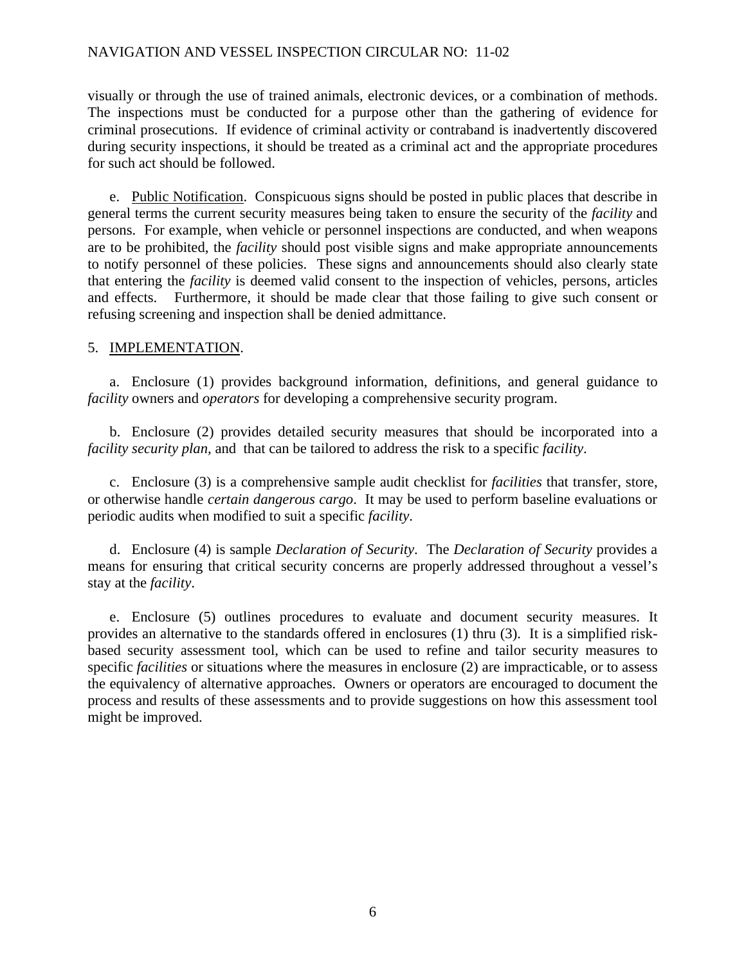#### NAVIGATION AND VESSEL INSPECTION CIRCULAR NO: 11-02

visually or through the use of trained animals, electronic devices, or a combination of methods. The inspections must be conducted for a purpose other than the gathering of evidence for criminal prosecutions. If evidence of criminal activity or contraband is inadvertently discovered during security inspections, it should be treated as a criminal act and the appropriate procedures for such act should be followed.

e. Public Notification. Conspicuous signs should be posted in public places that describe in general terms the current security measures being taken to ensure the security of the *facility* and persons. For example, when vehicle or personnel inspections are conducted, and when weapons are to be prohibited, the *facility* should post visible signs and make appropriate announcements to notify personnel of these policies. These signs and announcements should also clearly state that entering the *facility* is deemed valid consent to the inspection of vehicles, persons, articles and effects. Furthermore, it should be made clear that those failing to give such consent or refusing screening and inspection shall be denied admittance.

#### 5. IMPLEMENTATION.

a. Enclosure (1) provides background information, definitions, and general guidance to *facility* owners and *operators* for developing a comprehensive security program.

b. Enclosure (2) provides detailed security measures that should be incorporated into a *facility security plan,* and that can be tailored to address the risk to a specific *facility*.

c. Enclosure (3) is a comprehensive sample audit checklist for *facilities* that transfer, store, or otherwise handle *certain dangerous cargo*. It may be used to perform baseline evaluations or periodic audits when modified to suit a specific *facility*.

d. Enclosure (4) is sample *Declaration of Security*. The *Declaration of Security* provides a means for ensuring that critical security concerns are properly addressed throughout a vessel's stay at the *facility*.

e. Enclosure (5) outlines procedures to evaluate and document security measures. It provides an alternative to the standards offered in enclosures (1) thru (3). It is a simplified riskbased security assessment tool, which can be used to refine and tailor security measures to specific *facilities* or situations where the measures in enclosure (2) are impracticable, or to assess the equivalency of alternative approaches. Owners or operators are encouraged to document the process and results of these assessments and to provide suggestions on how this assessment tool might be improved.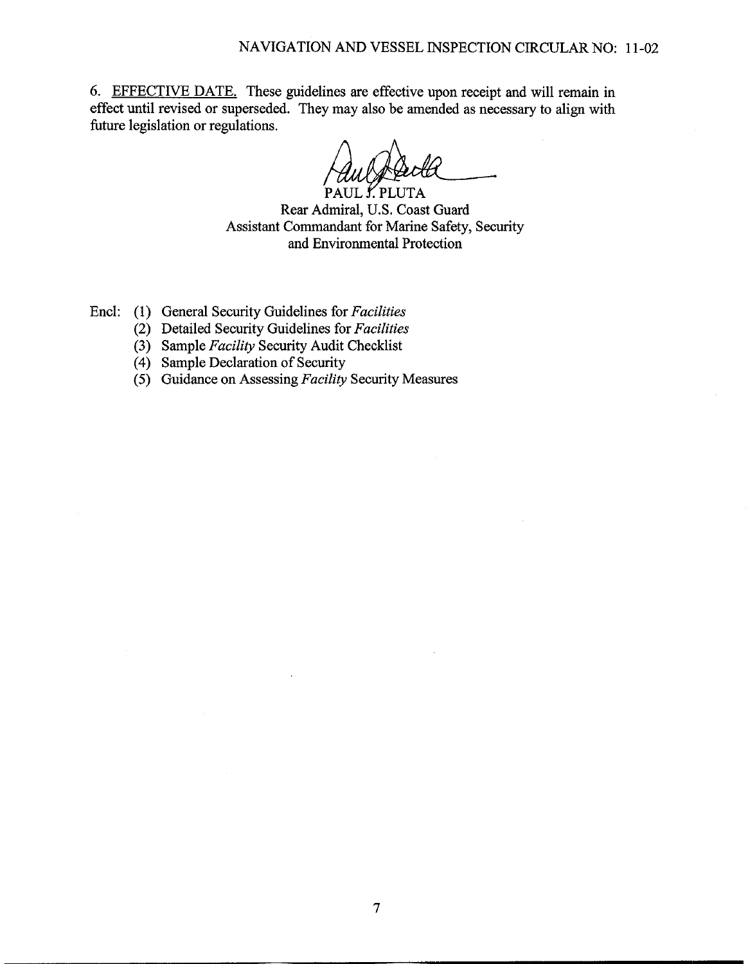6. EFFECTIVE DATE. These guidelines are effective upon receipt and will remain in effect until revised or superseded. They may also be amended as necessary to align with future legislation or regulations.

PAUL *Ý.* PLUTA Rear Admiral, U.S. Coast Guard Assistant Commandant for Marine Safety, Security and Environmental Protection

- Encl: (1) General Security Guidelines for Facilities
	- (2) Detailed Security Guidelines for Facilities
	- (3) Sample Facility Security Audit Checklist
	- (4) Sample Declaration of Security
	- (5) Guidance on Assessing Facility Security Measures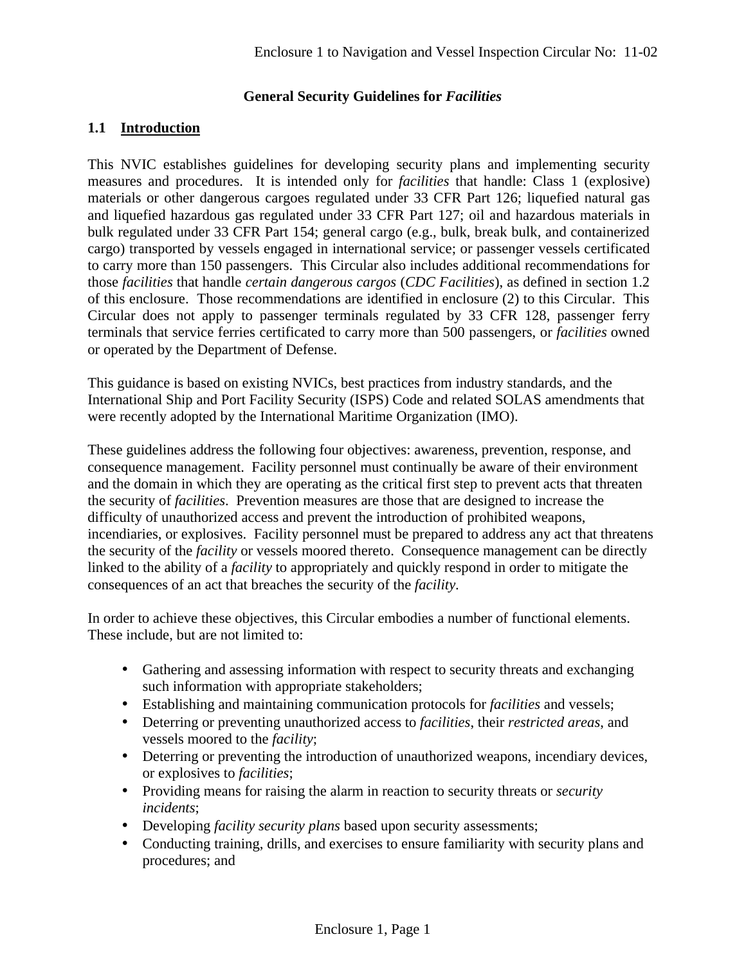# **General Security Guidelines for** *Facilities*

# **1.1 Introduction**

This NVIC establishes guidelines for developing security plans and implementing security measures and procedures. It is intended only for *facilities* that handle: Class 1 (explosive) materials or other dangerous cargoes regulated under 33 CFR Part 126; liquefied natural gas and liquefied hazardous gas regulated under 33 CFR Part 127; oil and hazardous materials in bulk regulated under 33 CFR Part 154; general cargo (e.g., bulk, break bulk, and containerized cargo) transported by vessels engaged in international service; or passenger vessels certificated to carry more than 150 passengers. This Circular also includes additional recommendations for those *facilities* that handle *certain dangerous cargos* (*CDC Facilities*), as defined in section 1.2 of this enclosure. Those recommendations are identified in enclosure (2) to this Circular. This Circular does not apply to passenger terminals regulated by 33 CFR 128, passenger ferry terminals that service ferries certificated to carry more than 500 passengers, or *facilities* owned or operated by the Department of Defense.

This guidance is based on existing NVICs, best practices from industry standards, and the International Ship and Port Facility Security (ISPS) Code and related SOLAS amendments that were recently adopted by the International Maritime Organization (IMO).

These guidelines address the following four objectives: awareness, prevention, response, and consequence management. Facility personnel must continually be aware of their environment and the domain in which they are operating as the critical first step to prevent acts that threaten the security of *facilities*. Prevention measures are those that are designed to increase the difficulty of unauthorized access and prevent the introduction of prohibited weapons, incendiaries, or explosives. Facility personnel must be prepared to address any act that threatens the security of the *facility* or vessels moored thereto. Consequence management can be directly linked to the ability of a *facility* to appropriately and quickly respond in order to mitigate the consequences of an act that breaches the security of the *facility*.

In order to achieve these objectives, this Circular embodies a number of functional elements. These include, but are not limited to:

- Gathering and assessing information with respect to security threats and exchanging such information with appropriate stakeholders;
- Establishing and maintaining communication protocols for *facilities* and vessels;
- Deterring or preventing unauthorized access to *facilities*, their *restricted areas*, and vessels moored to the *facility*;
- Deterring or preventing the introduction of unauthorized weapons, incendiary devices, or explosives to *facilities*;
- Providing means for raising the alarm in reaction to security threats or *security incidents*;
- Developing *facility security plans* based upon security assessments;
- Conducting training, drills, and exercises to ensure familiarity with security plans and procedures; and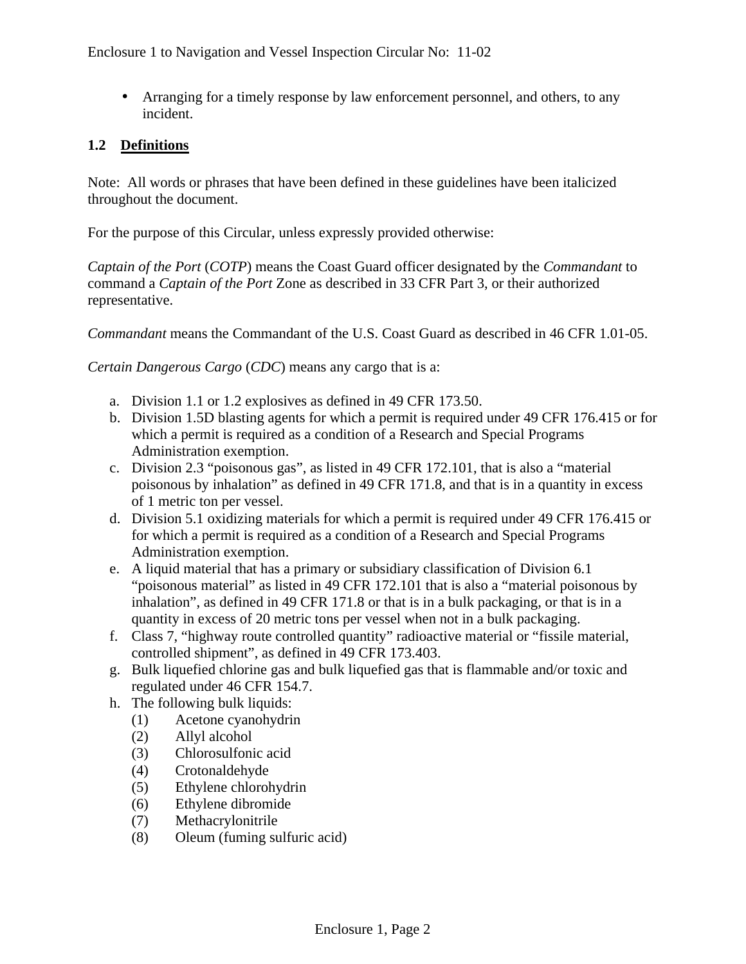• Arranging for a timely response by law enforcement personnel, and others, to any incident.

# **1.2 Definitions**

Note: All words or phrases that have been defined in these guidelines have been italicized throughout the document.

For the purpose of this Circular, unless expressly provided otherwise:

*Captain of the Port* (*COTP*) means the Coast Guard officer designated by the *Commandant* to command a *Captain of the Port* Zone as described in 33 CFR Part 3, or their authorized representative.

*Commandant* means the Commandant of the U.S. Coast Guard as described in 46 CFR 1.01-05.

*Certain Dangerous Cargo* (*CDC*) means any cargo that is a:

- a. Division 1.1 or 1.2 explosives as defined in 49 CFR 173.50.
- b. Division 1.5D blasting agents for which a permit is required under 49 CFR 176.415 or for which a permit is required as a condition of a Research and Special Programs Administration exemption.
- c. Division 2.3 "poisonous gas", as listed in 49 CFR 172.101, that is also a "material poisonous by inhalation" as defined in 49 CFR 171.8, and that is in a quantity in excess of 1 metric ton per vessel.
- d. Division 5.1 oxidizing materials for which a permit is required under 49 CFR 176.415 or for which a permit is required as a condition of a Research and Special Programs Administration exemption.
- e. A liquid material that has a primary or subsidiary classification of Division 6.1 "poisonous material" as listed in 49 CFR 172.101 that is also a "material poisonous by inhalation", as defined in 49 CFR 171.8 or that is in a bulk packaging, or that is in a quantity in excess of 20 metric tons per vessel when not in a bulk packaging.
- f. Class 7, "highway route controlled quantity" radioactive material or "fissile material, controlled shipment", as defined in 49 CFR 173.403.
- g. Bulk liquefied chlorine gas and bulk liquefied gas that is flammable and/or toxic and regulated under 46 CFR 154.7.
- h. The following bulk liquids:
	- (1) Acetone cyanohydrin
	- (2) Allyl alcohol
	- (3) Chlorosulfonic acid
	- (4) Crotonaldehyde
	- (5) Ethylene chlorohydrin
	- (6) Ethylene dibromide
	- (7) Methacrylonitrile
	- (8) Oleum (fuming sulfuric acid)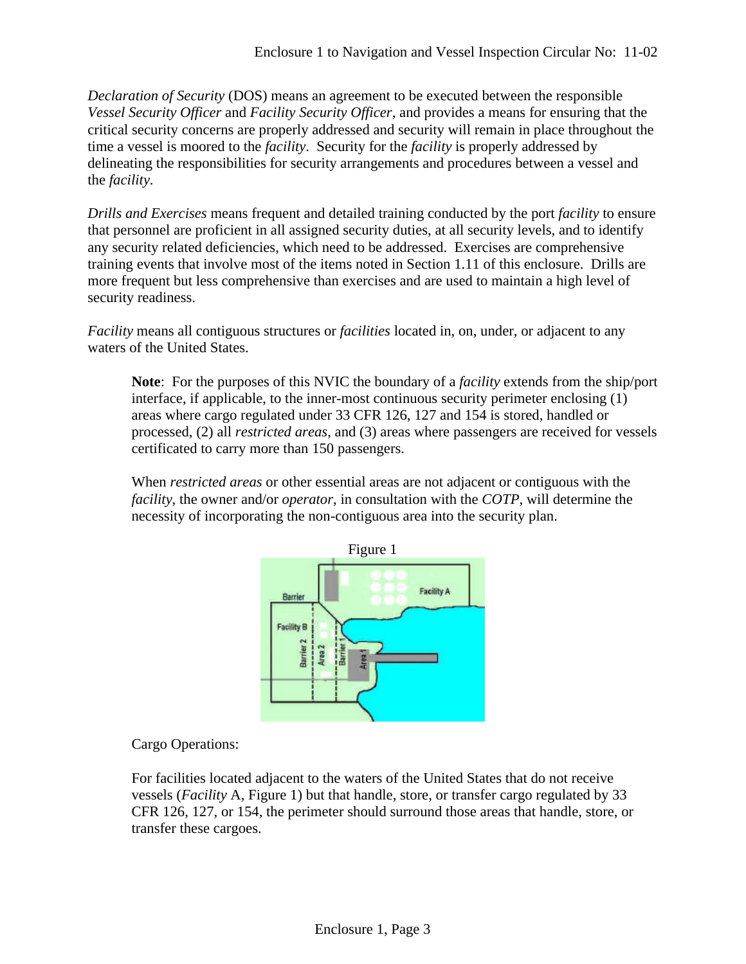*Declaration of Security* (DOS) means an agreement to be executed between the responsible *Vessel Security Officer* and *Facility Security Officer,* and provides a means for ensuring that the critical security concerns are properly addressed and security will remain in place throughout the time a vessel is moored to the *facility*. Security for the *facility* is properly addressed by delineating the responsibilities for security arrangements and procedures between a vessel and the *facility*.

*Drills and Exercises* means frequent and detailed training conducted by the port *facility* to ensure that personnel are proficient in all assigned security duties, at all security levels, and to identify any security related deficiencies, which need to be addressed. Exercises are comprehensive training events that involve most of the items noted in Section 1.11 of this enclosure. Drills are more frequent but less comprehensive than exercises and are used to maintain a high level of security readiness.

*Facility* means all contiguous structures or *facilities* located in, on, under, or adjacent to any waters of the United States.

**Note**: For the purposes of this NVIC the boundary of a *facility* extends from the ship/port interface, if applicable, to the inner-most continuous security perimeter enclosing (1) areas where cargo regulated under 33 CFR 126, 127 and 154 is stored, handled or processed, (2) all *restricted areas*, and (3) areas where passengers are received for vessels certificated to carry more than 150 passengers.

When *restricted areas* or other essential areas are not adjacent or contiguous with the *facility*, the owner and/or *operator*, in consultation with the *COTP*, will determine the necessity of incorporating the non-contiguous area into the security plan.



Cargo Operations:

For facilities located adjacent to the waters of the United States that do not receive vessels (*Facility* A, Figure 1) but that handle, store, or transfer cargo regulated by 33 CFR 126, 127, or 154, the perimeter should surround those areas that handle, store, or transfer these cargoes.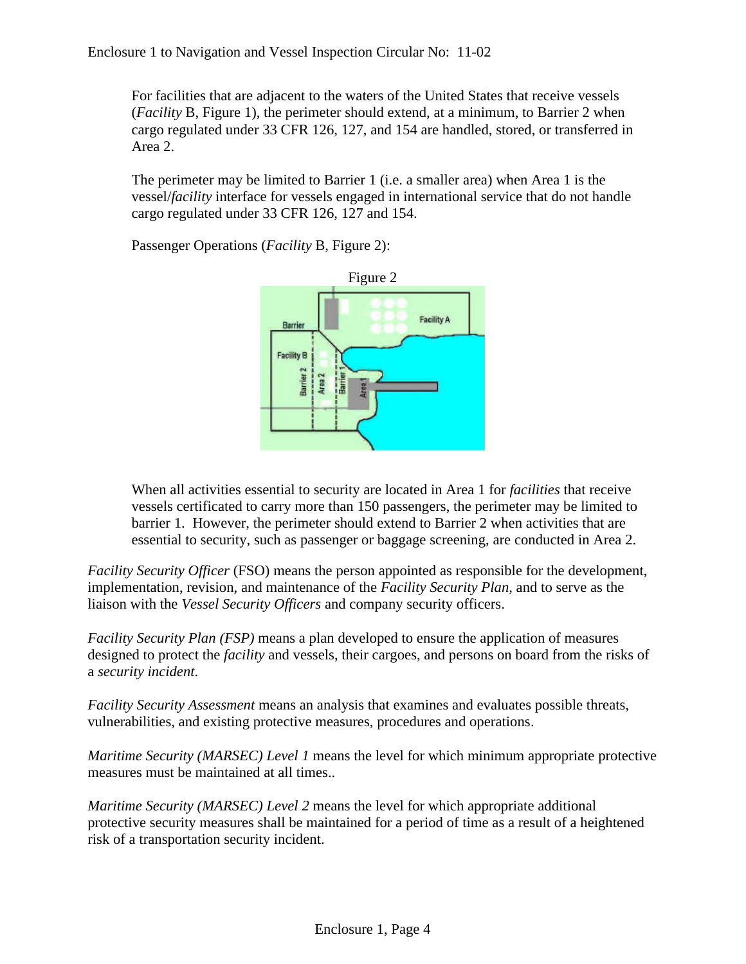For facilities that are adjacent to the waters of the United States that receive vessels (*Facility* B, Figure 1), the perimeter should extend, at a minimum, to Barrier 2 when cargo regulated under 33 CFR 126, 127, and 154 are handled, stored, or transferred in Area 2.

The perimeter may be limited to Barrier 1 (i.e. a smaller area) when Area 1 is the vessel/*facility* interface for vessels engaged in international service that do not handle cargo regulated under 33 CFR 126, 127 and 154.

Passenger Operations (*Facility* B, Figure 2):



When all activities essential to security are located in Area 1 for *facilities* that receive vessels certificated to carry more than 150 passengers, the perimeter may be limited to barrier 1. However, the perimeter should extend to Barrier 2 when activities that are essential to security, such as passenger or baggage screening, are conducted in Area 2.

*Facility Security Officer* (FSO) means the person appointed as responsible for the development, implementation, revision, and maintenance of the *Facility Security Plan,* and to serve as the liaison with the *Vessel Security Officers* and company security officers.

*Facility Security Plan (FSP)* means a plan developed to ensure the application of measures designed to protect the *facility* and vessels, their cargoes, and persons on board from the risks of a *security incident*.

*Facility Security Assessment* means an analysis that examines and evaluates possible threats, vulnerabilities, and existing protective measures, procedures and operations.

*Maritime Security (MARSEC) Level 1* means the level for which minimum appropriate protective measures must be maintained at all times..

*Maritime Security (MARSEC) Level 2* means the level for which appropriate additional protective security measures shall be maintained for a period of time as a result of a heightened risk of a transportation security incident.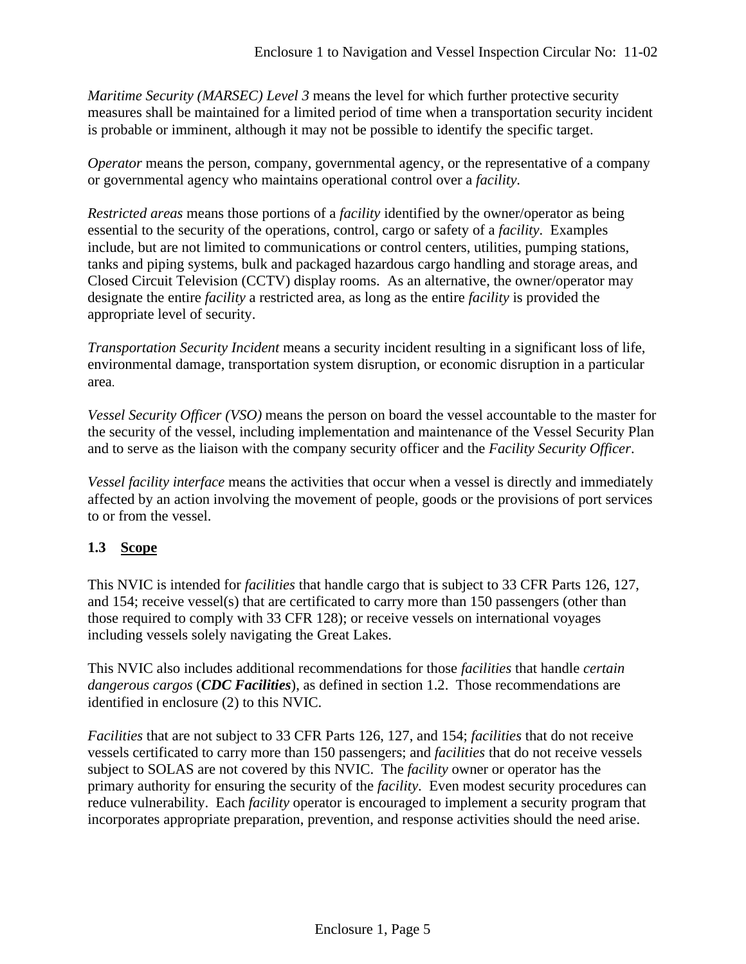*Maritime Security (MARSEC) Level 3* means the level for which further protective security measures shall be maintained for a limited period of time when a transportation security incident is probable or imminent, although it may not be possible to identify the specific target.

*Operator* means the person, company, governmental agency, or the representative of a company or governmental agency who maintains operational control over a *facility*.

*Restricted areas* means those portions of a *facility* identified by the owner/operator as being essential to the security of the operations, control, cargo or safety of a *facility*. Examples include, but are not limited to communications or control centers, utilities, pumping stations, tanks and piping systems, bulk and packaged hazardous cargo handling and storage areas, and Closed Circuit Television (CCTV) display rooms. As an alternative, the owner/operator may designate the entire *facility* a restricted area, as long as the entire *facility* is provided the appropriate level of security.

*Transportation Security Incident* means a security incident resulting in a significant loss of life, environmental damage, transportation system disruption, or economic disruption in a particular area.

*Vessel Security Officer (VSO)* means the person on board the vessel accountable to the master for the security of the vessel, including implementation and maintenance of the Vessel Security Plan and to serve as the liaison with the company security officer and the *Facility Security Officer*.

*Vessel facility interface* means the activities that occur when a vessel is directly and immediately affected by an action involving the movement of people, goods or the provisions of port services to or from the vessel.

# **1.3 Scope**

This NVIC is intended for *facilities* that handle cargo that is subject to 33 CFR Parts 126, 127, and 154; receive vessel(s) that are certificated to carry more than 150 passengers (other than those required to comply with 33 CFR 128); or receive vessels on international voyages including vessels solely navigating the Great Lakes.

This NVIC also includes additional recommendations for those *facilities* that handle *certain dangerous cargos* (*CDC Facilities*), as defined in section 1.2. Those recommendations are identified in enclosure (2) to this NVIC.

*Facilities* that are not subject to 33 CFR Parts 126, 127, and 154; *facilities* that do not receive vessels certificated to carry more than 150 passengers; and *facilities* that do not receive vessels subject to SOLAS are not covered by this NVIC. The *facility* owner or operator has the primary authority for ensuring the security of the *facility*. Even modest security procedures can reduce vulnerability. Each *facility* operator is encouraged to implement a security program that incorporates appropriate preparation, prevention, and response activities should the need arise.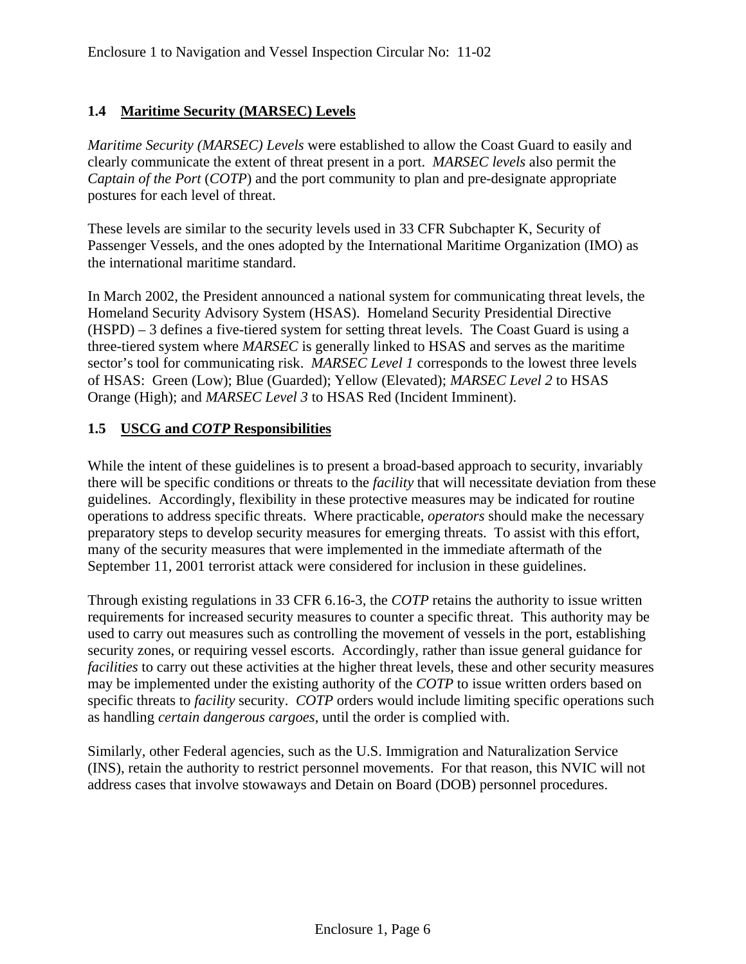# **1.4 Maritime Security (MARSEC) Levels**

*Maritime Security (MARSEC) Levels* were established to allow the Coast Guard to easily and clearly communicate the extent of threat present in a port. *MARSEC levels* also permit the *Captain of the Port* (*COTP*) and the port community to plan and pre-designate appropriate postures for each level of threat.

These levels are similar to the security levels used in 33 CFR Subchapter K, Security of Passenger Vessels, and the ones adopted by the International Maritime Organization (IMO) as the international maritime standard.

In March 2002, the President announced a national system for communicating threat levels, the Homeland Security Advisory System (HSAS). Homeland Security Presidential Directive (HSPD) – 3 defines a five-tiered system for setting threat levels. The Coast Guard is using a three-tiered system where *MARSEC* is generally linked to HSAS and serves as the maritime sector's tool for communicating risk. *MARSEC Level 1* corresponds to the lowest three levels of HSAS: Green (Low); Blue (Guarded); Yellow (Elevated); *MARSEC Level 2* to HSAS Orange (High); and *MARSEC Level 3* to HSAS Red (Incident Imminent).

## **1.5 USCG and** *COTP* **Responsibilities**

While the intent of these guidelines is to present a broad-based approach to security, invariably there will be specific conditions or threats to the *facility* that will necessitate deviation from these guidelines. Accordingly, flexibility in these protective measures may be indicated for routine operations to address specific threats. Where practicable, *operators* should make the necessary preparatory steps to develop security measures for emerging threats. To assist with this effort, many of the security measures that were implemented in the immediate aftermath of the September 11, 2001 terrorist attack were considered for inclusion in these guidelines.

Through existing regulations in 33 CFR 6.16-3, the *COTP* retains the authority to issue written requirements for increased security measures to counter a specific threat. This authority may be used to carry out measures such as controlling the movement of vessels in the port, establishing security zones, or requiring vessel escorts. Accordingly, rather than issue general guidance for *facilities* to carry out these activities at the higher threat levels, these and other security measures may be implemented under the existing authority of the *COTP* to issue written orders based on specific threats to *facility* security. *COTP* orders would include limiting specific operations such as handling *certain dangerous cargoes*, until the order is complied with.

Similarly, other Federal agencies, such as the U.S. Immigration and Naturalization Service (INS), retain the authority to restrict personnel movements. For that reason, this NVIC will not address cases that involve stowaways and Detain on Board (DOB) personnel procedures.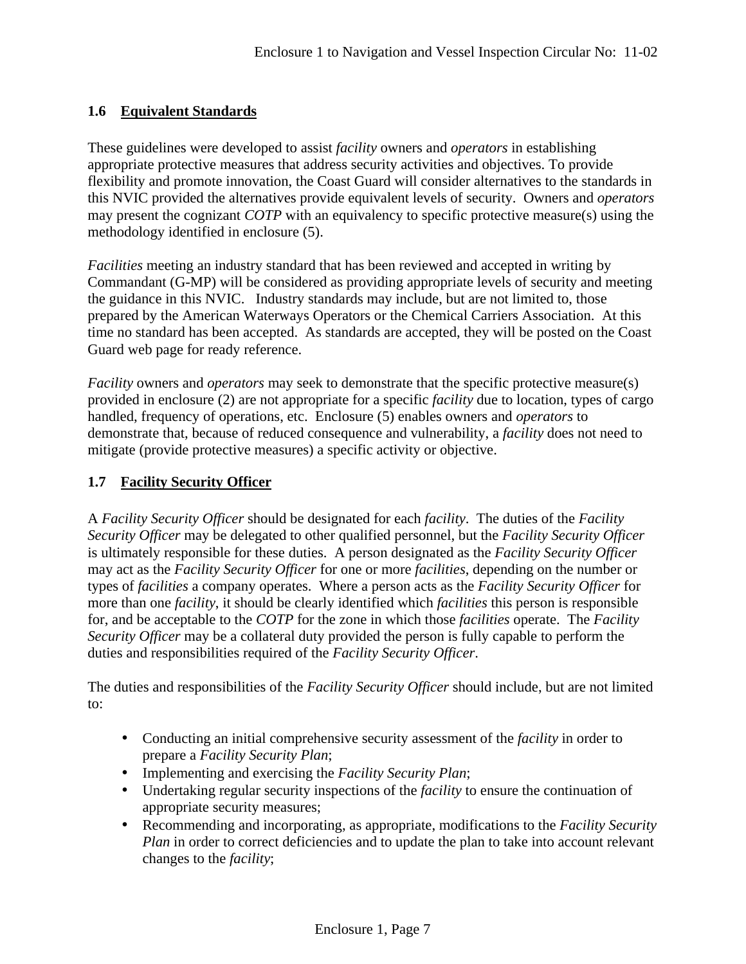# **1.6 Equivalent Standards**

These guidelines were developed to assist *facility* owners and *operators* in establishing appropriate protective measures that address security activities and objectives. To provide flexibility and promote innovation, the Coast Guard will consider alternatives to the standards in this NVIC provided the alternatives provide equivalent levels of security. Owners and *operators* may present the cognizant *COTP* with an equivalency to specific protective measure(s) using the methodology identified in enclosure (5).

*Facilities* meeting an industry standard that has been reviewed and accepted in writing by Commandant (G-MP) will be considered as providing appropriate levels of security and meeting the guidance in this NVIC. Industry standards may include, but are not limited to, those prepared by the American Waterways Operators or the Chemical Carriers Association. At this time no standard has been accepted. As standards are accepted, they will be posted on the Coast Guard web page for ready reference.

*Facility* owners and *operators* may seek to demonstrate that the specific protective measure(s) provided in enclosure (2) are not appropriate for a specific *facility* due to location, types of cargo handled, frequency of operations, etc. Enclosure (5) enables owners and *operators* to demonstrate that, because of reduced consequence and vulnerability, a *facility* does not need to mitigate (provide protective measures) a specific activity or objective.

# **1.7 Facility Security Officer**

A *Facility Security Officer* should be designated for each *facility*. The duties of the *Facility Security Officer* may be delegated to other qualified personnel, but the *Facility Security Officer* is ultimately responsible for these duties. A person designated as the *Facility Security Officer* may act as the *Facility Security Officer* for one or more *facilities*, depending on the number or types of *facilities* a company operates. Where a person acts as the *Facility Security Officer* for more than one *facility*, it should be clearly identified which *facilities* this person is responsible for, and be acceptable to the *COTP* for the zone in which those *facilities* operate. The *Facility Security Officer* may be a collateral duty provided the person is fully capable to perform the duties and responsibilities required of the *Facility Security Officer*.

The duties and responsibilities of the *Facility Security Officer* should include, but are not limited to:

- Conducting an initial comprehensive security assessment of the *facility* in order to prepare a *Facility Security Plan*;
- Implementing and exercising the *Facility Security Plan*;
- Undertaking regular security inspections of the *facility* to ensure the continuation of appropriate security measures;
- Recommending and incorporating, as appropriate, modifications to the *Facility Security Plan* in order to correct deficiencies and to update the plan to take into account relevant changes to the *facility*;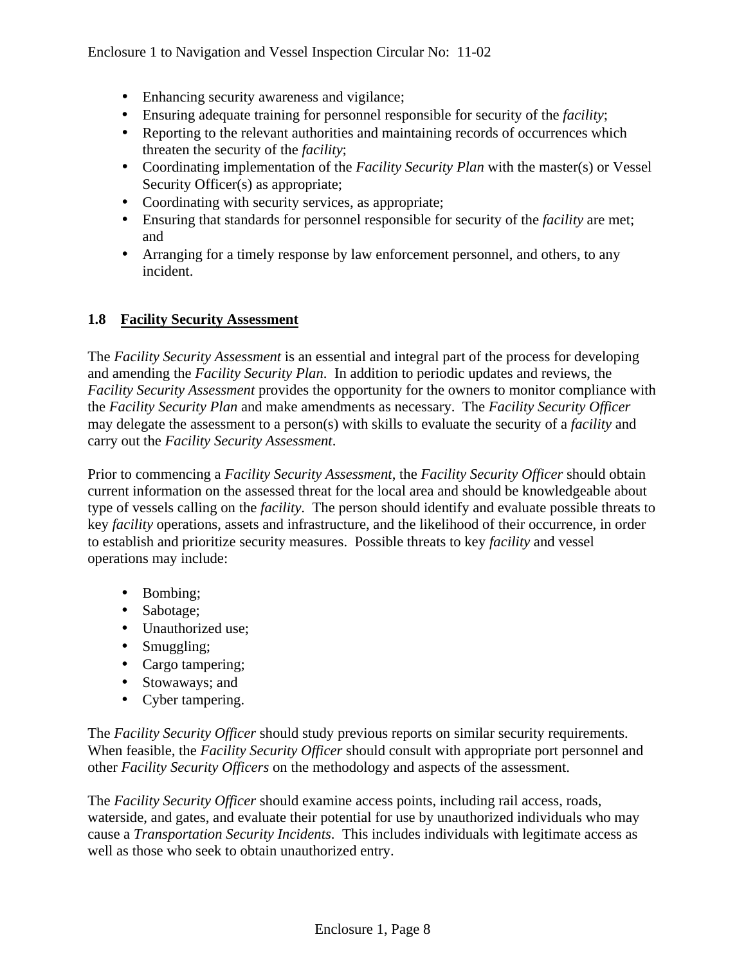- Enhancing security awareness and vigilance;
- Ensuring adequate training for personnel responsible for security of the *facility*;
- Reporting to the relevant authorities and maintaining records of occurrences which threaten the security of the *facility*;
- Coordinating implementation of the *Facility Security Plan* with the master(s) or Vessel Security Officer(s) as appropriate;
- Coordinating with security services, as appropriate;
- Ensuring that standards for personnel responsible for security of the *facility* are met; and
- Arranging for a timely response by law enforcement personnel, and others, to any incident.

# **1.8 Facility Security Assessment**

The *Facility Security Assessment* is an essential and integral part of the process for developing and amending the *Facility Security Plan*. In addition to periodic updates and reviews, the *Facility Security Assessment* provides the opportunity for the owners to monitor compliance with the *Facility Security Plan* and make amendments as necessary. The *Facility Security Officer* may delegate the assessment to a person(s) with skills to evaluate the security of a *facility* and carry out the *Facility Security Assessment*.

Prior to commencing a *Facility Security Assessment*, the *Facility Security Officer* should obtain current information on the assessed threat for the local area and should be knowledgeable about type of vessels calling on the *facility*. The person should identify and evaluate possible threats to key *facility* operations, assets and infrastructure, and the likelihood of their occurrence, in order to establish and prioritize security measures. Possible threats to key *facility* and vessel operations may include:

- Bombing;
- Sabotage;
- Unauthorized use;
- Smuggling;
- Cargo tampering;
- Stowaways; and
- Cyber tampering.

The *Facility Security Officer* should study previous reports on similar security requirements. When feasible, the *Facility Security Officer* should consult with appropriate port personnel and other *Facility Security Officers* on the methodology and aspects of the assessment.

The *Facility Security Officer* should examine access points, including rail access, roads, waterside, and gates, and evaluate their potential for use by unauthorized individuals who may cause a *Transportation Security Incidents*. This includes individuals with legitimate access as well as those who seek to obtain unauthorized entry.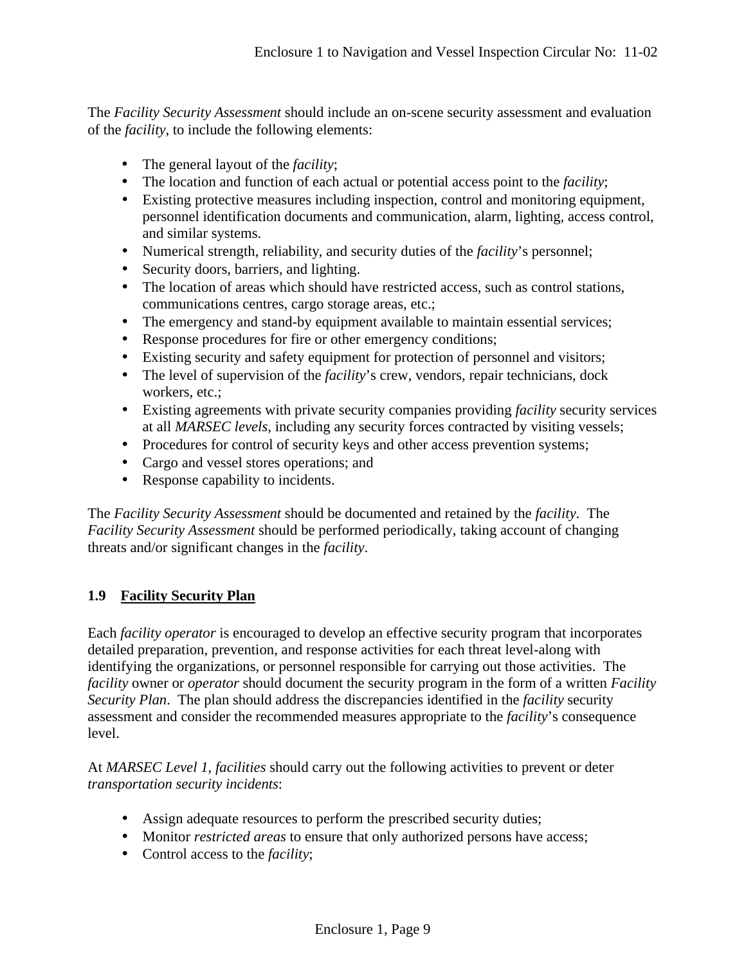The *Facility Security Assessment* should include an on-scene security assessment and evaluation of the *facility*, to include the following elements:

- The general layout of the *facility*;
- The location and function of each actual or potential access point to the *facility*;
- Existing protective measures including inspection, control and monitoring equipment, personnel identification documents and communication, alarm, lighting, access control, and similar systems.
- Numerical strength, reliability, and security duties of the *facility*'s personnel;
- Security doors, barriers, and lighting.
- The location of areas which should have restricted access, such as control stations, communications centres, cargo storage areas, etc.;
- The emergency and stand-by equipment available to maintain essential services;
- Response procedures for fire or other emergency conditions;
- Existing security and safety equipment for protection of personnel and visitors;
- The level of supervision of the *facility*'s crew, vendors, repair technicians, dock workers, etc.;
- Existing agreements with private security companies providing *facility* security services at all *MARSEC levels*, including any security forces contracted by visiting vessels;
- Procedures for control of security keys and other access prevention systems;
- Cargo and vessel stores operations; and
- Response capability to incidents.

The *Facility Security Assessment* should be documented and retained by the *facility*. The *Facility Security Assessment* should be performed periodically, taking account of changing threats and/or significant changes in the *facility*.

# **1.9 Facility Security Plan**

Each *facility operator* is encouraged to develop an effective security program that incorporates detailed preparation, prevention, and response activities for each threat level-along with identifying the organizations, or personnel responsible for carrying out those activities. The *facility* owner or *operator* should document the security program in the form of a written *Facility Security Plan*. The plan should address the discrepancies identified in the *facility* security assessment and consider the recommended measures appropriate to the *facility*'s consequence level.

At *MARSEC Level 1*, *facilities* should carry out the following activities to prevent or deter *transportation security incidents*:

- Assign adequate resources to perform the prescribed security duties;
- Monitor *restricted areas* to ensure that only authorized persons have access;
- Control access to the *facility*;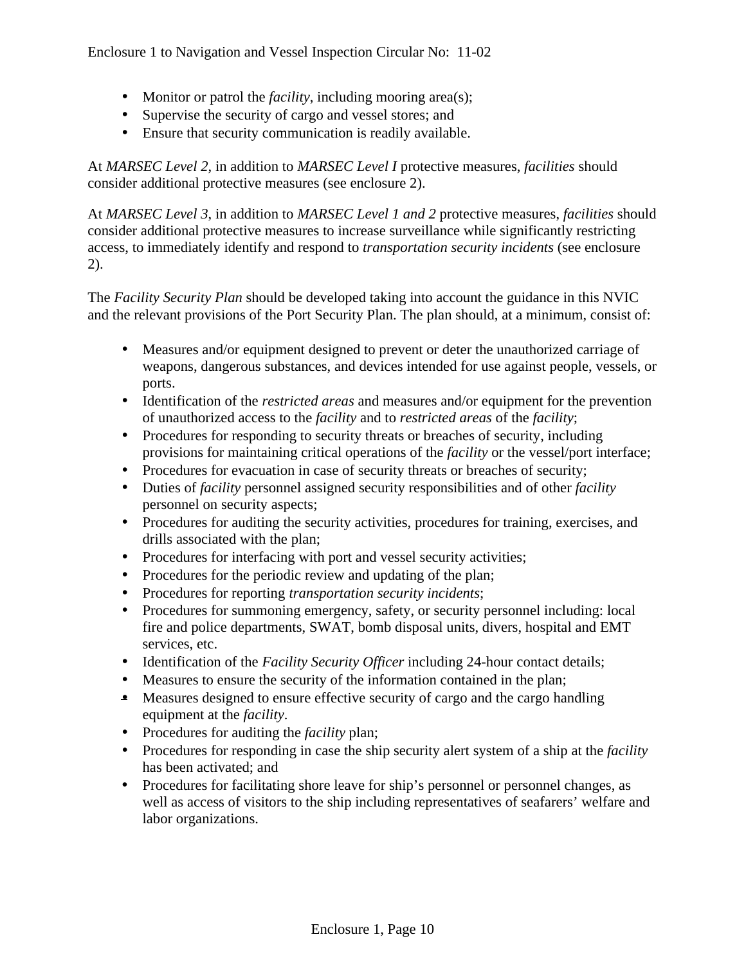- Monitor or patrol the *facility*, including mooring area(s);
- Supervise the security of cargo and vessel stores; and
- Ensure that security communication is readily available.

At *MARSEC Level 2*, in addition to *MARSEC Level I* protective measures, *facilities* should consider additional protective measures (see enclosure 2).

At *MARSEC Level 3*, in addition to *MARSEC Level 1 and 2* protective measures, *facilities* should consider additional protective measures to increase surveillance while significantly restricting access, to immediately identify and respond to *transportation security incidents* (see enclosure 2).

The *Facility Security Plan* should be developed taking into account the guidance in this NVIC and the relevant provisions of the Port Security Plan. The plan should, at a minimum, consist of:

- Measures and/or equipment designed to prevent or deter the unauthorized carriage of weapons, dangerous substances, and devices intended for use against people, vessels, or ports.
- Identification of the *restricted areas* and measures and/or equipment for the prevention of unauthorized access to the *facility* and to *restricted areas* of the *facility*;
- Procedures for responding to security threats or breaches of security, including provisions for maintaining critical operations of the *facility* or the vessel/port interface;
- Procedures for evacuation in case of security threats or breaches of security;
- Duties of *facility* personnel assigned security responsibilities and of other *facility* personnel on security aspects;
- Procedures for auditing the security activities, procedures for training, exercises, and drills associated with the plan;
- Procedures for interfacing with port and vessel security activities;
- Procedures for the periodic review and updating of the plan;
- Procedures for reporting *transportation security incidents*;
- Procedures for summoning emergency, safety, or security personnel including: local fire and police departments, SWAT, bomb disposal units, divers, hospital and EMT services, etc.
- Identification of the *Facility Security Officer* including 24-hour contact details;
- Measures to ensure the security of the information contained in the plan;
- Measures designed to ensure effective security of cargo and the cargo handling equipment at the *facility*.
- Procedures for auditing the *facility* plan;
- Procedures for responding in case the ship security alert system of a ship at the *facility* has been activated; and
- Procedures for facilitating shore leave for ship's personnel or personnel changes, as well as access of visitors to the ship including representatives of seafarers' welfare and labor organizations.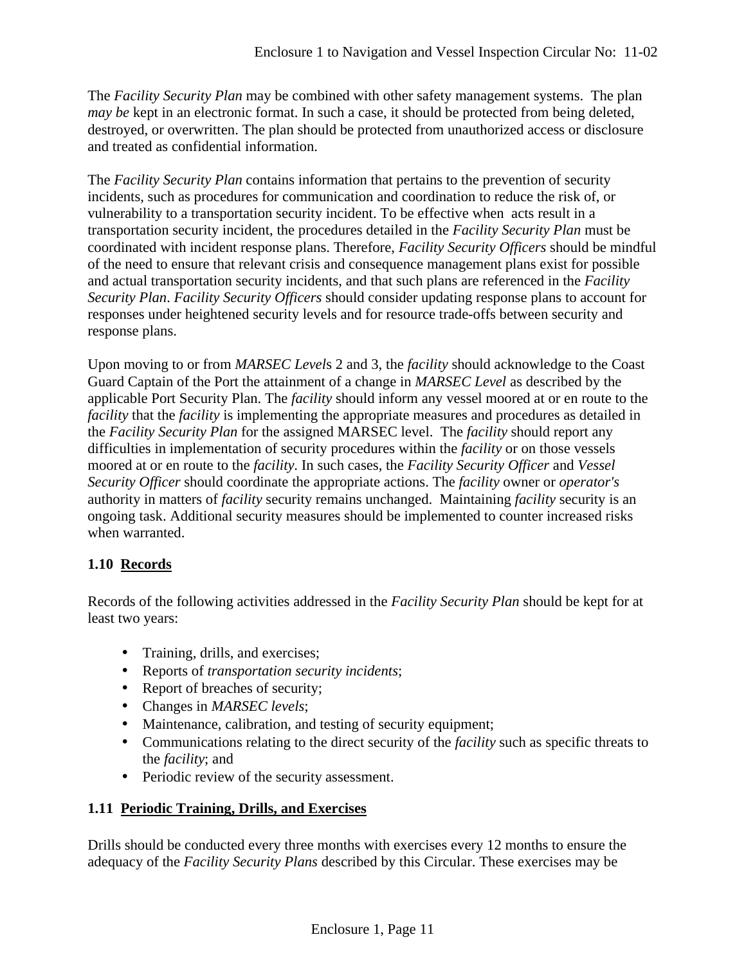The *Facility Security Plan* may be combined with other safety management systems. The plan *may be* kept in an electronic format. In such a case, it should be protected from being deleted, destroyed, or overwritten. The plan should be protected from unauthorized access or disclosure and treated as confidential information.

The *Facility Security Plan* contains information that pertains to the prevention of security incidents, such as procedures for communication and coordination to reduce the risk of, or vulnerability to a transportation security incident. To be effective when acts result in a transportation security incident, the procedures detailed in the *Facility Security Plan* must be coordinated with incident response plans. Therefore, *Facility Security Officers* should be mindful of the need to ensure that relevant crisis and consequence management plans exist for possible and actual transportation security incidents, and that such plans are referenced in the *Facility Security Plan*. *Facility Security Officers* should consider updating response plans to account for responses under heightened security levels and for resource trade-offs between security and response plans.

Upon moving to or from *MARSEC Level*s 2 and 3, the *facility* should acknowledge to the Coast Guard Captain of the Port the attainment of a change in *MARSEC Level* as described by the applicable Port Security Plan. The *facility* should inform any vessel moored at or en route to the *facility* that the *facility* is implementing the appropriate measures and procedures as detailed in the *Facility Security Plan* for the assigned MARSEC level. The *facility* should report any difficulties in implementation of security procedures within the *facility* or on those vessels moored at or en route to the *facility*. In such cases, the *Facility Security Officer* and *Vessel Security Officer* should coordinate the appropriate actions. The *facility* owner or *operator's* authority in matters of *facility* security remains unchanged. Maintaining *facility* security is an ongoing task. Additional security measures should be implemented to counter increased risks when warranted.

# **1.10 Records**

Records of the following activities addressed in the *Facility Security Plan* should be kept for at least two years:

- Training, drills, and exercises;
- Reports of *transportation security incidents*;
- Report of breaches of security;
- Changes in *MARSEC levels*;
- Maintenance, calibration, and testing of security equipment;
- Communications relating to the direct security of the *facility* such as specific threats to the *facility*; and
- Periodic review of the security assessment.

## **1.11 Periodic Training, Drills, and Exercises**

Drills should be conducted every three months with exercises every 12 months to ensure the adequacy of the *Facility Security Plans* described by this Circular. These exercises may be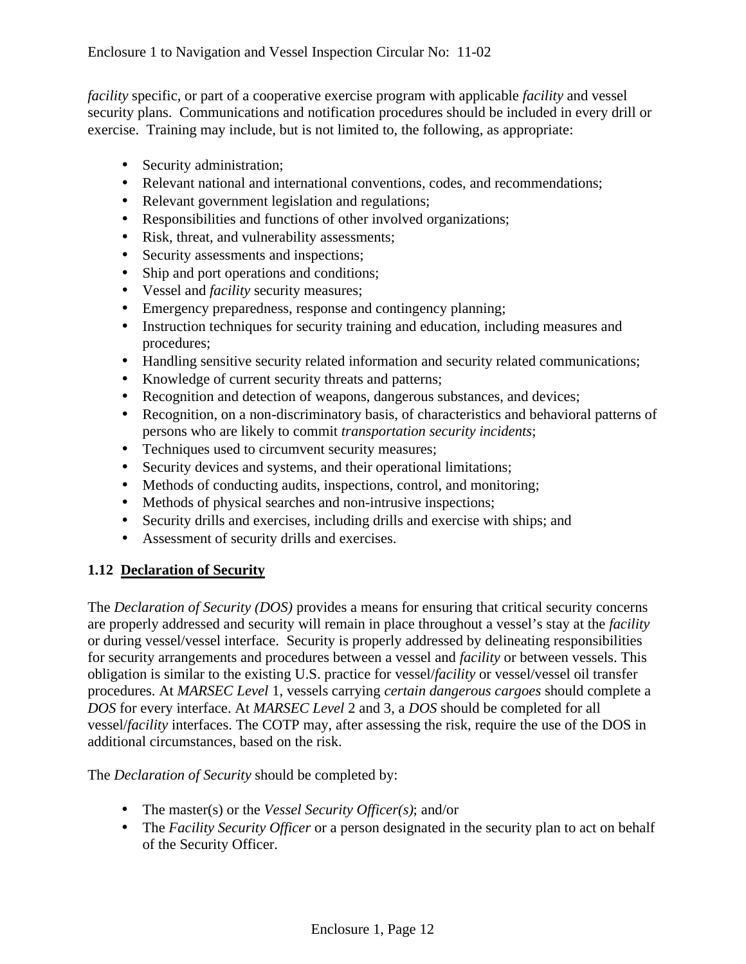*facility* specific, or part of a cooperative exercise program with applicable *facility* and vessel security plans. Communications and notification procedures should be included in every drill or exercise. Training may include, but is not limited to, the following, as appropriate:

- Security administration;
- Relevant national and international conventions, codes, and recommendations;
- Relevant government legislation and regulations;
- Responsibilities and functions of other involved organizations;
- Risk, threat, and vulnerability assessments;
- Security assessments and inspections;
- Ship and port operations and conditions;
- Vessel and *facility* security measures;
- Emergency preparedness, response and contingency planning;
- Instruction techniques for security training and education, including measures and procedures;
- Handling sensitive security related information and security related communications;
- Knowledge of current security threats and patterns;
- Recognition and detection of weapons, dangerous substances, and devices;
- Recognition, on a non-discriminatory basis, of characteristics and behavioral patterns of persons who are likely to commit *transportation security incidents*;
- Techniques used to circumvent security measures;
- Security devices and systems, and their operational limitations;
- Methods of conducting audits, inspections, control, and monitoring;
- Methods of physical searches and non-intrusive inspections;
- Security drills and exercises, including drills and exercise with ships; and
- Assessment of security drills and exercises.

# **1.12 Declaration of Security**

The *Declaration of Security (DOS)* provides a means for ensuring that critical security concerns are properly addressed and security will remain in place throughout a vessel's stay at the *facility*  or during vessel/vessel interface. Security is properly addressed by delineating responsibilities for security arrangements and procedures between a vessel and *facility* or between vessels. This obligation is similar to the existing U.S. practice for vessel/*facility* or vessel/vessel oil transfer procedures. At *MARSEC Level* 1, vessels carrying *certain dangerous cargoes* should complete a *DOS* for every interface. At *MARSEC Level* 2 and 3, a *DOS* should be completed for all vessel/*facility* interfaces. The COTP may, after assessing the risk, require the use of the DOS in additional circumstances, based on the risk.

The *Declaration of Security* should be completed by:

- The master(s) or the *Vessel Security Officer(s)*; and/or
- The *Facility Security Officer* or a person designated in the security plan to act on behalf of the Security Officer.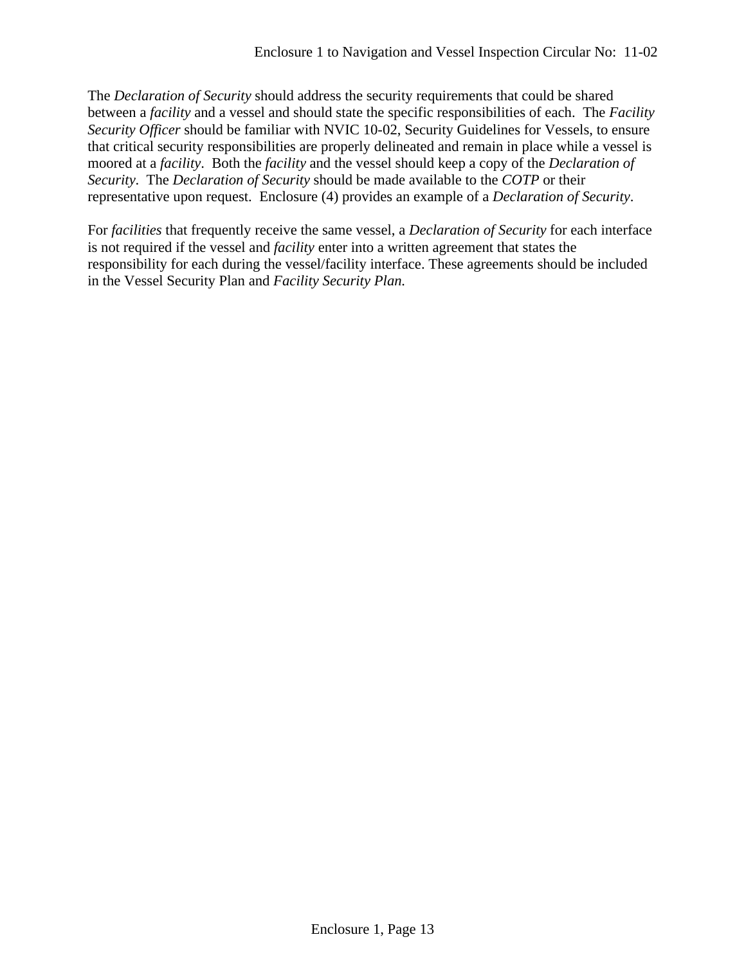The *Declaration of Security* should address the security requirements that could be shared between a *facility* and a vessel and should state the specific responsibilities of each. The *Facility Security Officer* should be familiar with NVIC 10-02, Security Guidelines for Vessels, to ensure that critical security responsibilities are properly delineated and remain in place while a vessel is moored at a *facility*. Both the *facility* and the vessel should keep a copy of the *Declaration of Security*. The *Declaration of Security* should be made available to the *COTP* or their representative upon request. Enclosure (4) provides an example of a *Declaration of Security*.

For *facilities* that frequently receive the same vessel, a *Declaration of Security* for each interface is not required if the vessel and *facility* enter into a written agreement that states the responsibility for each during the vessel/facility interface. These agreements should be included in the Vessel Security Plan and *Facility Security Plan.*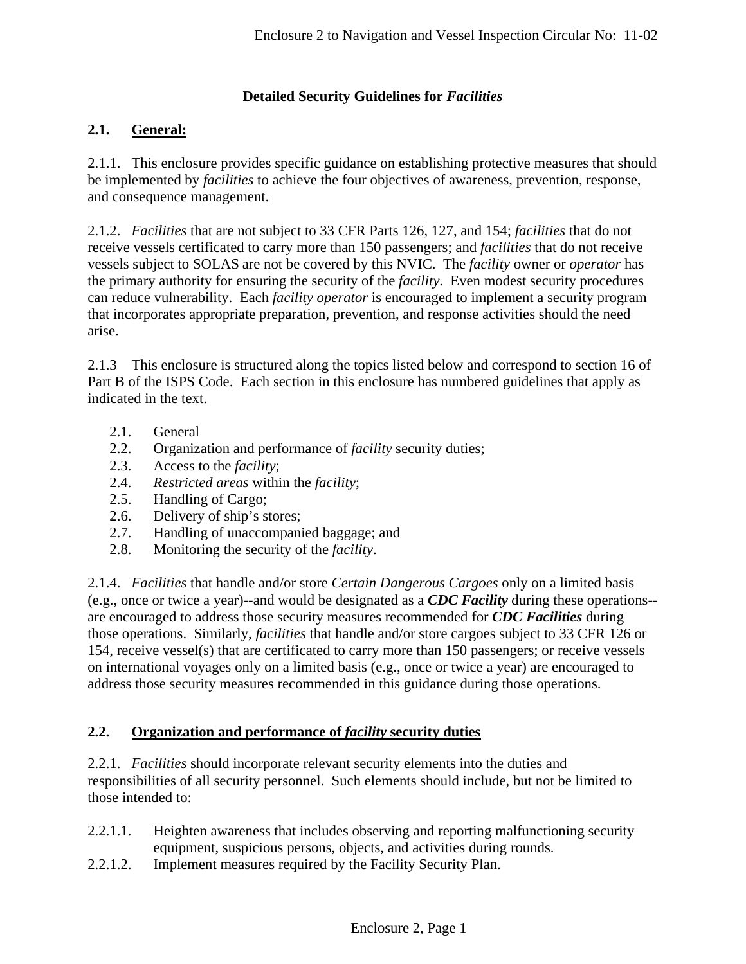# **Detailed Security Guidelines for** *Facilities*

# **2.1. General:**

2.1.1. This enclosure provides specific guidance on establishing protective measures that should be implemented by *facilities* to achieve the four objectives of awareness, prevention, response, and consequence management.

2.1.2. *Facilities* that are not subject to 33 CFR Parts 126, 127, and 154; *facilities* that do not receive vessels certificated to carry more than 150 passengers; and *facilities* that do not receive vessels subject to SOLAS are not be covered by this NVIC. The *facility* owner or *operator* has the primary authority for ensuring the security of the *facility*. Even modest security procedures can reduce vulnerability. Each *facility operator* is encouraged to implement a security program that incorporates appropriate preparation, prevention, and response activities should the need arise.

2.1.3 This enclosure is structured along the topics listed below and correspond to section 16 of Part B of the ISPS Code. Each section in this enclosure has numbered guidelines that apply as indicated in the text.

- 2.1. General
- 2.2. Organization and performance of *facility* security duties;
- 2.3. Access to the *facility*;
- 2.4. *Restricted areas* within the *facility*;
- 2.5. Handling of Cargo;
- 2.6. Delivery of ship's stores;
- 2.7. Handling of unaccompanied baggage; and
- 2.8. Monitoring the security of the *facility*.

2.1.4. *Facilities* that handle and/or store *Certain Dangerous Cargoes* only on a limited basis (e.g., once or twice a year)--and would be designated as a *CDC Facility* during these operations- are encouraged to address those security measures recommended for *CDC Facilities* during those operations. Similarly, *facilities* that handle and/or store cargoes subject to 33 CFR 126 or 154, receive vessel(s) that are certificated to carry more than 150 passengers; or receive vessels on international voyages only on a limited basis (e.g., once or twice a year) are encouraged to address those security measures recommended in this guidance during those operations.

## **2.2. Organization and performance of** *facility* **security duties**

2.2.1. *Facilities* should incorporate relevant security elements into the duties and responsibilities of all security personnel. Such elements should include, but not be limited to those intended to:

- 2.2.1.1. Heighten awareness that includes observing and reporting malfunctioning security equipment, suspicious persons, objects, and activities during rounds.
- 2.2.1.2. Implement measures required by the Facility Security Plan.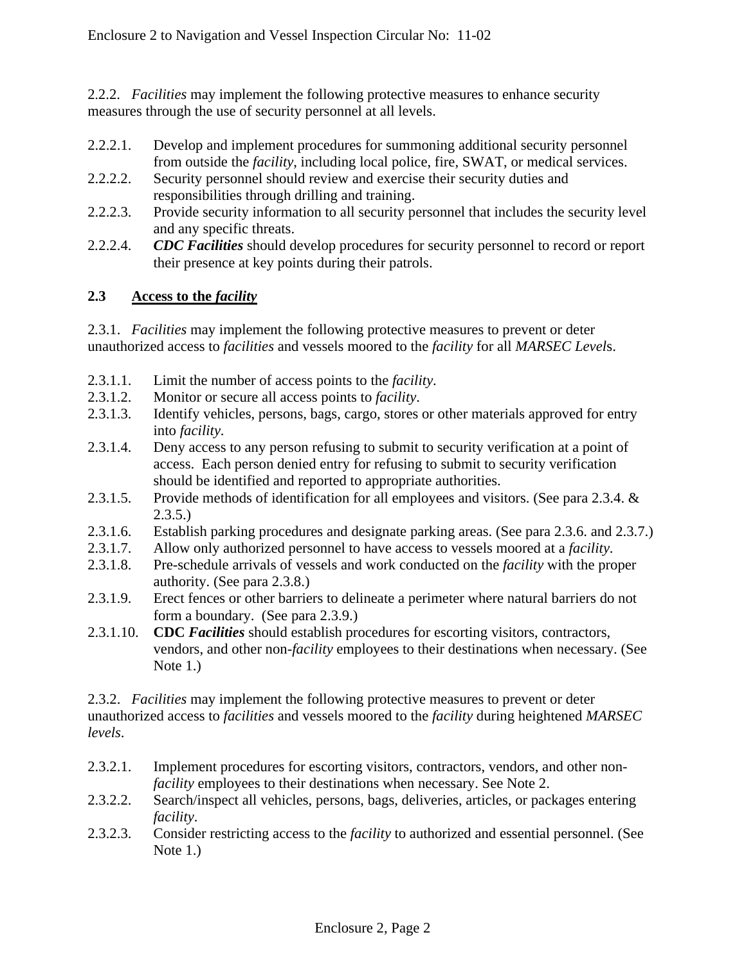2.2.2. *Facilities* may implement the following protective measures to enhance security measures through the use of security personnel at all levels.

- 2.2.2.1. Develop and implement procedures for summoning additional security personnel from outside the *facility*, including local police, fire, SWAT, or medical services.
- 2.2.2.2. Security personnel should review and exercise their security duties and responsibilities through drilling and training.
- 2.2.2.3. Provide security information to all security personnel that includes the security level and any specific threats.
- 2*.*2.2.4. *CDC Facilities* should develop procedures for security personnel to record or report their presence at key points during their patrols.

# **2.3 Access to the** *facility*

2*.*3.1. *Facilities* may implement the following protective measures to prevent or deter unauthorized access to *facilities* and vessels moored to the *facility* for all *MARSEC Level*s.

- 2*.*3.1.1. Limit the number of access points to the *facility*.
- 2.3.1.2. Monitor or secure all access points to *facility*.
- 2*.*3.1.3. Identify vehicles, persons, bags, cargo, stores or other materials approved for entry into *facility*.
- 2.3.1.4. Deny access to any person refusing to submit to security verification at a point of access. Each person denied entry for refusing to submit to security verification should be identified and reported to appropriate authorities.
- 2.3.1.5. Provide methods of identification for all employees and visitors. (See para 2.3.4. & 2.3.5.)
- 2.3.1.6. Establish parking procedures and designate parking areas. (See para 2.3.6. and 2.3.7.)
- 2.3.1.7. Allow only authorized personnel to have access to vessels moored at a *facility*.
- 2.3.1.8. Pre-schedule arrivals of vessels and work conducted on the *facility* with the proper authority. (See para 2.3.8.)
- 2.3.1.9. Erect fences or other barriers to delineate a perimeter where natural barriers do not form a boundary. (See para 2.3.9.)
- 2.3.1.10. **CDC** *Facilities* should establish procedures for escorting visitors, contractors, vendors, and other non-*facility* employees to their destinations when necessary. (See Note 1.)

2.3.2. *Facilities* may implement the following protective measures to prevent or deter unauthorized access to *facilities* and vessels moored to the *facility* during heightened *MARSEC levels*.

- 2.3.2.1. Implement procedures for escorting visitors, contractors, vendors, and other non*facility* employees to their destinations when necessary. See Note 2.
- 2.3.2.2. Search/inspect all vehicles, persons, bags, deliveries, articles, or packages entering *facility*.
- 2.3.2.3. Consider restricting access to the *facility* to authorized and essential personnel. (See Note 1.)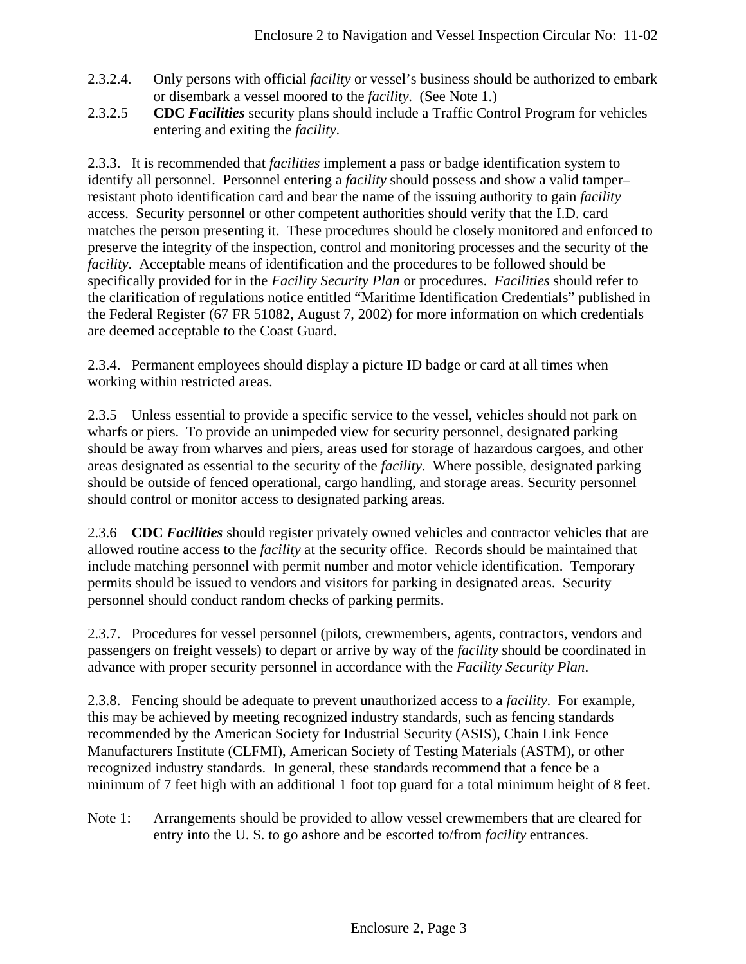- 2.3.2.4. Only persons with official *facility* or vessel's business should be authorized to embark or disembark a vessel moored to the *facility*. (See Note 1.)
- 2.3.2.5 **CDC** *Facilities* security plans should include a Traffic Control Program for vehicles entering and exiting the *facility*.

2.3.3. It is recommended that *facilities* implement a pass or badge identification system to identify all personnel. Personnel entering a *facility* should possess and show a valid tamper– resistant photo identification card and bear the name of the issuing authority to gain *facility* access. Security personnel or other competent authorities should verify that the I.D. card matches the person presenting it. These procedures should be closely monitored and enforced to preserve the integrity of the inspection, control and monitoring processes and the security of the *facility*. Acceptable means of identification and the procedures to be followed should be specifically provided for in the *Facility Security Plan* or procedures. *Facilities* should refer to the clarification of regulations notice entitled "Maritime Identification Credentials" published in the Federal Register (67 FR 51082, August 7, 2002) for more information on which credentials are deemed acceptable to the Coast Guard.

2.3.4. Permanent employees should display a picture ID badge or card at all times when working within restricted areas.

2.3.5 Unless essential to provide a specific service to the vessel, vehicles should not park on wharfs or piers. To provide an unimpeded view for security personnel, designated parking should be away from wharves and piers, areas used for storage of hazardous cargoes, and other areas designated as essential to the security of the *facility*. Where possible, designated parking should be outside of fenced operational, cargo handling, and storage areas. Security personnel should control or monitor access to designated parking areas.

2.3.6 **CDC** *Facilities* should register privately owned vehicles and contractor vehicles that are allowed routine access to the *facility* at the security office. Records should be maintained that include matching personnel with permit number and motor vehicle identification. Temporary permits should be issued to vendors and visitors for parking in designated areas. Security personnel should conduct random checks of parking permits.

2.3.7. Procedures for vessel personnel (pilots, crewmembers, agents, contractors, vendors and passengers on freight vessels) to depart or arrive by way of the *facility* should be coordinated in advance with proper security personnel in accordance with the *Facility Security Plan*.

2.3.8. Fencing should be adequate to prevent unauthorized access to a *facility*. For example, this may be achieved by meeting recognized industry standards, such as fencing standards recommended by the American Society for Industrial Security (ASIS), Chain Link Fence Manufacturers Institute (CLFMI), American Society of Testing Materials (ASTM), or other recognized industry standards. In general, these standards recommend that a fence be a minimum of 7 feet high with an additional 1 foot top guard for a total minimum height of 8 feet.

Note 1: Arrangements should be provided to allow vessel crewmembers that are cleared for entry into the U. S. to go ashore and be escorted to/from *facility* entrances.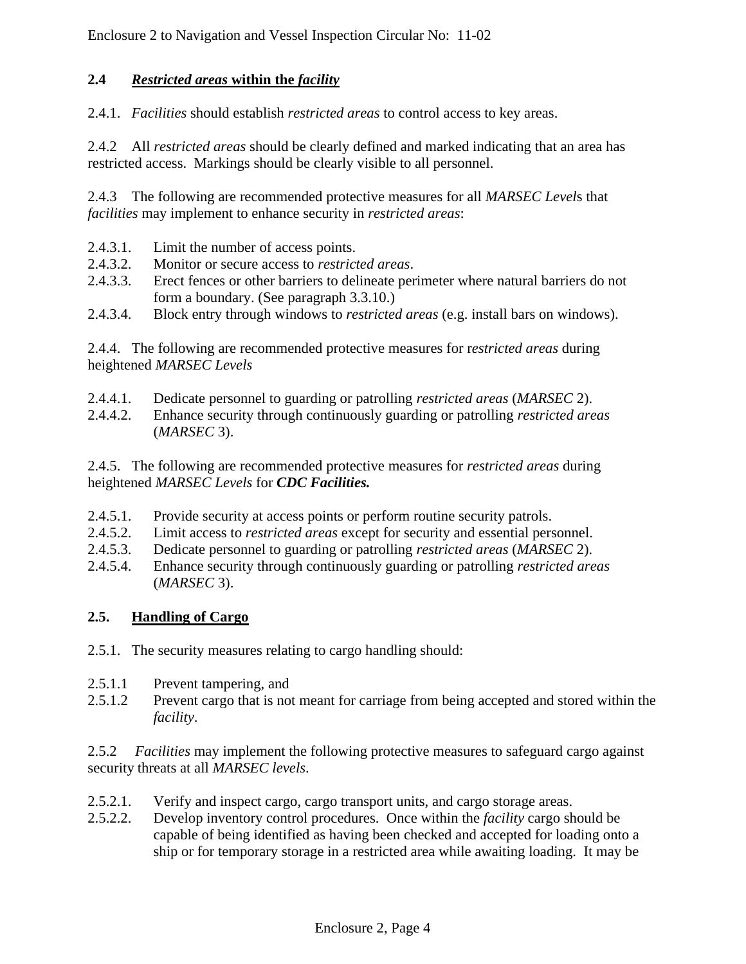# **2.4** *Restricted areas* **within the** *facility*

2.4.1. *Facilities* should establish *restricted areas* to control access to key areas.

2.4.2 All *restricted areas* should be clearly defined and marked indicating that an area has restricted access. Markings should be clearly visible to all personnel.

2.4.3 The following are recommended protective measures for all *MARSEC Level*s that *facilities* may implement to enhance security in *restricted areas*:

- 2.4.3.1. Limit the number of access points.
- 2.4.3.2. Monitor or secure access to *restricted areas*.
- 2.4.3.3. Erect fences or other barriers to delineate perimeter where natural barriers do not form a boundary. (See paragraph 3.3.10.)
- 2.4.3.4. Block entry through windows to *restricted areas* (e.g. install bars on windows).

2.4.4. The following are recommended protective measures for r*estricted areas* during heightened *MARSEC Levels*

- 2.4.4.1. Dedicate personnel to guarding or patrolling *restricted areas* (*MARSEC* 2).
- 2.4.4.2. Enhance security through continuously guarding or patrolling *restricted areas* (*MARSEC* 3).

2.4.5. The following are recommended protective measures for *restricted areas* during heightened *MARSEC Levels* for *CDC Facilities.*

- 2.4.5.1. Provide security at access points or perform routine security patrols.
- 2.4.5.2. Limit access to *restricted areas* except for security and essential personnel.
- 2.4.5.3. Dedicate personnel to guarding or patrolling *restricted areas* (*MARSEC* 2).
- 2.4.5.4. Enhance security through continuously guarding or patrolling *restricted areas* (*MARSEC* 3).

# **2.5. Handling of Cargo**

- 2.5.1. The security measures relating to cargo handling should:
- 2.5.1.1 Prevent tampering, and
- 2.5.1.2 Prevent cargo that is not meant for carriage from being accepted and stored within the *facility*.

2.5.2 *Facilities* may implement the following protective measures to safeguard cargo against security threats at all *MARSEC levels*.

- 2.5.2.1. Verify and inspect cargo, cargo transport units, and cargo storage areas.
- 2.5.2.2. Develop inventory control procedures. Once within the *facility* cargo should be capable of being identified as having been checked and accepted for loading onto a ship or for temporary storage in a restricted area while awaiting loading. It may be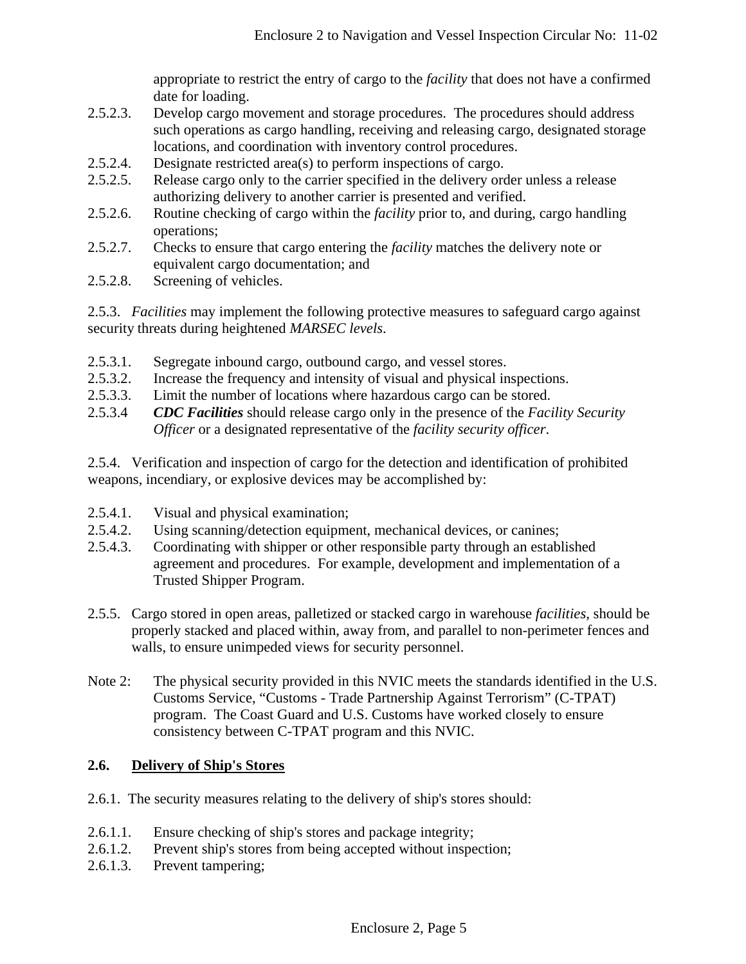appropriate to restrict the entry of cargo to the *facility* that does not have a confirmed date for loading.

- 2.5.2.3. Develop cargo movement and storage procedures. The procedures should address such operations as cargo handling, receiving and releasing cargo, designated storage locations, and coordination with inventory control procedures.
- 2.5.2.4. Designate restricted area(s) to perform inspections of cargo.
- 2.5.2.5. Release cargo only to the carrier specified in the delivery order unless a release authorizing delivery to another carrier is presented and verified.
- 2.5.2.6. Routine checking of cargo within the *facility* prior to, and during, cargo handling operations;
- 2.5.2.7. Checks to ensure that cargo entering the *facility* matches the delivery note or equivalent cargo documentation; and
- 2.5.2.8. Screening of vehicles.

2.5.3. *Facilities* may implement the following protective measures to safeguard cargo against security threats during heightened *MARSEC levels*.

- 2.5.3.1. Segregate inbound cargo, outbound cargo, and vessel stores.
- 2.5.3.2. Increase the frequency and intensity of visual and physical inspections.
- 2.5.3.3. Limit the number of locations where hazardous cargo can be stored.
- 2.5.3.4 *CDC Facilities* should release cargo only in the presence of the *Facility Security Officer* or a designated representative of the *facility security officer*.

2.5.4. Verification and inspection of cargo for the detection and identification of prohibited weapons, incendiary, or explosive devices may be accomplished by:

- 2.5.4.1. Visual and physical examination;
- 2.5.4.2. Using scanning/detection equipment, mechanical devices, or canines;
- 2.5.4.3. Coordinating with shipper or other responsible party through an established agreement and procedures. For example, development and implementation of a Trusted Shipper Program.
- 2.5.5. Cargo stored in open areas, palletized or stacked cargo in warehouse *facilities*, should be properly stacked and placed within, away from, and parallel to non-perimeter fences and walls, to ensure unimpeded views for security personnel.
- Note 2: The physical security provided in this NVIC meets the standards identified in the U.S. Customs Service, "Customs - Trade Partnership Against Terrorism" (C-TPAT) program. The Coast Guard and U.S. Customs have worked closely to ensure consistency between C-TPAT program and this NVIC.

#### **2.6. Delivery of Ship's Stores**

- 2.6.1. The security measures relating to the delivery of ship's stores should:
- 2.6.1.1. Ensure checking of ship's stores and package integrity;
- 2.6.1.2. Prevent ship's stores from being accepted without inspection;
- 2.6.1.3. Prevent tampering;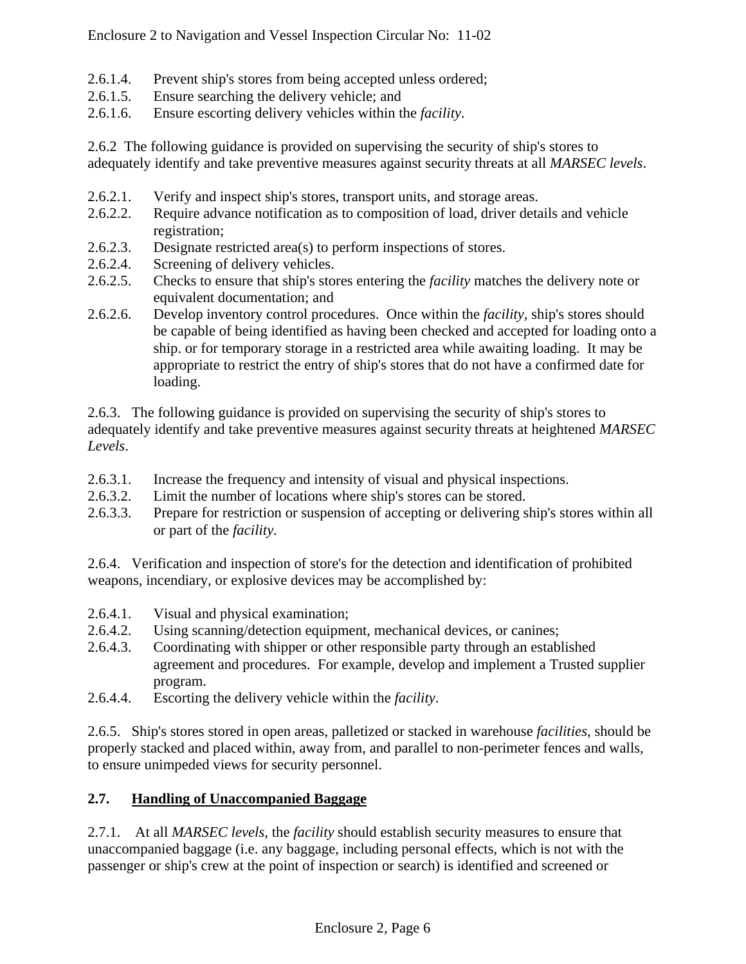- 2.6.1.4. Prevent ship's stores from being accepted unless ordered;
- 2.6.1.5. Ensure searching the delivery vehicle; and
- 2.6.1.6. Ensure escorting delivery vehicles within the *facility*.

2.6.2 The following guidance is provided on supervising the security of ship's stores to adequately identify and take preventive measures against security threats at all *MARSEC levels*.

- 2.6.2.1. Verify and inspect ship's stores, transport units, and storage areas.
- 2.6.2.2. Require advance notification as to composition of load, driver details and vehicle registration;
- 2.6.2.3. Designate restricted area(s) to perform inspections of stores.
- 2.6.2.4. Screening of delivery vehicles.
- 2.6.2.5. Checks to ensure that ship's stores entering the *facility* matches the delivery note or equivalent documentation; and
- 2.6.2.6. Develop inventory control procedures. Once within the *facility,* ship's stores should be capable of being identified as having been checked and accepted for loading onto a ship. or for temporary storage in a restricted area while awaiting loading. It may be appropriate to restrict the entry of ship's stores that do not have a confirmed date for loading.

2.6.3. The following guidance is provided on supervising the security of ship's stores to adequately identify and take preventive measures against security threats at heightened *MARSEC Levels*.

- 2.6.3.1. Increase the frequency and intensity of visual and physical inspections.
- 2.6.3.2. Limit the number of locations where ship's stores can be stored.
- 2.6.3.3. Prepare for restriction or suspension of accepting or delivering ship's stores within all or part of the *facility*.

2.6.4. Verification and inspection of store's for the detection and identification of prohibited weapons, incendiary, or explosive devices may be accomplished by:

- 2.6.4.1. Visual and physical examination;
- 2.6.4.2. Using scanning/detection equipment, mechanical devices, or canines;
- 2.6.4.3. Coordinating with shipper or other responsible party through an established agreement and procedures. For example, develop and implement a Trusted supplier program.
- 2.6.4.4. Escorting the delivery vehicle within the *facility*.

2.6.5. Ship's stores stored in open areas, palletized or stacked in warehouse *facilities*, should be properly stacked and placed within, away from, and parallel to non-perimeter fences and walls, to ensure unimpeded views for security personnel.

# **2.7. Handling of Unaccompanied Baggage**

2.7.1. At all *MARSEC levels*, the *facility* should establish security measures to ensure that unaccompanied baggage (i.e. any baggage, including personal effects, which is not with the passenger or ship's crew at the point of inspection or search) is identified and screened or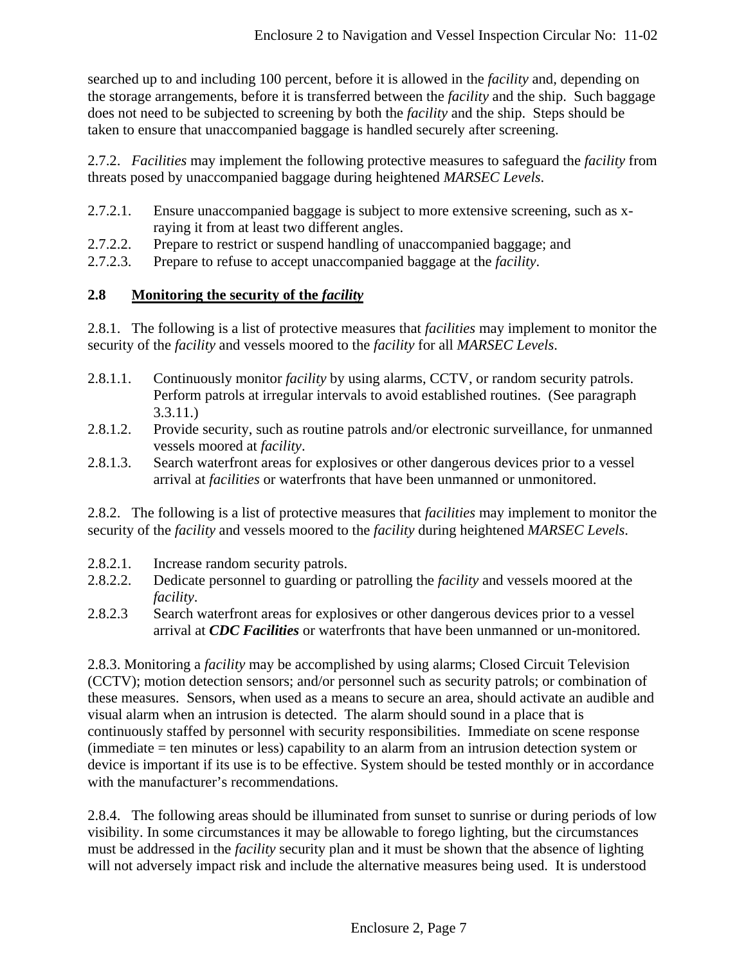searched up to and including 100 percent, before it is allowed in the *facility* and, depending on the storage arrangements, before it is transferred between the *facility* and the ship. Such baggage does not need to be subjected to screening by both the *facility* and the ship. Steps should be taken to ensure that unaccompanied baggage is handled securely after screening.

2.7.2. *Facilities* may implement the following protective measures to safeguard the *facility* from threats posed by unaccompanied baggage during heightened *MARSEC Levels*.

- 2.7.2.1. Ensure unaccompanied baggage is subject to more extensive screening, such as xraying it from at least two different angles.
- 2.7.2.2. Prepare to restrict or suspend handling of unaccompanied baggage; and
- 2.7.2.3. Prepare to refuse to accept unaccompanied baggage at the *facility*.

# **2.8 Monitoring the security of the** *facility*

2.8.1. The following is a list of protective measures that *facilities* may implement to monitor the security of the *facility* and vessels moored to the *facility* for all *MARSEC Levels*.

- 2.8.1.1. Continuously monitor *facility* by using alarms, CCTV, or random security patrols. Perform patrols at irregular intervals to avoid established routines. (See paragraph 3.3.11.)
- 2.8.1.2. Provide security, such as routine patrols and/or electronic surveillance, for unmanned vessels moored at *facility*.
- 2.8.1.3. Search waterfront areas for explosives or other dangerous devices prior to a vessel arrival at *facilities* or waterfronts that have been unmanned or unmonitored.

2.8.2. The following is a list of protective measures that *facilities* may implement to monitor the security of the *facility* and vessels moored to the *facility* during heightened *MARSEC Levels*.

- 2.8.2.1. Increase random security patrols.
- 2.8.2.2. Dedicate personnel to guarding or patrolling the *facility* and vessels moored at the *facility*.
- 2.8.2.3 Search waterfront areas for explosives or other dangerous devices prior to a vessel arrival at *CDC Facilities* or waterfronts that have been unmanned or un-monitored.

2.8.3. Monitoring a *facility* may be accomplished by using alarms; Closed Circuit Television (CCTV); motion detection sensors; and/or personnel such as security patrols; or combination of these measures. Sensors, when used as a means to secure an area, should activate an audible and visual alarm when an intrusion is detected. The alarm should sound in a place that is continuously staffed by personnel with security responsibilities. Immediate on scene response (immediate = ten minutes or less) capability to an alarm from an intrusion detection system or device is important if its use is to be effective. System should be tested monthly or in accordance with the manufacturer's recommendations.

2.8.4. The following areas should be illuminated from sunset to sunrise or during periods of low visibility. In some circumstances it may be allowable to forego lighting, but the circumstances must be addressed in the *facility* security plan and it must be shown that the absence of lighting will not adversely impact risk and include the alternative measures being used. It is understood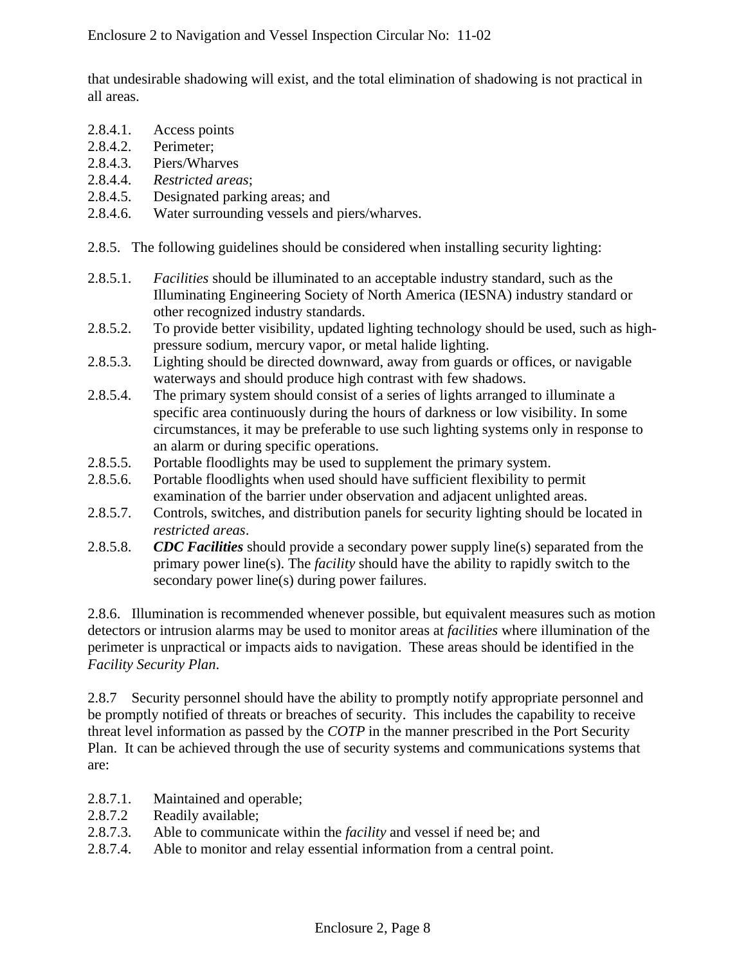that undesirable shadowing will exist, and the total elimination of shadowing is not practical in all areas.

- 2.8.4.1. Access points
- 2.8.4.2. Perimeter;
- 2.8.4.3. Piers/Wharves
- 2.8.4.4. *Restricted areas*;
- 2.8.4.5. Designated parking areas; and
- 2.8.4.6. Water surrounding vessels and piers/wharves.
- 2.8.5. The following guidelines should be considered when installing security lighting:
- 2.8.5.1. *Facilities* should be illuminated to an acceptable industry standard, such as the Illuminating Engineering Society of North America (IESNA) industry standard or other recognized industry standards.
- 2.8.5.2. To provide better visibility, updated lighting technology should be used, such as highpressure sodium, mercury vapor, or metal halide lighting.
- 2.8.5.3. Lighting should be directed downward, away from guards or offices, or navigable waterways and should produce high contrast with few shadows.
- 2.8.5.4. The primary system should consist of a series of lights arranged to illuminate a specific area continuously during the hours of darkness or low visibility. In some circumstances, it may be preferable to use such lighting systems only in response to an alarm or during specific operations.
- 2.8.5.5. Portable floodlights may be used to supplement the primary system.
- 2.8.5.6. Portable floodlights when used should have sufficient flexibility to permit examination of the barrier under observation and adjacent unlighted areas.
- 2.8.5.7. Controls, switches, and distribution panels for security lighting should be located in *restricted areas*.
- 2.8.5.8. *CDC Facilities* should provide a secondary power supply line(s) separated from the primary power line(s). The *facility* should have the ability to rapidly switch to the secondary power line(s) during power failures.

2.8.6. Illumination is recommended whenever possible, but equivalent measures such as motion detectors or intrusion alarms may be used to monitor areas at *facilities* where illumination of the perimeter is unpractical or impacts aids to navigation. These areas should be identified in the *Facility Security Plan*.

2.8.7 Security personnel should have the ability to promptly notify appropriate personnel and be promptly notified of threats or breaches of security. This includes the capability to receive threat level information as passed by the *COTP* in the manner prescribed in the Port Security Plan. It can be achieved through the use of security systems and communications systems that are:

- 2.8.7.1. Maintained and operable;
- 2.8.7.2 Readily available;
- 2.8.7.3. Able to communicate within the *facility* and vessel if need be; and
- 2.8.7.4. Able to monitor and relay essential information from a central point.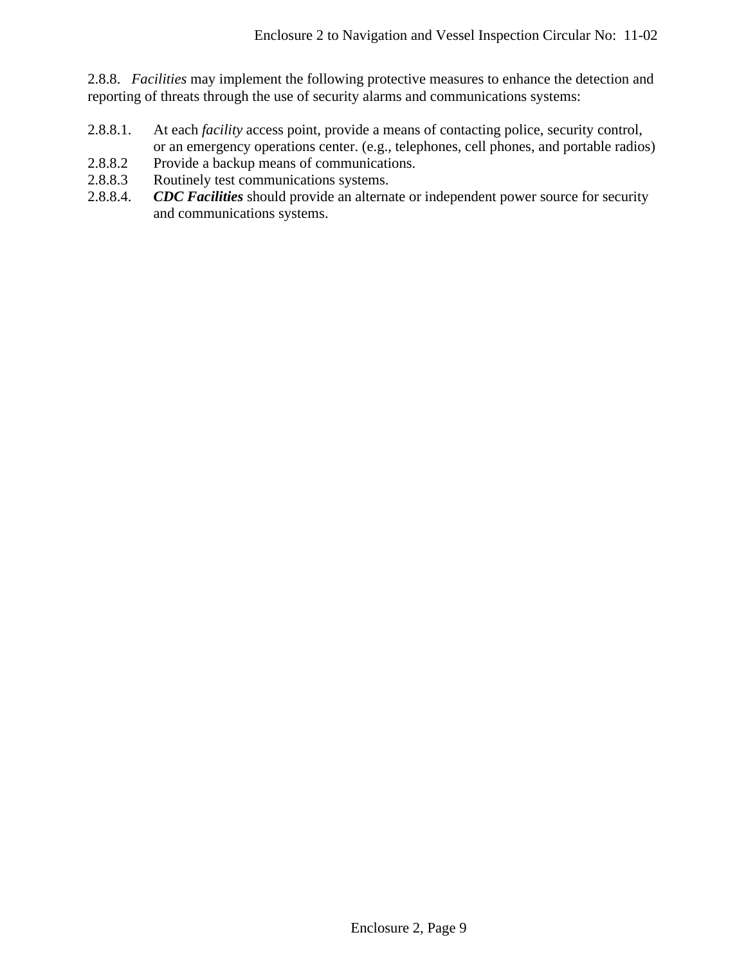2.8.8. *Facilities* may implement the following protective measures to enhance the detection and reporting of threats through the use of security alarms and communications systems:

- 2.8.8.1. At each *facility* access point, provide a means of contacting police, security control, or an emergency operations center. (e.g., telephones, cell phones, and portable radios)
- 2.8.8.2 Provide a backup means of communications.
- 2.8.8.3 Routinely test communications systems.
- 2.8.8.4. *CDC Facilities* should provide an alternate or independent power source for security and communications systems.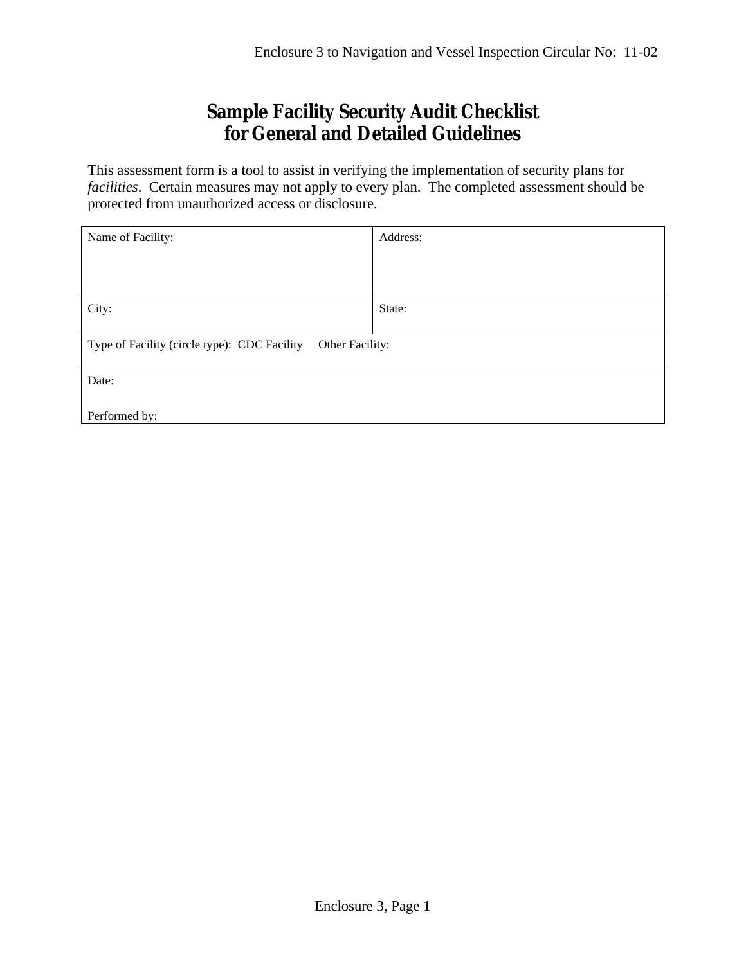# **Sample Facility Security Audit Checklist for General and Detailed Guidelines**

This assessment form is a tool to assist in verifying the implementation of security plans for *facilities*. Certain measures may not apply to every plan. The completed assessment should be protected from unauthorized access or disclosure.

| Name of Facility:                                               | Address: |
|-----------------------------------------------------------------|----------|
|                                                                 |          |
|                                                                 |          |
|                                                                 |          |
| City:                                                           | State:   |
|                                                                 |          |
| Type of Facility (circle type): CDC Facility<br>Other Facility: |          |
|                                                                 |          |
| Date:                                                           |          |
|                                                                 |          |
| Performed by:                                                   |          |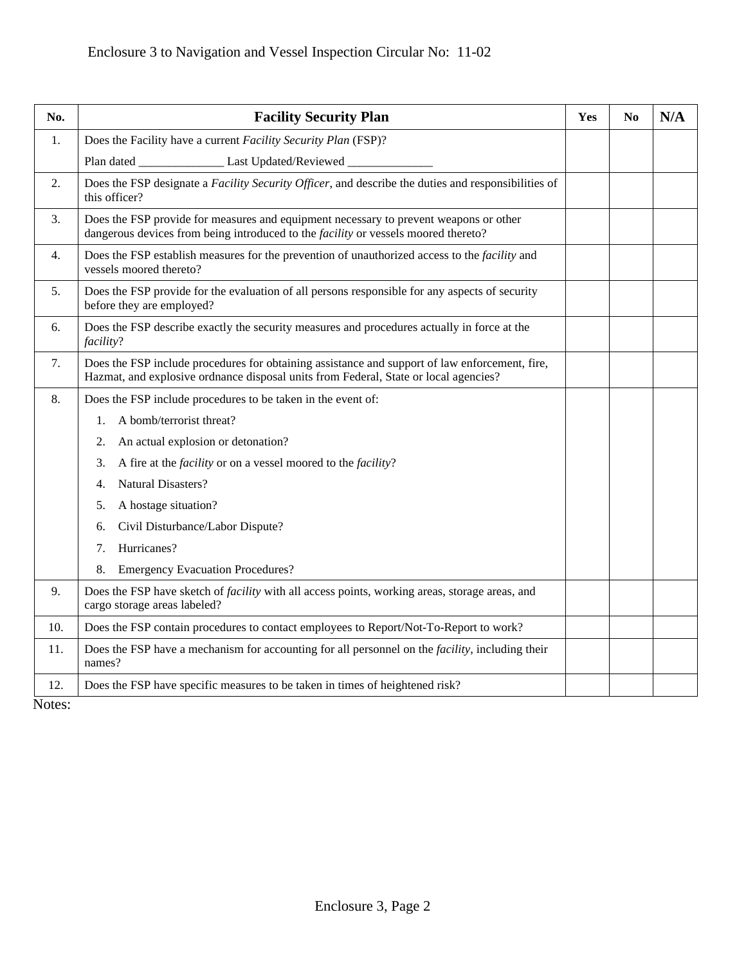| No. | <b>Facility Security Plan</b>                                                                                                                                                          | Yes | N <sub>0</sub> | N/A |
|-----|----------------------------------------------------------------------------------------------------------------------------------------------------------------------------------------|-----|----------------|-----|
| 1.  | Does the Facility have a current Facility Security Plan (FSP)?                                                                                                                         |     |                |     |
|     | Plan dated ______________________ Last Updated/Reviewed _____                                                                                                                          |     |                |     |
| 2.  | Does the FSP designate a Facility Security Officer, and describe the duties and responsibilities of<br>this officer?                                                                   |     |                |     |
| 3.  | Does the FSP provide for measures and equipment necessary to prevent weapons or other<br>dangerous devices from being introduced to the facility or vessels moored thereto?            |     |                |     |
| 4.  | Does the FSP establish measures for the prevention of unauthorized access to the <i>facility</i> and<br>vessels moored thereto?                                                        |     |                |     |
| 5.  | Does the FSP provide for the evaluation of all persons responsible for any aspects of security<br>before they are employed?                                                            |     |                |     |
| 6.  | Does the FSP describe exactly the security measures and procedures actually in force at the<br>facility?                                                                               |     |                |     |
| 7.  | Does the FSP include procedures for obtaining assistance and support of law enforcement, fire,<br>Hazmat, and explosive ordnance disposal units from Federal, State or local agencies? |     |                |     |
| 8.  | Does the FSP include procedures to be taken in the event of:                                                                                                                           |     |                |     |
|     | A bomb/terrorist threat?<br>1.                                                                                                                                                         |     |                |     |
|     | An actual explosion or detonation?<br>2.                                                                                                                                               |     |                |     |
|     | A fire at the <i>facility</i> or on a vessel moored to the <i>facility</i> ?<br>3.                                                                                                     |     |                |     |
|     | Natural Disasters?<br>4.                                                                                                                                                               |     |                |     |
|     | A hostage situation?<br>5.                                                                                                                                                             |     |                |     |
|     | Civil Disturbance/Labor Dispute?<br>6.                                                                                                                                                 |     |                |     |
|     | Hurricanes?<br>7.                                                                                                                                                                      |     |                |     |
|     | <b>Emergency Evacuation Procedures?</b><br>8.                                                                                                                                          |     |                |     |
| 9.  | Does the FSP have sketch of <i>facility</i> with all access points, working areas, storage areas, and<br>cargo storage areas labeled?                                                  |     |                |     |
| 10. | Does the FSP contain procedures to contact employees to Report/Not-To-Report to work?                                                                                                  |     |                |     |
| 11. | Does the FSP have a mechanism for accounting for all personnel on the <i>facility</i> , including their<br>names?                                                                      |     |                |     |
| 12. | Does the FSP have specific measures to be taken in times of heightened risk?                                                                                                           |     |                |     |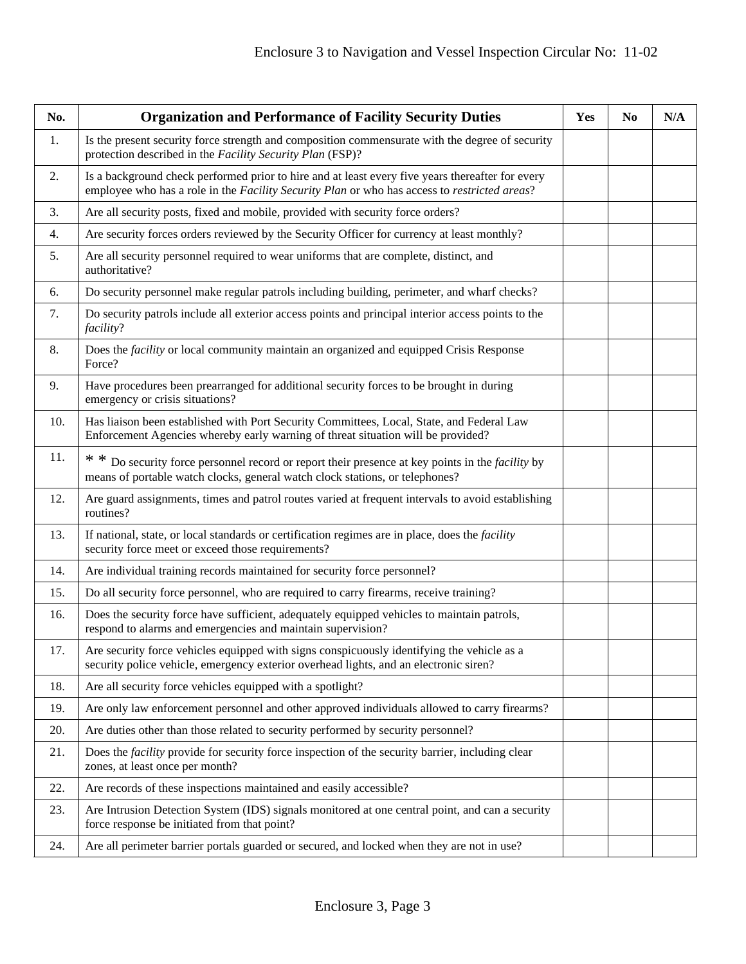| No. | <b>Organization and Performance of Facility Security Duties</b>                                                                                                                                  | Yes | N <sub>0</sub> | N/A |
|-----|--------------------------------------------------------------------------------------------------------------------------------------------------------------------------------------------------|-----|----------------|-----|
| 1.  | Is the present security force strength and composition commensurate with the degree of security<br>protection described in the Facility Security Plan (FSP)?                                     |     |                |     |
| 2.  | Is a background check performed prior to hire and at least every five years thereafter for every<br>employee who has a role in the Facility Security Plan or who has access to restricted areas? |     |                |     |
| 3.  | Are all security posts, fixed and mobile, provided with security force orders?                                                                                                                   |     |                |     |
| 4.  | Are security forces orders reviewed by the Security Officer for currency at least monthly?                                                                                                       |     |                |     |
| 5.  | Are all security personnel required to wear uniforms that are complete, distinct, and<br>authoritative?                                                                                          |     |                |     |
| 6.  | Do security personnel make regular patrols including building, perimeter, and wharf checks?                                                                                                      |     |                |     |
| 7.  | Do security patrols include all exterior access points and principal interior access points to the<br>facility?                                                                                  |     |                |     |
| 8.  | Does the <i>facility</i> or local community maintain an organized and equipped Crisis Response<br>Force?                                                                                         |     |                |     |
| 9.  | Have procedures been prearranged for additional security forces to be brought in during<br>emergency or crisis situations?                                                                       |     |                |     |
| 10. | Has liaison been established with Port Security Committees, Local, State, and Federal Law<br>Enforcement Agencies whereby early warning of threat situation will be provided?                    |     |                |     |
| 11. | * * Do security force personnel record or report their presence at key points in the <i>facility</i> by<br>means of portable watch clocks, general watch clock stations, or telephones?          |     |                |     |
| 12. | Are guard assignments, times and patrol routes varied at frequent intervals to avoid establishing<br>routines?                                                                                   |     |                |     |
| 13. | If national, state, or local standards or certification regimes are in place, does the facility<br>security force meet or exceed those requirements?                                             |     |                |     |
| 14. | Are individual training records maintained for security force personnel?                                                                                                                         |     |                |     |
| 15. | Do all security force personnel, who are required to carry firearms, receive training?                                                                                                           |     |                |     |
| 16. | Does the security force have sufficient, adequately equipped vehicles to maintain patrols,<br>respond to alarms and emergencies and maintain supervision?                                        |     |                |     |
| 17. | Are security force vehicles equipped with signs conspicuously identifying the vehicle as a<br>security police vehicle, emergency exterior overhead lights, and an electronic siren?              |     |                |     |
| 18. | Are all security force vehicles equipped with a spotlight?                                                                                                                                       |     |                |     |
| 19. | Are only law enforcement personnel and other approved individuals allowed to carry firearms?                                                                                                     |     |                |     |
| 20. | Are duties other than those related to security performed by security personnel?                                                                                                                 |     |                |     |
| 21. | Does the <i>facility</i> provide for security force inspection of the security barrier, including clear<br>zones, at least once per month?                                                       |     |                |     |
| 22. | Are records of these inspections maintained and easily accessible?                                                                                                                               |     |                |     |
| 23. | Are Intrusion Detection System (IDS) signals monitored at one central point, and can a security<br>force response be initiated from that point?                                                  |     |                |     |
| 24. | Are all perimeter barrier portals guarded or secured, and locked when they are not in use?                                                                                                       |     |                |     |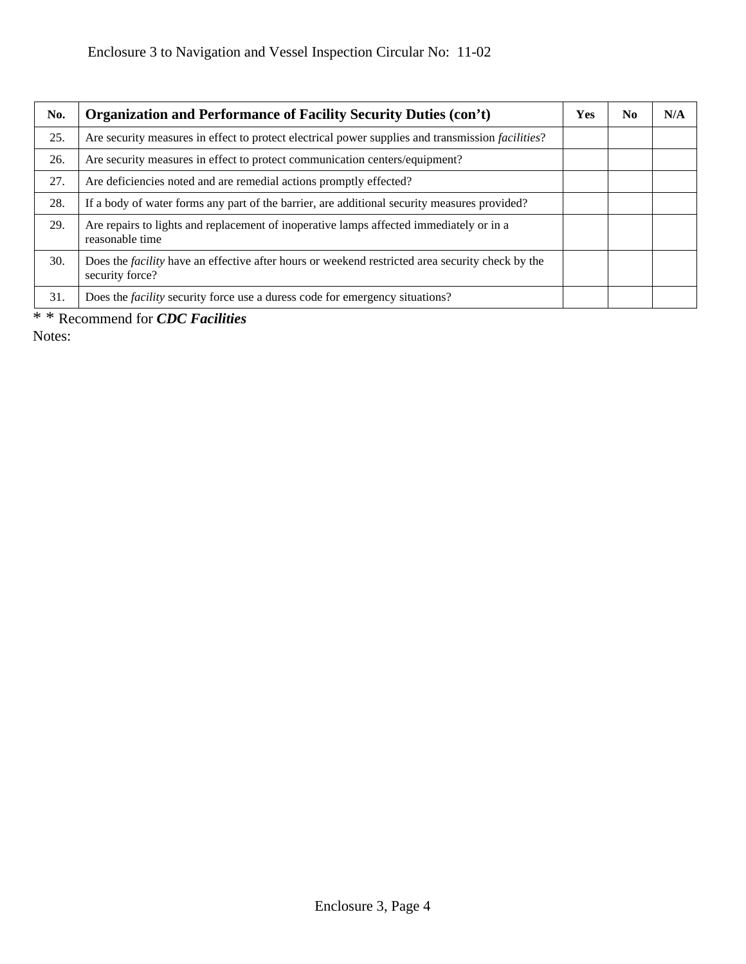| No. | <b>Organization and Performance of Facility Security Duties (con't)</b>                                                    | <b>Yes</b> | N <sub>0</sub> | N/A |
|-----|----------------------------------------------------------------------------------------------------------------------------|------------|----------------|-----|
| 25. | Are security measures in effect to protect electrical power supplies and transmission <i>facilities</i> ?                  |            |                |     |
| 26. | Are security measures in effect to protect communication centers/equipment?                                                |            |                |     |
| 27. | Are deficiencies noted and are remedial actions promptly effected?                                                         |            |                |     |
| 28. | If a body of water forms any part of the barrier, are additional security measures provided?                               |            |                |     |
| 29. | Are repairs to lights and replacement of inoperative lamps affected immediately or in a<br>reasonable time                 |            |                |     |
| 30. | Does the <i>facility</i> have an effective after hours or weekend restricted area security check by the<br>security force? |            |                |     |
| 31. | Does the <i>facility</i> security force use a duress code for emergency situations?                                        |            |                |     |

<sup>\* \*</sup> Recommend for *CDC Facilities*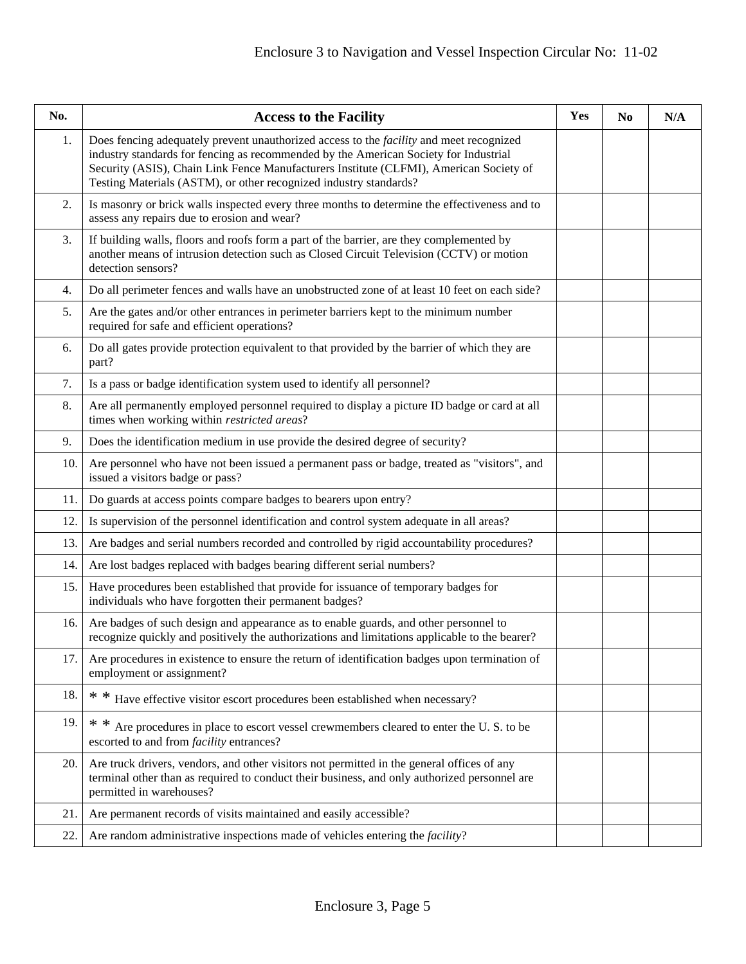| No. | <b>Access to the Facility</b>                                                                                                                                                                                                                                                                                                                         | Yes | N <sub>0</sub> | N/A |
|-----|-------------------------------------------------------------------------------------------------------------------------------------------------------------------------------------------------------------------------------------------------------------------------------------------------------------------------------------------------------|-----|----------------|-----|
| 1.  | Does fencing adequately prevent unauthorized access to the <i>facility</i> and meet recognized<br>industry standards for fencing as recommended by the American Society for Industrial<br>Security (ASIS), Chain Link Fence Manufacturers Institute (CLFMI), American Society of<br>Testing Materials (ASTM), or other recognized industry standards? |     |                |     |
| 2.  | Is masonry or brick walls inspected every three months to determine the effectiveness and to<br>assess any repairs due to erosion and wear?                                                                                                                                                                                                           |     |                |     |
| 3.  | If building walls, floors and roofs form a part of the barrier, are they complemented by<br>another means of intrusion detection such as Closed Circuit Television (CCTV) or motion<br>detection sensors?                                                                                                                                             |     |                |     |
| 4.  | Do all perimeter fences and walls have an unobstructed zone of at least 10 feet on each side?                                                                                                                                                                                                                                                         |     |                |     |
| 5.  | Are the gates and/or other entrances in perimeter barriers kept to the minimum number<br>required for safe and efficient operations?                                                                                                                                                                                                                  |     |                |     |
| 6.  | Do all gates provide protection equivalent to that provided by the barrier of which they are<br>part?                                                                                                                                                                                                                                                 |     |                |     |
| 7.  | Is a pass or badge identification system used to identify all personnel?                                                                                                                                                                                                                                                                              |     |                |     |
| 8.  | Are all permanently employed personnel required to display a picture ID badge or card at all<br>times when working within restricted areas?                                                                                                                                                                                                           |     |                |     |
| 9.  | Does the identification medium in use provide the desired degree of security?                                                                                                                                                                                                                                                                         |     |                |     |
| 10. | Are personnel who have not been issued a permanent pass or badge, treated as "visitors", and<br>issued a visitors badge or pass?                                                                                                                                                                                                                      |     |                |     |
| 11. | Do guards at access points compare badges to bearers upon entry?                                                                                                                                                                                                                                                                                      |     |                |     |
| 12. | Is supervision of the personnel identification and control system adequate in all areas?                                                                                                                                                                                                                                                              |     |                |     |
| 13. | Are badges and serial numbers recorded and controlled by rigid accountability procedures?                                                                                                                                                                                                                                                             |     |                |     |
| 14. | Are lost badges replaced with badges bearing different serial numbers?                                                                                                                                                                                                                                                                                |     |                |     |
| 15. | Have procedures been established that provide for issuance of temporary badges for<br>individuals who have forgotten their permanent badges?                                                                                                                                                                                                          |     |                |     |
| 16. | Are badges of such design and appearance as to enable guards, and other personnel to<br>recognize quickly and positively the authorizations and limitations applicable to the bearer?                                                                                                                                                                 |     |                |     |
| 17. | Are procedures in existence to ensure the return of identification badges upon termination of<br>employment or assignment?                                                                                                                                                                                                                            |     |                |     |
| 18. | * * Have effective visitor escort procedures been established when necessary?                                                                                                                                                                                                                                                                         |     |                |     |
| 19. | * * Are procedures in place to escort vessel crewmembers cleared to enter the U.S. to be<br>escorted to and from <i>facility</i> entrances?                                                                                                                                                                                                           |     |                |     |
| 20. | Are truck drivers, vendors, and other visitors not permitted in the general offices of any<br>terminal other than as required to conduct their business, and only authorized personnel are<br>permitted in warehouses?                                                                                                                                |     |                |     |
| 21. | Are permanent records of visits maintained and easily accessible?                                                                                                                                                                                                                                                                                     |     |                |     |
| 22. | Are random administrative inspections made of vehicles entering the <i>facility</i> ?                                                                                                                                                                                                                                                                 |     |                |     |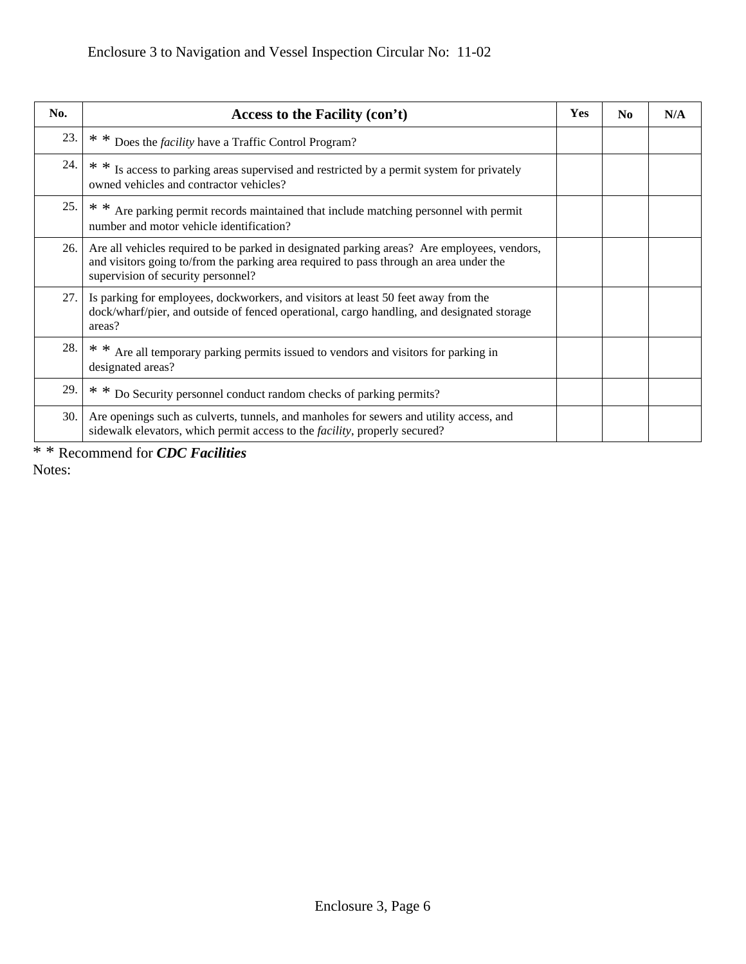| No. | Access to the Facility (con't)                                                                                                                                                                                              | Yes | N <sub>0</sub> | N/A |
|-----|-----------------------------------------------------------------------------------------------------------------------------------------------------------------------------------------------------------------------------|-----|----------------|-----|
| 23. | * * Does the <i>facility</i> have a Traffic Control Program?                                                                                                                                                                |     |                |     |
| 24. | * * Is access to parking areas supervised and restricted by a permit system for privately<br>owned vehicles and contractor vehicles?                                                                                        |     |                |     |
| 25. | * * Are parking permit records maintained that include matching personnel with permit<br>number and motor vehicle identification?                                                                                           |     |                |     |
| 26. | Are all vehicles required to be parked in designated parking areas? Are employees, vendors,<br>and visitors going to/from the parking area required to pass through an area under the<br>supervision of security personnel? |     |                |     |
| 27. | Is parking for employees, dockworkers, and visitors at least 50 feet away from the<br>dock/wharf/pier, and outside of fenced operational, cargo handling, and designated storage<br>areas?                                  |     |                |     |
| 28. | Are all temporary parking permits issued to vendors and visitors for parking in<br>designated areas?                                                                                                                        |     |                |     |
| 29. | * * Do Security personnel conduct random checks of parking permits?                                                                                                                                                         |     |                |     |
| 30. | Are openings such as culverts, tunnels, and manholes for sewers and utility access, and<br>sidewalk elevators, which permit access to the <i>facility</i> , properly secured?                                               |     |                |     |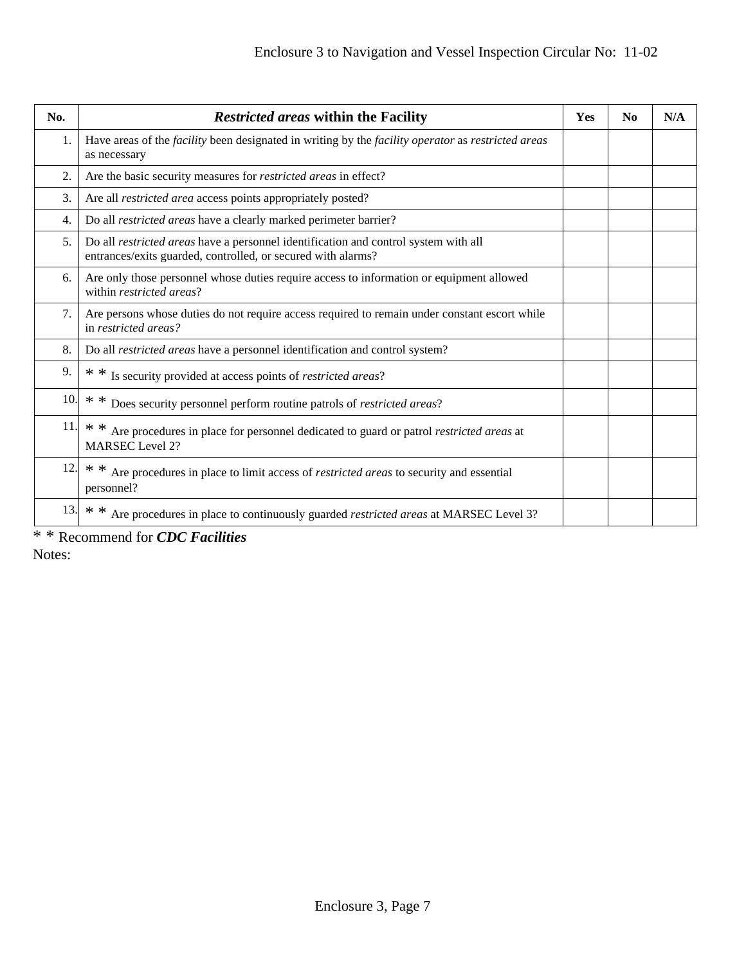| No.              | Restricted areas within the Facility                                                                                                                | <b>Yes</b> | N <sub>0</sub> | N/A |
|------------------|-----------------------------------------------------------------------------------------------------------------------------------------------------|------------|----------------|-----|
| 1.               | Have areas of the <i>facility</i> been designated in writing by the <i>facility operator</i> as <i>restricted areas</i><br>as necessary             |            |                |     |
| 2.               | Are the basic security measures for <i>restricted areas</i> in effect?                                                                              |            |                |     |
| 3.               | Are all <i>restricted area</i> access points appropriately posted?                                                                                  |            |                |     |
| $\overline{4}$ . | Do all <i>restricted areas</i> have a clearly marked perimeter barrier?                                                                             |            |                |     |
| 5.               | Do all restricted areas have a personnel identification and control system with all<br>entrances/exits guarded, controlled, or secured with alarms? |            |                |     |
| 6.               | Are only those personnel whose duties require access to information or equipment allowed<br>within restricted areas?                                |            |                |     |
| 7.               | Are persons whose duties do not require access required to remain under constant escort while<br>in restricted areas?                               |            |                |     |
| 8.               | Do all <i>restricted areas</i> have a personnel identification and control system?                                                                  |            |                |     |
| 9.               | * * Is security provided at access points of <i>restricted areas</i> ?                                                                              |            |                |     |
| 10.              | * * Does security personnel perform routine patrols of <i>restricted areas</i> ?                                                                    |            |                |     |
| 11.              | * * Are procedures in place for personnel dedicated to guard or patrol <i>restricted areas</i> at<br><b>MARSEC</b> Level 2?                         |            |                |     |
| 12.              | * *<br>Are procedures in place to limit access of <i>restricted areas</i> to security and essential<br>personnel?                                   |            |                |     |
| 13.              | * * Are procedures in place to continuously guarded <i>restricted areas</i> at MARSEC Level 3?                                                      |            |                |     |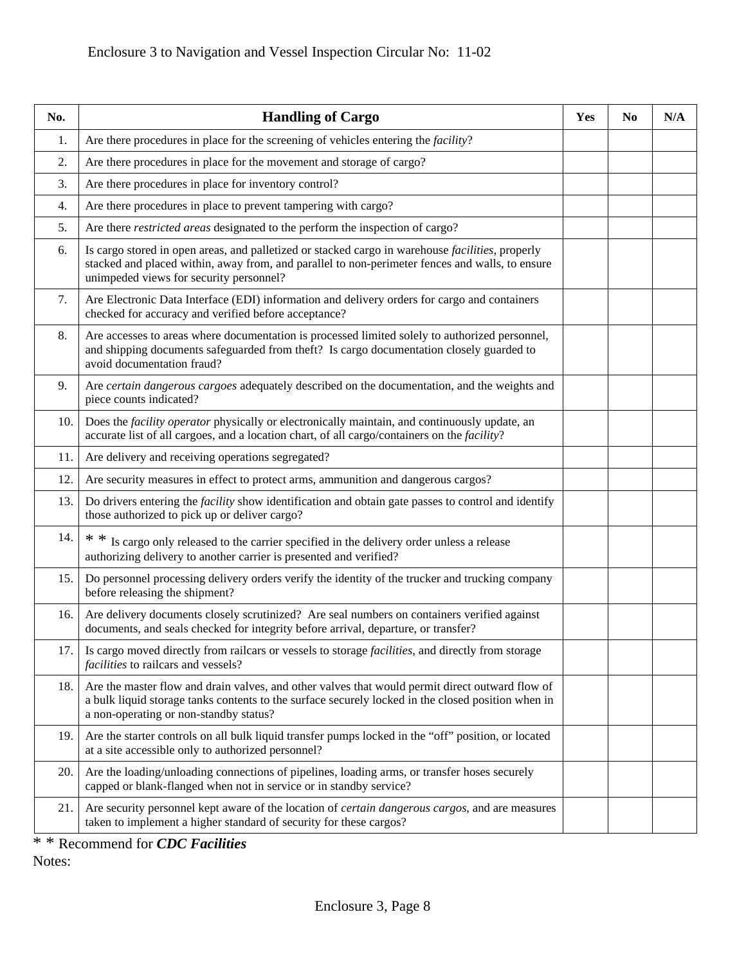| No. | <b>Handling of Cargo</b>                                                                                                                                                                                                                               | Yes | N <sub>0</sub> | N/A |
|-----|--------------------------------------------------------------------------------------------------------------------------------------------------------------------------------------------------------------------------------------------------------|-----|----------------|-----|
| 1.  | Are there procedures in place for the screening of vehicles entering the <i>facility</i> ?                                                                                                                                                             |     |                |     |
| 2.  | Are there procedures in place for the movement and storage of cargo?                                                                                                                                                                                   |     |                |     |
| 3.  | Are there procedures in place for inventory control?                                                                                                                                                                                                   |     |                |     |
| 4.  | Are there procedures in place to prevent tampering with cargo?                                                                                                                                                                                         |     |                |     |
| 5.  | Are there <i>restricted areas</i> designated to the perform the inspection of cargo?                                                                                                                                                                   |     |                |     |
| 6.  | Is cargo stored in open areas, and palletized or stacked cargo in warehouse <i>facilities</i> , properly<br>stacked and placed within, away from, and parallel to non-perimeter fences and walls, to ensure<br>unimpeded views for security personnel? |     |                |     |
| 7.  | Are Electronic Data Interface (EDI) information and delivery orders for cargo and containers<br>checked for accuracy and verified before acceptance?                                                                                                   |     |                |     |
| 8.  | Are accesses to areas where documentation is processed limited solely to authorized personnel,<br>and shipping documents safeguarded from theft? Is cargo documentation closely guarded to<br>avoid documentation fraud?                               |     |                |     |
| 9.  | Are certain dangerous cargoes adequately described on the documentation, and the weights and<br>piece counts indicated?                                                                                                                                |     |                |     |
| 10. | Does the <i>facility operator</i> physically or electronically maintain, and continuously update, an<br>accurate list of all cargoes, and a location chart, of all cargo/containers on the facility?                                                   |     |                |     |
| 11. | Are delivery and receiving operations segregated?                                                                                                                                                                                                      |     |                |     |
| 12. | Are security measures in effect to protect arms, ammunition and dangerous cargos?                                                                                                                                                                      |     |                |     |
| 13. | Do drivers entering the <i>facility</i> show identification and obtain gate passes to control and identify<br>those authorized to pick up or deliver cargo?                                                                                            |     |                |     |
| 14. | $**$<br>Is cargo only released to the carrier specified in the delivery order unless a release<br>authorizing delivery to another carrier is presented and verified?                                                                                   |     |                |     |
| 15. | Do personnel processing delivery orders verify the identity of the trucker and trucking company<br>before releasing the shipment?                                                                                                                      |     |                |     |
| 16. | Are delivery documents closely scrutinized? Are seal numbers on containers verified against<br>documents, and seals checked for integrity before arrival, departure, or transfer?                                                                      |     |                |     |
| 17. | Is cargo moved directly from railcars or vessels to storage facilities, and directly from storage<br><i>facilities</i> to railcars and vessels?                                                                                                        |     |                |     |
| 18. | Are the master flow and drain valves, and other valves that would permit direct outward flow of<br>a bulk liquid storage tanks contents to the surface securely locked in the closed position when in<br>a non-operating or non-standby status?        |     |                |     |
| 19. | Are the starter controls on all bulk liquid transfer pumps locked in the "off" position, or located<br>at a site accessible only to authorized personnel?                                                                                              |     |                |     |
| 20. | Are the loading/unloading connections of pipelines, loading arms, or transfer hoses securely<br>capped or blank-flanged when not in service or in standby service?                                                                                     |     |                |     |
| 21. | Are security personnel kept aware of the location of <i>certain dangerous cargos</i> , and are measures<br>taken to implement a higher standard of security for these cargos?                                                                          |     |                |     |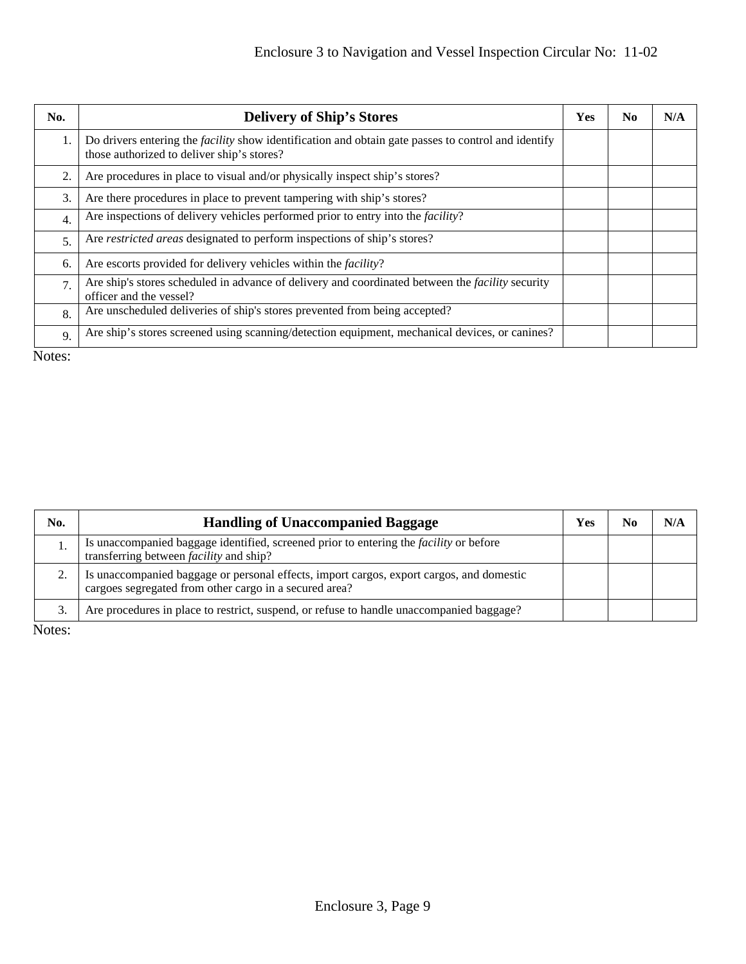| No.              | <b>Delivery of Ship's Stores</b>                                                                                                                         | Yes | No. | N/A |
|------------------|----------------------------------------------------------------------------------------------------------------------------------------------------------|-----|-----|-----|
|                  | Do drivers entering the <i>facility</i> show identification and obtain gate passes to control and identify<br>those authorized to deliver ship's stores? |     |     |     |
| 2.               | Are procedures in place to visual and/or physically inspect ship's stores?                                                                               |     |     |     |
| 3.               | Are there procedures in place to prevent tampering with ship's stores?                                                                                   |     |     |     |
| $\overline{4}$ . | Are inspections of delivery vehicles performed prior to entry into the <i>facility</i> ?                                                                 |     |     |     |
| 5.               | Are <i>restricted areas</i> designated to perform inspections of ship's stores?                                                                          |     |     |     |
| 6.               | Are escorts provided for delivery vehicles within the <i>facility</i> ?                                                                                  |     |     |     |
| 7.               | Are ship's stores scheduled in advance of delivery and coordinated between the <i>facility</i> security<br>officer and the vessel?                       |     |     |     |
| 8.               | Are unscheduled deliveries of ship's stores prevented from being accepted?                                                                               |     |     |     |
| 9.               | Are ship's stores screened using scanning/detection equipment, mechanical devices, or canines?                                                           |     |     |     |

Notes:

| No. | <b>Handling of Unaccompanied Baggage</b>                                                                                                           | Yes | N/A |
|-----|----------------------------------------------------------------------------------------------------------------------------------------------------|-----|-----|
|     | Is unaccompanied baggage identified, screened prior to entering the <i>facility</i> or before<br>transferring between <i>facility</i> and ship?    |     |     |
|     | Is unaccompanied baggage or personal effects, import cargos, export cargos, and domestic<br>cargoes segregated from other cargo in a secured area? |     |     |
|     | Are procedures in place to restrict, suspend, or refuse to handle unaccompanied baggage?                                                           |     |     |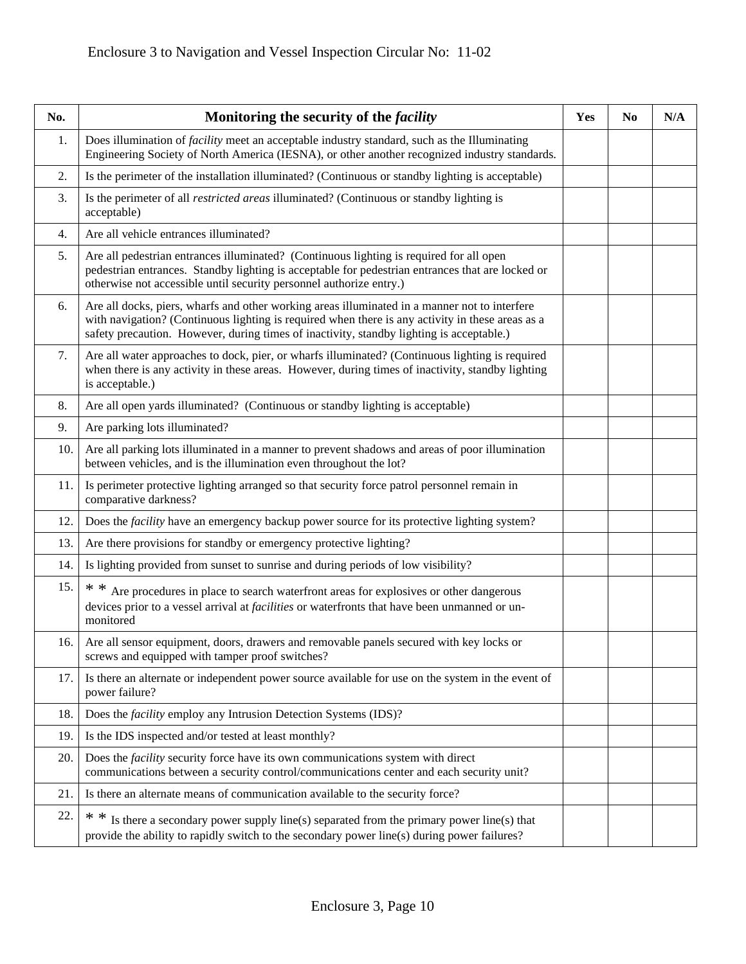| No. | Monitoring the security of the <i>facility</i>                                                                                                                                                                                                                                                | Yes | N <sub>0</sub> | N/A |
|-----|-----------------------------------------------------------------------------------------------------------------------------------------------------------------------------------------------------------------------------------------------------------------------------------------------|-----|----------------|-----|
| 1.  | Does illumination of <i>facility</i> meet an acceptable industry standard, such as the Illuminating<br>Engineering Society of North America (IESNA), or other another recognized industry standards.                                                                                          |     |                |     |
| 2.  | Is the perimeter of the installation illuminated? (Continuous or standby lighting is acceptable)                                                                                                                                                                                              |     |                |     |
| 3.  | Is the perimeter of all <i>restricted areas</i> illuminated? (Continuous or standby lighting is<br>acceptable)                                                                                                                                                                                |     |                |     |
| 4.  | Are all vehicle entrances illuminated?                                                                                                                                                                                                                                                        |     |                |     |
| 5.  | Are all pedestrian entrances illuminated? (Continuous lighting is required for all open<br>pedestrian entrances. Standby lighting is acceptable for pedestrian entrances that are locked or<br>otherwise not accessible until security personnel authorize entry.)                            |     |                |     |
| 6.  | Are all docks, piers, wharfs and other working areas illuminated in a manner not to interfere<br>with navigation? (Continuous lighting is required when there is any activity in these areas as a<br>safety precaution. However, during times of inactivity, standby lighting is acceptable.) |     |                |     |
| 7.  | Are all water approaches to dock, pier, or wharfs illuminated? (Continuous lighting is required<br>when there is any activity in these areas. However, during times of inactivity, standby lighting<br>is acceptable.)                                                                        |     |                |     |
| 8.  | Are all open yards illuminated? (Continuous or standby lighting is acceptable)                                                                                                                                                                                                                |     |                |     |
| 9.  | Are parking lots illuminated?                                                                                                                                                                                                                                                                 |     |                |     |
| 10. | Are all parking lots illuminated in a manner to prevent shadows and areas of poor illumination<br>between vehicles, and is the illumination even throughout the lot?                                                                                                                          |     |                |     |
| 11. | Is perimeter protective lighting arranged so that security force patrol personnel remain in<br>comparative darkness?                                                                                                                                                                          |     |                |     |
| 12. | Does the <i>facility</i> have an emergency backup power source for its protective lighting system?                                                                                                                                                                                            |     |                |     |
| 13. | Are there provisions for standby or emergency protective lighting?                                                                                                                                                                                                                            |     |                |     |
| 14. | Is lighting provided from sunset to sunrise and during periods of low visibility?                                                                                                                                                                                                             |     |                |     |
| 15. | * * Are procedures in place to search waterfront areas for explosives or other dangerous<br>devices prior to a vessel arrival at <i>facilities</i> or waterfronts that have been unmanned or un-<br>monitored                                                                                 |     |                |     |
| 16. | Are all sensor equipment, doors, drawers and removable panels secured with key locks or<br>screws and equipped with tamper proof switches?                                                                                                                                                    |     |                |     |
| 17. | Is there an alternate or independent power source available for use on the system in the event of<br>power failure?                                                                                                                                                                           |     |                |     |
| 18. | Does the <i>facility</i> employ any Intrusion Detection Systems (IDS)?                                                                                                                                                                                                                        |     |                |     |
| 19. | Is the IDS inspected and/or tested at least monthly?                                                                                                                                                                                                                                          |     |                |     |
| 20. | Does the <i>facility</i> security force have its own communications system with direct<br>communications between a security control/communications center and each security unit?                                                                                                             |     |                |     |
| 21. | Is there an alternate means of communication available to the security force?                                                                                                                                                                                                                 |     |                |     |
| 22. | Is there a secondary power supply line(s) separated from the primary power line(s) that<br>* *<br>provide the ability to rapidly switch to the secondary power line(s) during power failures?                                                                                                 |     |                |     |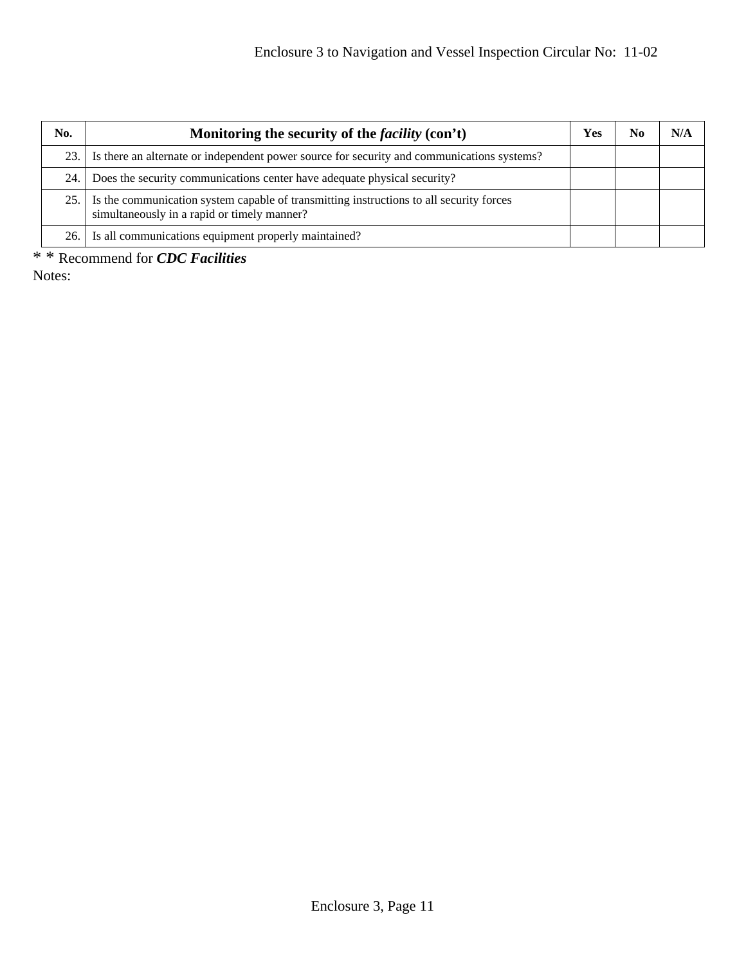| No.   | Monitoring the security of the <i>facility</i> (con't)                                                                                 | <b>Yes</b> | No | N/A |
|-------|----------------------------------------------------------------------------------------------------------------------------------------|------------|----|-----|
|       | 23. I Is there an alternate or independent power source for security and communications systems?                                       |            |    |     |
| 24.   | Does the security communications center have adequate physical security?                                                               |            |    |     |
| 25. I | Is the communication system capable of transmitting instructions to all security forces<br>simultaneously in a rapid or timely manner? |            |    |     |
|       | 26. Is all communications equipment properly maintained?                                                                               |            |    |     |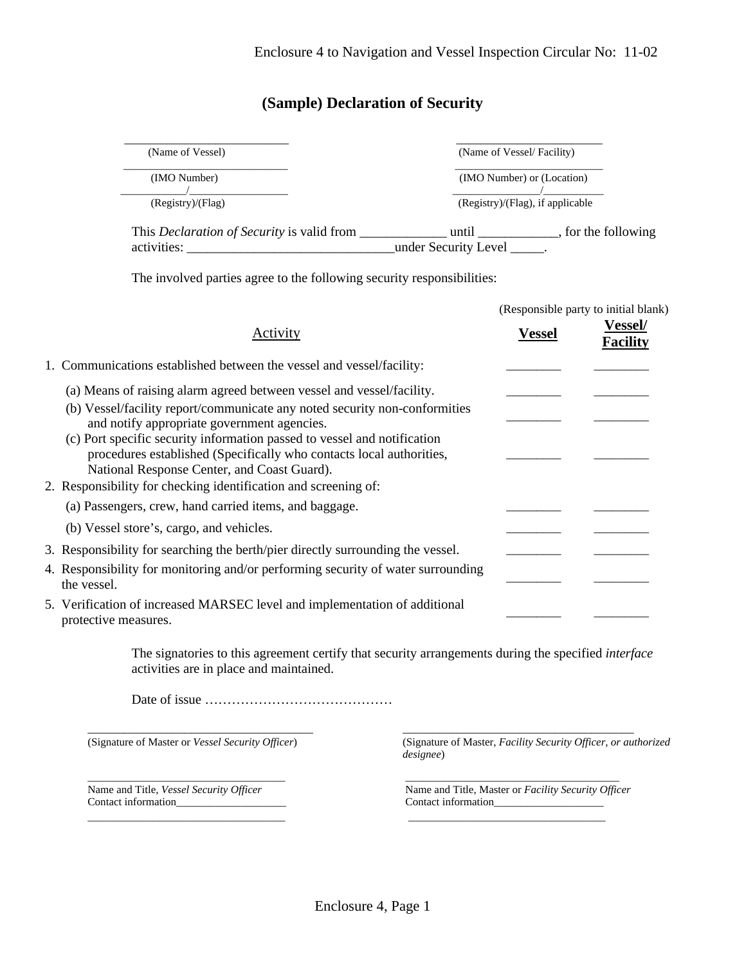# **(Sample) Declaration of Security**

| (Name of Vessel)                                  | (Name of Vessel/Facility)        |                     |
|---------------------------------------------------|----------------------------------|---------------------|
| (IMO Number)                                      | (IMO Number) or (Location)       |                     |
| (Registry)/(Flag)                                 | (Registry)/(Flag), if applicable |                     |
| This <i>Declaration of Security</i> is valid from | until                            | , for the following |
| activities:                                       | under Security Level             |                     |

The involved parties agree to the following security responsibilities:

|                                                                                                                                                                                                                                                                                                                                                                                                                                                                          |               | (Responsible party to initial blank) |
|--------------------------------------------------------------------------------------------------------------------------------------------------------------------------------------------------------------------------------------------------------------------------------------------------------------------------------------------------------------------------------------------------------------------------------------------------------------------------|---------------|--------------------------------------|
| Activity                                                                                                                                                                                                                                                                                                                                                                                                                                                                 | <b>Vessel</b> | <b>Vessel/</b><br><b>Facility</b>    |
| 1. Communications established between the vessel and vessel/facility:                                                                                                                                                                                                                                                                                                                                                                                                    |               |                                      |
| (a) Means of raising alarm agreed between vessel and vessel/facility.<br>(b) Vessel/facility report/communicate any noted security non-conformities<br>and notify appropriate government agencies.<br>(c) Port specific security information passed to vessel and notification<br>procedures established (Specifically who contacts local authorities,<br>National Response Center, and Coast Guard).<br>2. Responsibility for checking identification and screening of: |               |                                      |
| (a) Passengers, crew, hand carried items, and baggage.<br>(b) Vessel store's, cargo, and vehicles.                                                                                                                                                                                                                                                                                                                                                                       |               |                                      |
| 3. Responsibility for searching the berth/pier directly surrounding the vessel.<br>4. Responsibility for monitoring and/or performing security of water surrounding<br>the vessel.<br>5. Verification of increased MARSEC level and implementation of additional                                                                                                                                                                                                         |               |                                      |

The signatories to this agreement certify that security arrangements during the specified *interface* activities are in place and maintained.

\_\_\_\_\_\_\_\_\_\_\_\_\_\_\_\_\_\_\_\_\_\_\_\_\_\_\_\_\_\_\_\_\_\_\_\_\_ \_\_\_\_\_\_\_\_\_\_\_\_\_\_\_\_\_\_\_\_\_\_\_\_\_\_\_\_\_\_\_\_\_\_\_\_\_\_

Date of issue ……………………………………

(Signature of Master or *Vessel Security Officer*) (Signature of Master, *Facility Security Officer, or authorized designee*)

\_\_\_\_\_\_\_\_\_\_\_\_\_\_\_\_\_\_\_\_\_\_\_\_\_\_\_\_\_\_\_\_\_\_\_\_ Name and Title, *Vessel Security Officer* Contact information\_\_\_\_\_\_\_\_\_\_\_\_\_\_\_\_\_\_\_\_

\_\_\_\_\_\_\_\_\_\_\_\_\_\_\_\_\_\_\_\_\_\_\_\_\_\_\_\_\_\_\_\_\_\_\_\_

 Name and Title, Master or *Facility Security Officer* Contact information\_\_\_\_\_\_\_\_\_\_\_\_\_\_\_\_\_\_\_\_

\_\_\_\_\_\_\_\_\_\_\_\_\_\_\_\_\_\_\_\_\_\_\_\_\_\_\_\_\_\_\_\_\_\_\_\_\_\_\_

\_\_\_\_\_\_\_\_\_\_\_\_\_\_\_\_\_\_\_\_\_\_\_\_\_\_\_\_\_\_\_\_\_\_\_\_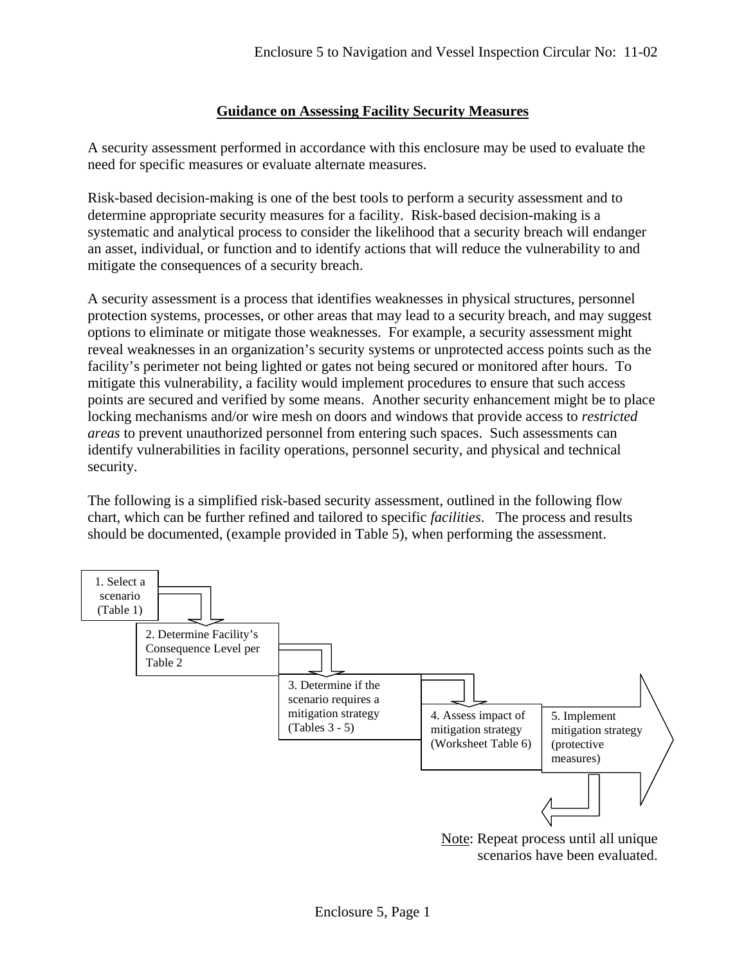## **Guidance on Assessing Facility Security Measures**

A security assessment performed in accordance with this enclosure may be used to evaluate the need for specific measures or evaluate alternate measures.

Risk-based decision-making is one of the best tools to perform a security assessment and to determine appropriate security measures for a facility. Risk-based decision-making is a systematic and analytical process to consider the likelihood that a security breach will endanger an asset, individual, or function and to identify actions that will reduce the vulnerability to and mitigate the consequences of a security breach.

A security assessment is a process that identifies weaknesses in physical structures, personnel protection systems, processes, or other areas that may lead to a security breach, and may suggest options to eliminate or mitigate those weaknesses. For example, a security assessment might reveal weaknesses in an organization's security systems or unprotected access points such as the facility's perimeter not being lighted or gates not being secured or monitored after hours. To mitigate this vulnerability, a facility would implement procedures to ensure that such access points are secured and verified by some means. Another security enhancement might be to place locking mechanisms and/or wire mesh on doors and windows that provide access to *restricted areas* to prevent unauthorized personnel from entering such spaces. Such assessments can identify vulnerabilities in facility operations, personnel security, and physical and technical security.

The following is a simplified risk-based security assessment, outlined in the following flow chart, which can be further refined and tailored to specific *facilities*. The process and results should be documented, (example provided in Table 5), when performing the assessment.



scenarios have been evaluated.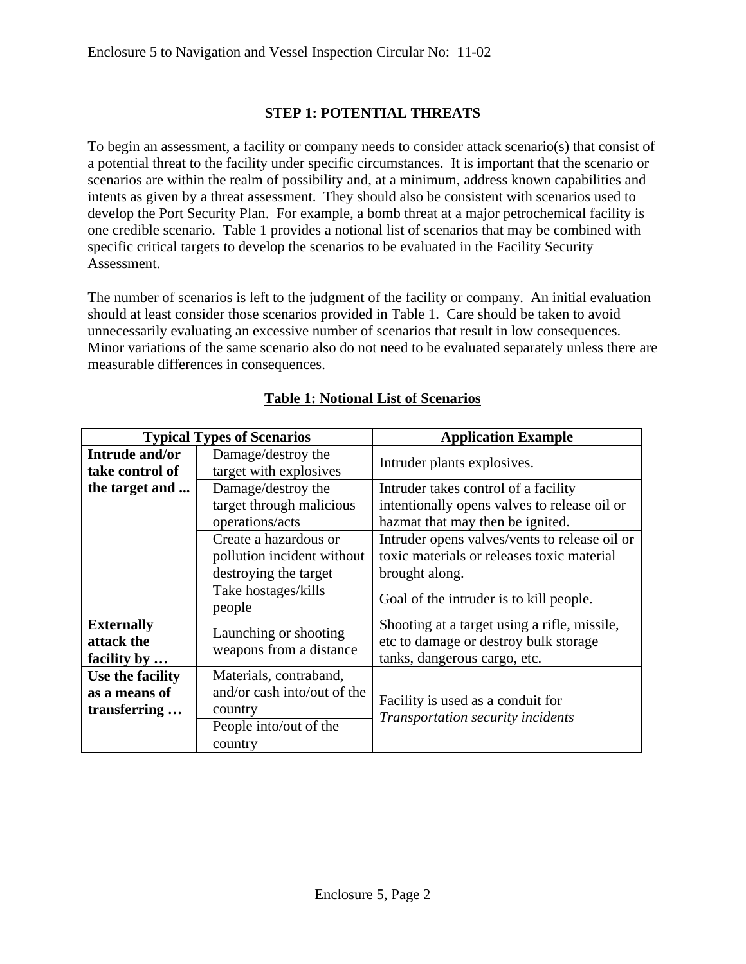# **STEP 1: POTENTIAL THREATS**

To begin an assessment, a facility or company needs to consider attack scenario(s) that consist of a potential threat to the facility under specific circumstances. It is important that the scenario or scenarios are within the realm of possibility and, at a minimum, address known capabilities and intents as given by a threat assessment. They should also be consistent with scenarios used to develop the Port Security Plan. For example, a bomb threat at a major petrochemical facility is one credible scenario. Table 1 provides a notional list of scenarios that may be combined with specific critical targets to develop the scenarios to be evaluated in the Facility Security Assessment.

The number of scenarios is left to the judgment of the facility or company. An initial evaluation should at least consider those scenarios provided in Table 1. Care should be taken to avoid unnecessarily evaluating an excessive number of scenarios that result in low consequences. Minor variations of the same scenario also do not need to be evaluated separately unless there are measurable differences in consequences.

|                                                   | <b>Typical Types of Scenarios</b>                                                                     | <b>Application Example</b>                                                                                               |
|---------------------------------------------------|-------------------------------------------------------------------------------------------------------|--------------------------------------------------------------------------------------------------------------------------|
| Intrude and/or<br>take control of                 | Damage/destroy the<br>target with explosives                                                          | Intruder plants explosives.                                                                                              |
| the target and                                    | Damage/destroy the<br>target through malicious<br>operations/acts                                     | Intruder takes control of a facility<br>intentionally opens valves to release oil or<br>hazmat that may then be ignited. |
|                                                   | Create a hazardous or<br>pollution incident without<br>destroying the target<br>Take hostages/kills   | Intruder opens valves/vents to release oil or<br>toxic materials or releases toxic material<br>brought along.            |
|                                                   | people                                                                                                | Goal of the intruder is to kill people.                                                                                  |
| <b>Externally</b><br>attack the<br>facility by    | Launching or shooting<br>weapons from a distance                                                      | Shooting at a target using a rifle, missile,<br>etc to damage or destroy bulk storage<br>tanks, dangerous cargo, etc.    |
| Use the facility<br>as a means of<br>transferring | Materials, contraband,<br>and/or cash into/out of the<br>country<br>People into/out of the<br>country | Facility is used as a conduit for<br>Transportation security incidents                                                   |

# **Table 1: Notional List of Scenarios**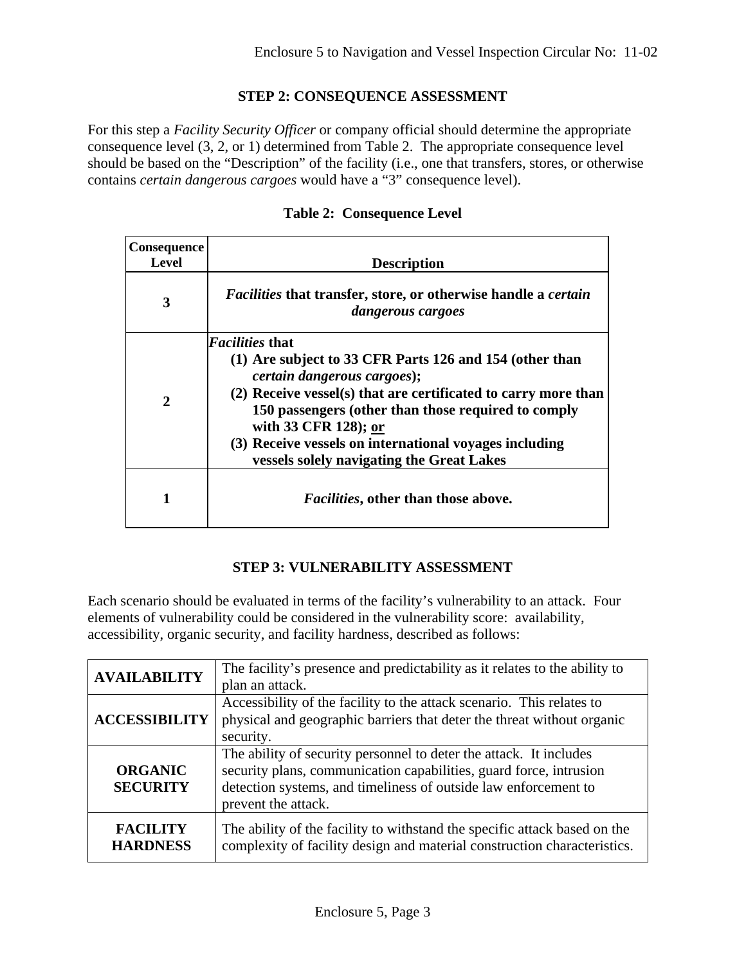#### **STEP 2: CONSEQUENCE ASSESSMENT**

For this step a *Facility Security Officer* or company official should determine the appropriate consequence level (3, 2, or 1) determined from Table 2. The appropriate consequence level should be based on the "Description" of the facility (i.e., one that transfers, stores, or otherwise contains *certain dangerous cargoes* would have a "3" consequence level).

| Consequence<br>Level | <b>Description</b>                                                                                                                                                                                                                                                                                                                                                               |
|----------------------|----------------------------------------------------------------------------------------------------------------------------------------------------------------------------------------------------------------------------------------------------------------------------------------------------------------------------------------------------------------------------------|
| 3                    | <i>Facilities</i> that transfer, store, or otherwise handle a <i>certain</i><br>dangerous cargoes                                                                                                                                                                                                                                                                                |
| 2                    | <i>Facilities</i> that<br>(1) Are subject to 33 CFR Parts 126 and 154 (other than<br><i>certain dangerous cargoes</i> );<br>(2) Receive vessel(s) that are certificated to carry more than<br>150 passengers (other than those required to comply<br>with 33 CFR 128); or<br>(3) Receive vessels on international voyages including<br>vessels solely navigating the Great Lakes |
|                      | <i>Facilities</i> , other than those above.                                                                                                                                                                                                                                                                                                                                      |

#### **Table 2: Consequence Level**

## **STEP 3: VULNERABILITY ASSESSMENT**

Each scenario should be evaluated in terms of the facility's vulnerability to an attack. Four elements of vulnerability could be considered in the vulnerability score: availability, accessibility, organic security, and facility hardness, described as follows:

| <b>AVAILABILITY</b>  | The facility's presence and predictability as it relates to the ability to |
|----------------------|----------------------------------------------------------------------------|
|                      | plan an attack.                                                            |
|                      | Accessibility of the facility to the attack scenario. This relates to      |
| <b>ACCESSIBILITY</b> | physical and geographic barriers that deter the threat without organic     |
|                      | security.                                                                  |
|                      | The ability of security personnel to deter the attack. It includes         |
| <b>ORGANIC</b>       | security plans, communication capabilities, guard force, intrusion         |
| <b>SECURITY</b>      | detection systems, and timeliness of outside law enforcement to            |
|                      | prevent the attack.                                                        |
| <b>FACILITY</b>      | The ability of the facility to withstand the specific attack based on the  |
| <b>HARDNESS</b>      | complexity of facility design and material construction characteristics.   |
|                      |                                                                            |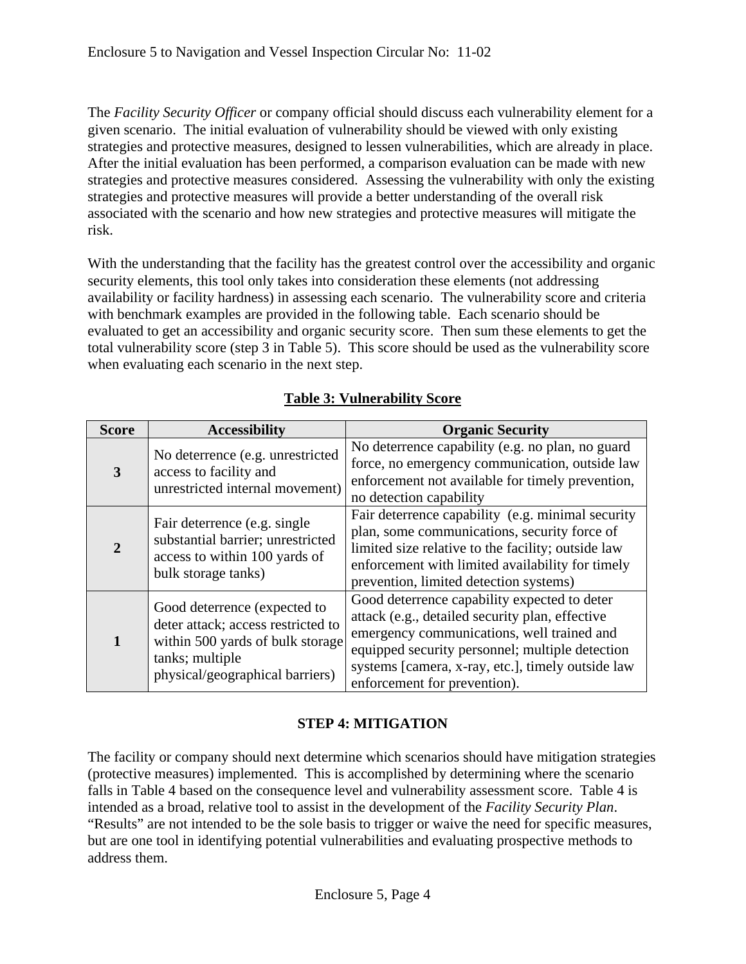The *Facility Security Officer* or company official should discuss each vulnerability element for a given scenario. The initial evaluation of vulnerability should be viewed with only existing strategies and protective measures, designed to lessen vulnerabilities, which are already in place. After the initial evaluation has been performed, a comparison evaluation can be made with new strategies and protective measures considered. Assessing the vulnerability with only the existing strategies and protective measures will provide a better understanding of the overall risk associated with the scenario and how new strategies and protective measures will mitigate the risk.

With the understanding that the facility has the greatest control over the accessibility and organic security elements, this tool only takes into consideration these elements (not addressing availability or facility hardness) in assessing each scenario. The vulnerability score and criteria with benchmark examples are provided in the following table. Each scenario should be evaluated to get an accessibility and organic security score. Then sum these elements to get the total vulnerability score (step 3 in Table 5). This score should be used as the vulnerability score when evaluating each scenario in the next step.

| <b>Score</b> | <b>Accessibility</b>                                                                                                                                         | <b>Organic Security</b>                                                                                                                                                                                                                                                               |
|--------------|--------------------------------------------------------------------------------------------------------------------------------------------------------------|---------------------------------------------------------------------------------------------------------------------------------------------------------------------------------------------------------------------------------------------------------------------------------------|
|              | No deterrence (e.g. unrestricted<br>access to facility and<br>unrestricted internal movement)                                                                | No deterrence capability (e.g. no plan, no guard<br>force, no emergency communication, outside law<br>enforcement not available for timely prevention,<br>no detection capability                                                                                                     |
|              | Fair deterrence (e.g. single)<br>substantial barrier; unrestricted<br>access to within 100 yards of<br>bulk storage tanks)                                   | Fair deterrence capability (e.g. minimal security<br>plan, some communications, security force of<br>limited size relative to the facility; outside law<br>enforcement with limited availability for timely<br>prevention, limited detection systems)                                 |
|              | Good deterrence (expected to<br>deter attack; access restricted to<br>within 500 yards of bulk storage<br>tanks; multiple<br>physical/geographical barriers) | Good deterrence capability expected to deter<br>attack (e.g., detailed security plan, effective<br>emergency communications, well trained and<br>equipped security personnel; multiple detection<br>systems [camera, x-ray, etc.], timely outside law<br>enforcement for prevention). |

# **Table 3: Vulnerability Score**

# **STEP 4: MITIGATION**

The facility or company should next determine which scenarios should have mitigation strategies (protective measures) implemented. This is accomplished by determining where the scenario falls in Table 4 based on the consequence level and vulnerability assessment score. Table 4 is intended as a broad, relative tool to assist in the development of the *Facility Security Plan*. "Results" are not intended to be the sole basis to trigger or waive the need for specific measures, but are one tool in identifying potential vulnerabilities and evaluating prospective methods to address them.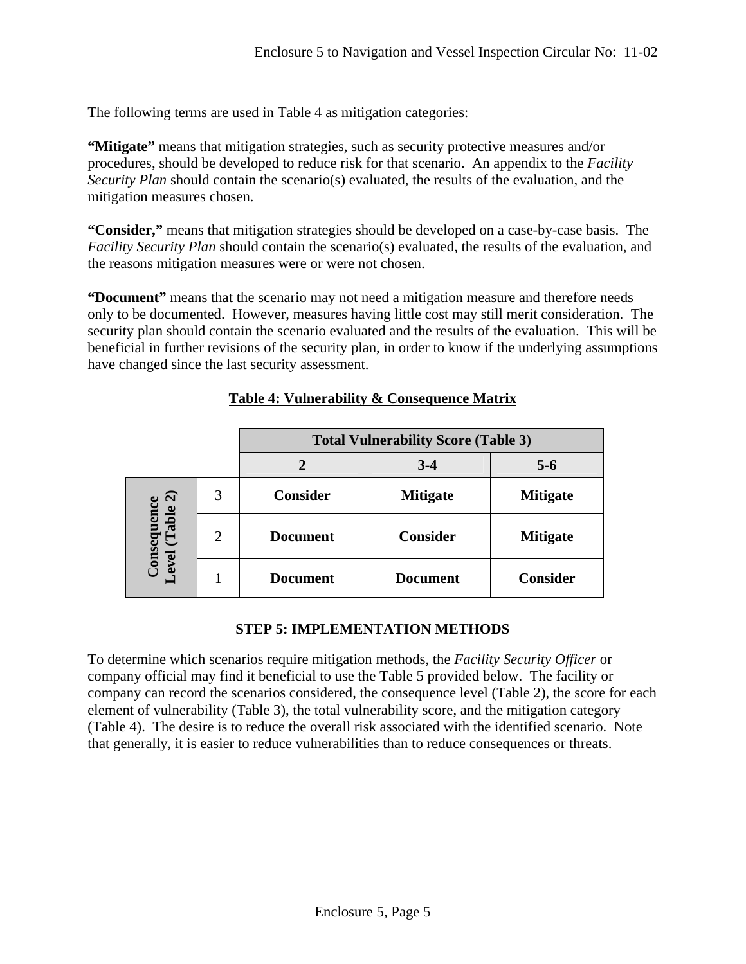The following terms are used in Table 4 as mitigation categories:

**"Mitigate"** means that mitigation strategies, such as security protective measures and/or procedures, should be developed to reduce risk for that scenario. An appendix to the *Facility Security Plan* should contain the scenario(s) evaluated, the results of the evaluation, and the mitigation measures chosen.

**"Consider,"** means that mitigation strategies should be developed on a case-by-case basis. The *Facility Security Plan* should contain the scenario(s) evaluated, the results of the evaluation, and the reasons mitigation measures were or were not chosen.

**"Document"** means that the scenario may not need a mitigation measure and therefore needs only to be documented. However, measures having little cost may still merit consideration. The security plan should contain the scenario evaluated and the results of the evaluation. This will be beneficial in further revisions of the security plan, in order to know if the underlying assumptions have changed since the last security assessment.

|                                      |                | <b>Total Vulnerability Score (Table 3)</b> |                 |                 |  |  |  |
|--------------------------------------|----------------|--------------------------------------------|-----------------|-----------------|--|--|--|
|                                      |                |                                            | $3 - 4$         | $5 - 6$         |  |  |  |
| $\widehat{\mathbf{c}}$               | 3              | <b>Consider</b>                            | <b>Mitigate</b> | <b>Mitigate</b> |  |  |  |
| <b>Consequence</b><br>evel (Table 2) | $\overline{2}$ | <b>Document</b>                            | <b>Consider</b> | <b>Mitigate</b> |  |  |  |
| $\mathbf{Q}$                         |                | <b>Document</b>                            | <b>Document</b> | <b>Consider</b> |  |  |  |

## **Table 4: Vulnerability & Consequence Matrix**

#### **STEP 5: IMPLEMENTATION METHODS**

To determine which scenarios require mitigation methods, the *Facility Security Officer* or company official may find it beneficial to use the Table 5 provided below. The facility or company can record the scenarios considered, the consequence level (Table 2), the score for each element of vulnerability (Table 3), the total vulnerability score, and the mitigation category (Table 4). The desire is to reduce the overall risk associated with the identified scenario. Note that generally, it is easier to reduce vulnerabilities than to reduce consequences or threats.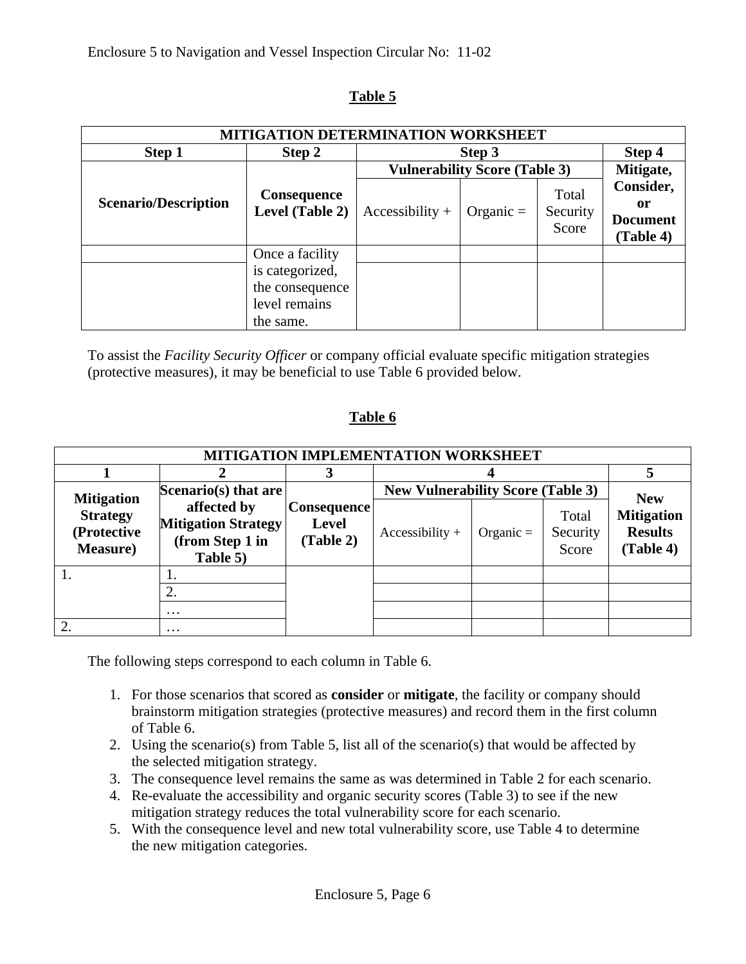# **Table 5**

| <b>MITIGATION DETERMINATION WORKSHEET</b>                            |                 |                   |                                      |                            |                                                 |  |  |
|----------------------------------------------------------------------|-----------------|-------------------|--------------------------------------|----------------------------|-------------------------------------------------|--|--|
| Step 1                                                               | Step 2          |                   | Step 3                               |                            | Step 4                                          |  |  |
|                                                                      |                 |                   | <b>Vulnerability Score (Table 3)</b> |                            | Mitigate,                                       |  |  |
| <b>Consequence</b><br><b>Scenario/Description</b><br>Level (Table 2) |                 | $Accessibility +$ | Organic $=$                          | Total<br>Security<br>Score | Consider,<br>or<br><b>Document</b><br>(Table 4) |  |  |
|                                                                      | Once a facility |                   |                                      |                            |                                                 |  |  |
|                                                                      | is categorized, |                   |                                      |                            |                                                 |  |  |
|                                                                      | the consequence |                   |                                      |                            |                                                 |  |  |
|                                                                      | level remains   |                   |                                      |                            |                                                 |  |  |
|                                                                      | the same.       |                   |                                      |                            |                                                 |  |  |

To assist the *Facility Security Officer* or company official evaluate specific mitigation strategies (protective measures), it may be beneficial to use Table 6 provided below.

# **Table 6**

| MITIGATION IMPLEMENTATION WORKSHEET                |                                                                          |                                                 |                                          |             |                            |                                                                |  |
|----------------------------------------------------|--------------------------------------------------------------------------|-------------------------------------------------|------------------------------------------|-------------|----------------------------|----------------------------------------------------------------|--|
|                                                    |                                                                          | 3                                               |                                          |             |                            |                                                                |  |
| <b>Mitigation</b>                                  | Scenario(s) that are                                                     | <b>Consequence</b><br><b>Level</b><br>(Table 2) | <b>New Vulnerability Score (Table 3)</b> |             |                            |                                                                |  |
| <b>Strategy</b><br>(Protective<br><b>Measure</b> ) | affected by<br><b>Mitigation Strategy</b><br>(from Step 1 in<br>Table 5) |                                                 | $Accessibility +$                        | Organic $=$ | Total<br>Security<br>Score | <b>New</b><br><b>Mitigation</b><br><b>Results</b><br>(Table 4) |  |
|                                                    |                                                                          |                                                 |                                          |             |                            |                                                                |  |
|                                                    |                                                                          |                                                 |                                          |             |                            |                                                                |  |
|                                                    | $\cdots$                                                                 |                                                 |                                          |             |                            |                                                                |  |
|                                                    | $\cdots$                                                                 |                                                 |                                          |             |                            |                                                                |  |

The following steps correspond to each column in Table 6.

- 1. For those scenarios that scored as **consider** or **mitigate**, the facility or company should brainstorm mitigation strategies (protective measures) and record them in the first column of Table 6.
- 2. Using the scenario(s) from Table 5, list all of the scenario(s) that would be affected by the selected mitigation strategy.
- 3. The consequence level remains the same as was determined in Table 2 for each scenario.
- 4. Re-evaluate the accessibility and organic security scores (Table 3) to see if the new mitigation strategy reduces the total vulnerability score for each scenario.
- 5. With the consequence level and new total vulnerability score, use Table 4 to determine the new mitigation categories.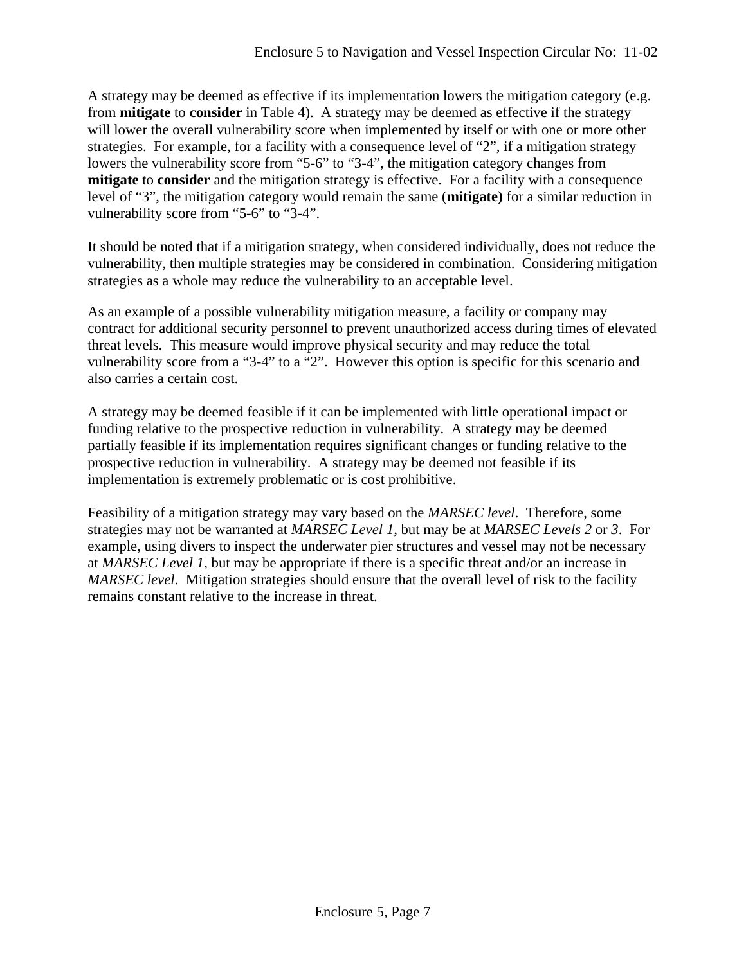A strategy may be deemed as effective if its implementation lowers the mitigation category (e.g. from **mitigate** to **consider** in Table 4). A strategy may be deemed as effective if the strategy will lower the overall vulnerability score when implemented by itself or with one or more other strategies. For example, for a facility with a consequence level of "2", if a mitigation strategy lowers the vulnerability score from "5-6" to "3-4", the mitigation category changes from **mitigate** to **consider** and the mitigation strategy is effective. For a facility with a consequence level of "3", the mitigation category would remain the same (**mitigate)** for a similar reduction in vulnerability score from "5-6" to "3-4".

It should be noted that if a mitigation strategy, when considered individually, does not reduce the vulnerability, then multiple strategies may be considered in combination. Considering mitigation strategies as a whole may reduce the vulnerability to an acceptable level.

As an example of a possible vulnerability mitigation measure, a facility or company may contract for additional security personnel to prevent unauthorized access during times of elevated threat levels. This measure would improve physical security and may reduce the total vulnerability score from a "3-4" to a "2". However this option is specific for this scenario and also carries a certain cost.

A strategy may be deemed feasible if it can be implemented with little operational impact or funding relative to the prospective reduction in vulnerability. A strategy may be deemed partially feasible if its implementation requires significant changes or funding relative to the prospective reduction in vulnerability. A strategy may be deemed not feasible if its implementation is extremely problematic or is cost prohibitive.

Feasibility of a mitigation strategy may vary based on the *MARSEC level*. Therefore, some strategies may not be warranted at *MARSEC Level 1*, but may be at *MARSEC Levels 2* or *3*. For example, using divers to inspect the underwater pier structures and vessel may not be necessary at *MARSEC Level 1*, but may be appropriate if there is a specific threat and/or an increase in *MARSEC level*. Mitigation strategies should ensure that the overall level of risk to the facility remains constant relative to the increase in threat.